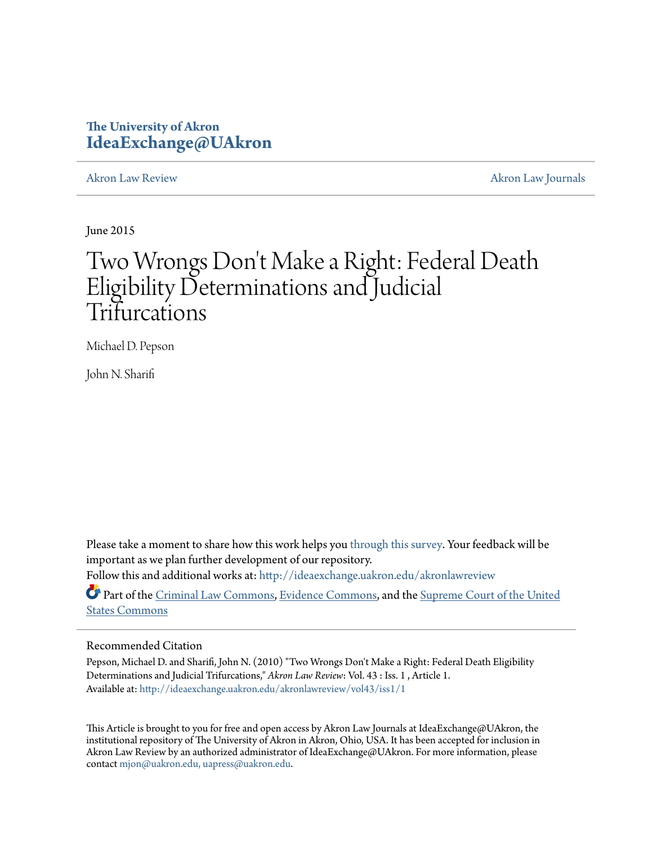# **The University of Akron [IdeaExchange@UAkron](http://ideaexchange.uakron.edu?utm_source=ideaexchange.uakron.edu%2Fakronlawreview%2Fvol43%2Fiss1%2F1&utm_medium=PDF&utm_campaign=PDFCoverPages)**

[Akron Law Review](http://ideaexchange.uakron.edu/akronlawreview?utm_source=ideaexchange.uakron.edu%2Fakronlawreview%2Fvol43%2Fiss1%2F1&utm_medium=PDF&utm_campaign=PDFCoverPages) [Akron Law Journals](http://ideaexchange.uakron.edu/akronlawjournals?utm_source=ideaexchange.uakron.edu%2Fakronlawreview%2Fvol43%2Fiss1%2F1&utm_medium=PDF&utm_campaign=PDFCoverPages)

June 2015

# Two Wrongs Don 't Make a Right: Federal Death Eligibility Determinations and Judicial Trifurcations

Michael D. Pepson

John N. Sharifi

Please take a moment to share how this work helps you [through this survey.](http://survey.az1.qualtrics.com/SE/?SID=SV_eEVH54oiCbOw05f&URL=http://ideaexchange.uakron.edu/akronlawreview/vol43/iss1/1) Your feedback will be important as we plan further development of our repository. Follow this and additional works at: [http://ideaexchange.uakron.edu/akronlawreview](http://ideaexchange.uakron.edu/akronlawreview?utm_source=ideaexchange.uakron.edu%2Fakronlawreview%2Fvol43%2Fiss1%2F1&utm_medium=PDF&utm_campaign=PDFCoverPages)

Part of the [Criminal Law Commons](http://network.bepress.com/hgg/discipline/912?utm_source=ideaexchange.uakron.edu%2Fakronlawreview%2Fvol43%2Fiss1%2F1&utm_medium=PDF&utm_campaign=PDFCoverPages), [Evidence Commons,](http://network.bepress.com/hgg/discipline/601?utm_source=ideaexchange.uakron.edu%2Fakronlawreview%2Fvol43%2Fiss1%2F1&utm_medium=PDF&utm_campaign=PDFCoverPages) and the [Supreme Court of the United](http://network.bepress.com/hgg/discipline/1350?utm_source=ideaexchange.uakron.edu%2Fakronlawreview%2Fvol43%2Fiss1%2F1&utm_medium=PDF&utm_campaign=PDFCoverPages) [States Commons](http://network.bepress.com/hgg/discipline/1350?utm_source=ideaexchange.uakron.edu%2Fakronlawreview%2Fvol43%2Fiss1%2F1&utm_medium=PDF&utm_campaign=PDFCoverPages)

# Recommended Citation

Pepson, Michael D. and Sharifi, John N. (2010) "Two Wrongs Don't Make a Right: Federal Death Eligibility Determinations and Judicial Trifurcations," *Akron Law Review*: Vol. 43 : Iss. 1 , Article 1. Available at: [http://ideaexchange.uakron.edu/akronlawreview/vol43/iss1/1](http://ideaexchange.uakron.edu/akronlawreview/vol43/iss1/1?utm_source=ideaexchange.uakron.edu%2Fakronlawreview%2Fvol43%2Fiss1%2F1&utm_medium=PDF&utm_campaign=PDFCoverPages)

This Article is brought to you for free and open access by Akron Law Journals at IdeaExchange@UAkron, the institutional repository of The University of Akron in Akron, Ohio, USA. It has been accepted for inclusion in Akron Law Review by an authorized administrator of IdeaExchange@UAkron. For more information, please contact [mjon@uakron.edu, uapress@uakron.edu.](mailto:mjon@uakron.edu,%20uapress@uakron.edu)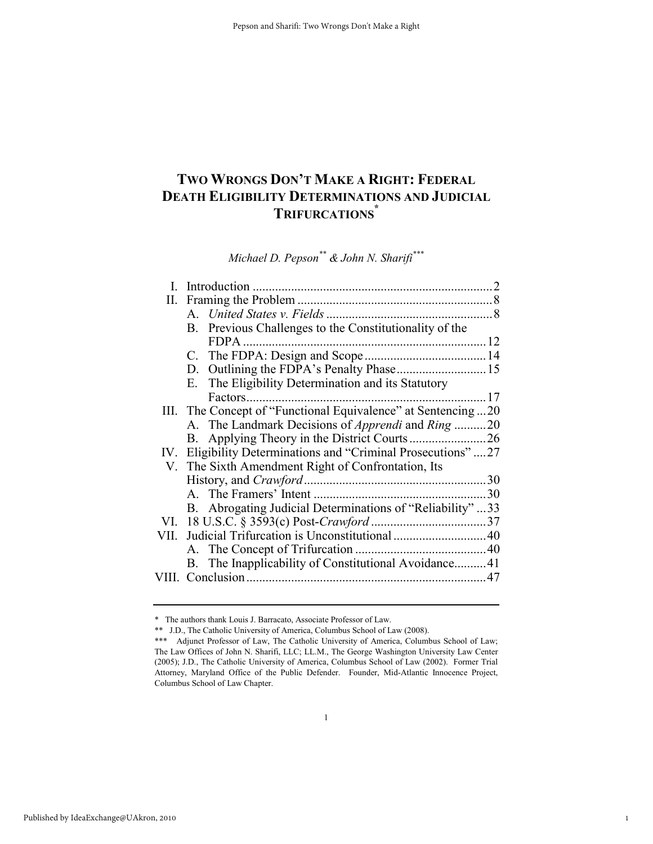# **TWO WRONGS DON'T MAKE A RIGHT: FEDERAL DEATH ELIGIBILITY DETERMINATIONS AND JUDICIAL TRIFURCATIONS\***

*Michael D. Pepson\*\* & John N. Sharifi\*\*\**

| L.       |                                                                 |     |
|----------|-----------------------------------------------------------------|-----|
| П.       |                                                                 |     |
|          |                                                                 |     |
|          | B. Previous Challenges to the Constitutionality of the          |     |
|          | $FDPA$                                                          |     |
|          |                                                                 |     |
|          |                                                                 |     |
|          | The Eligibility Determination and its Statutory<br>Е.           |     |
|          |                                                                 |     |
|          | III. The Concept of "Functional Equivalence" at Sentencing20    |     |
|          | A. The Landmark Decisions of <i>Apprendi</i> and <i>Ring</i> 20 |     |
|          |                                                                 |     |
| $IV_{-}$ | Eligibility Determinations and "Criminal Prosecutions"27        |     |
|          | V. The Sixth Amendment Right of Confrontation, Its              |     |
|          |                                                                 |     |
|          |                                                                 | .30 |
|          | B. Abrogating Judicial Determinations of "Reliability" 33       |     |
|          |                                                                 |     |
| VII.     |                                                                 |     |
|          |                                                                 |     |
|          | B. The Inapplicability of Constitutional Avoidance41            |     |
|          |                                                                 |     |
|          |                                                                 |     |

1

<sup>\*</sup> The authors thank Louis J. Barracato, Associate Professor of Law.

<sup>\*\*</sup> J.D., The Catholic University of America, Columbus School of Law (2008).

<sup>\*\*\*</sup> Adjunct Professor of Law, The Catholic University of America, Columbus School of Law; The Law Offices of John N. Sharifi, LLC; LL.M., The George Washington University Law Center (2005); J.D., The Catholic University of America, Columbus School of Law (2002). Former Trial Attorney, Maryland Office of the Public Defender. Founder, Mid-Atlantic Innocence Project, Columbus School of Law Chapter.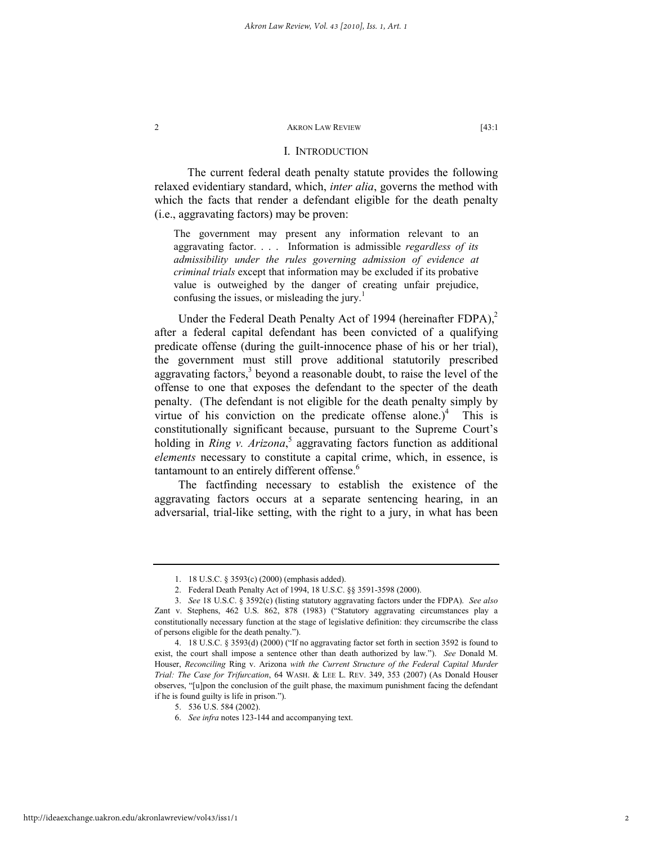# I. INTRODUCTION

The current federal death penalty statute provides the following relaxed evidentiary standard, which, *inter alia*, governs the method with which the facts that render a defendant eligible for the death penalty (i.e., aggravating factors) may be proven:

The government may present any information relevant to an aggravating factor. . . . Information is admissible *regardless of its admissibility under the rules governing admission of evidence at criminal trials* except that information may be excluded if its probative value is outweighed by the danger of creating unfair prejudice, confusing the issues, or misleading the jury.<sup>1</sup>

Under the Federal Death Penalty Act of 1994 (hereinafter  $FDPA$ ),<sup>2</sup> after a federal capital defendant has been convicted of a qualifying predicate offense (during the guilt-innocence phase of his or her trial), the government must still prove additional statutorily prescribed aggravating factors, $3$  beyond a reasonable doubt, to raise the level of the offense to one that exposes the defendant to the specter of the death penalty. (The defendant is not eligible for the death penalty simply by virtue of his conviction on the predicate offense alone.)<sup>4</sup> This is constitutionally significant because, pursuant to the Supreme Court's holding in *Ring v. Arizona*,<sup>5</sup> aggravating factors function as additional *elements* necessary to constitute a capital crime, which, in essence, is tantamount to an entirely different offense.<sup>6</sup>

The factfinding necessary to establish the existence of the aggravating factors occurs at a separate sentencing hearing, in an adversarial, trial-like setting, with the right to a jury, in what has been

 <sup>1. 18</sup> U.S.C. § 3593(c) (2000) (emphasis added).

 <sup>2.</sup> Federal Death Penalty Act of 1994, 18 U.S.C. §§ 3591-3598 (2000).

 <sup>3.</sup> *See* 18 U.S.C. § 3592(c) (listing statutory aggravating factors under the FDPA). *See also*  Zant v. Stephens, 462 U.S. 862, 878 (1983) ("Statutory aggravating circumstances play a constitutionally necessary function at the stage of legislative definition: they circumscribe the class of persons eligible for the death penalty.").

 <sup>4. 18</sup> U.S.C. § 3593(d) (2000) ("If no aggravating factor set forth in section 3592 is found to exist, the court shall impose a sentence other than death authorized by law."). *See* Donald M. Houser, *Reconciling* Ring v. Arizona *with the Current Structure of the Federal Capital Murder Trial: The Case for Trifurcation*, 64 WASH. & LEE L. REV. 349, 353 (2007) (As Donald Houser observes, "[u]pon the conclusion of the guilt phase, the maximum punishment facing the defendant if he is found guilty is life in prison.").

 <sup>5. 536</sup> U.S. 584 (2002).

 <sup>6.</sup> *See infra* notes 123-144 and accompanying text.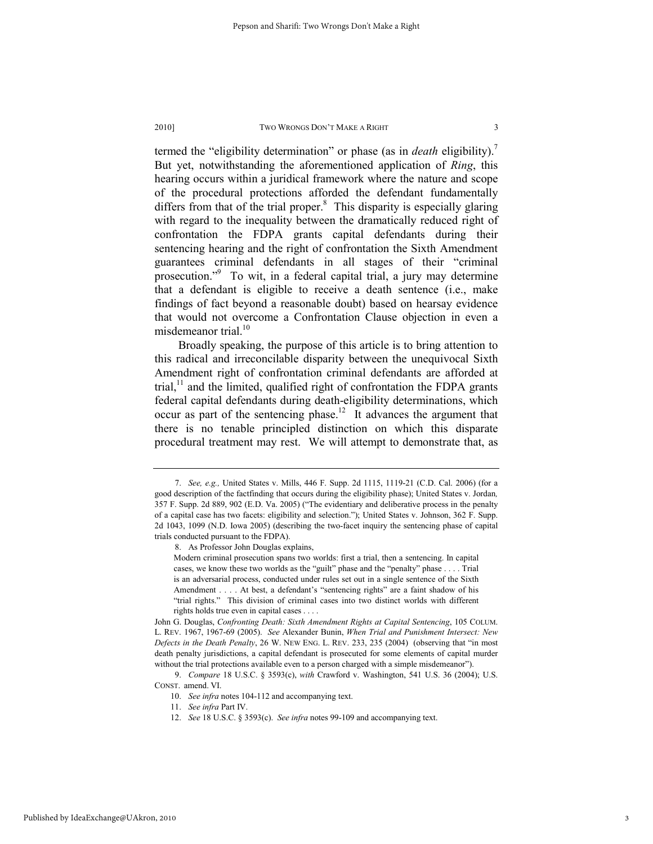termed the "eligibility determination" or phase (as in *death* eligibility).7 But yet, notwithstanding the aforementioned application of *Ring*, this hearing occurs within a juridical framework where the nature and scope of the procedural protections afforded the defendant fundamentally differs from that of the trial proper. $\delta$  This disparity is especially glaring with regard to the inequality between the dramatically reduced right of confrontation the FDPA grants capital defendants during their sentencing hearing and the right of confrontation the Sixth Amendment guarantees criminal defendants in all stages of their "criminal prosecution."9 To wit, in a federal capital trial, a jury may determine that a defendant is eligible to receive a death sentence (i.e., make findings of fact beyond a reasonable doubt) based on hearsay evidence that would not overcome a Confrontation Clause objection in even a misdemeanor trial.<sup>10</sup>

Broadly speaking, the purpose of this article is to bring attention to this radical and irreconcilable disparity between the unequivocal Sixth Amendment right of confrontation criminal defendants are afforded at trial, $11$  and the limited, qualified right of confrontation the FDPA grants federal capital defendants during death-eligibility determinations, which occur as part of the sentencing phase.<sup>12</sup> It advances the argument that there is no tenable principled distinction on which this disparate procedural treatment may rest. We will attempt to demonstrate that, as

 <sup>7.</sup> *See, e.g.,* United States v. Mills, 446 F. Supp. 2d 1115, 1119-21 (C.D. Cal. 2006) (for a good description of the factfinding that occurs during the eligibility phase); United States v. Jordan*,* 357 F. Supp. 2d 889, 902 (E.D. Va. 2005) ("The evidentiary and deliberative process in the penalty of a capital case has two facets: eligibility and selection."); United States v. Johnson, 362 F. Supp. 2d 1043, 1099 (N.D. Iowa 2005) (describing the two-facet inquiry the sentencing phase of capital trials conducted pursuant to the FDPA).

 <sup>8.</sup> As Professor John Douglas explains,

Modern criminal prosecution spans two worlds: first a trial, then a sentencing. In capital cases, we know these two worlds as the "guilt" phase and the "penalty" phase . . . . Trial is an adversarial process, conducted under rules set out in a single sentence of the Sixth Amendment . . . . At best, a defendant's "sentencing rights" are a faint shadow of his "trial rights." This division of criminal cases into two distinct worlds with different rights holds true even in capital cases . . . .

John G. Douglas, *Confronting Death: Sixth Amendment Rights at Capital Sentencing*, 105 COLUM. L. REV. 1967, 1967-69 (2005). *See* Alexander Bunin, *When Trial and Punishment Intersect: New Defects in the Death Penalty*, 26 W. NEW ENG. L. REV. 233, 235 (2004) (observing that "in most death penalty jurisdictions, a capital defendant is prosecuted for some elements of capital murder without the trial protections available even to a person charged with a simple misdemeanor").

 <sup>9.</sup> *Compare* 18 U.S.C. § 3593(c), *with* Crawford v. Washington, 541 U.S. 36 (2004); U.S. CONST. amend. VI.

 <sup>10.</sup> *See infra* notes 104-112 and accompanying text.

 <sup>11.</sup> *See infra* Part IV.

 <sup>12.</sup> *See* 18 U.S.C. § 3593(c). *See infra* notes 99-109 and accompanying text.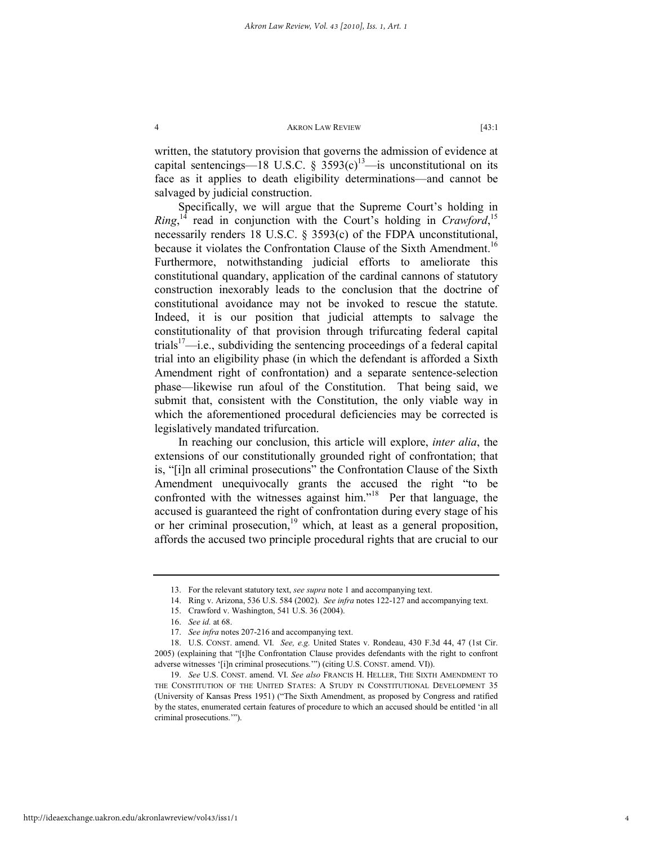written, the statutory provision that governs the admission of evidence at capital sentencings—18 U.S.C.  $\frac{2593(c)}{a}$  is unconstitutional on its face as it applies to death eligibility determinations—and cannot be salvaged by judicial construction.

Specifically, we will argue that the Supreme Court's holding in *Ring*,<sup>14</sup> read in conjunction with the Court's holding in *Crawford*<sup>15</sup> necessarily renders 18 U.S.C. § 3593(c) of the FDPA unconstitutional, because it violates the Confrontation Clause of the Sixth Amendment.<sup>16</sup> Furthermore, notwithstanding judicial efforts to ameliorate this constitutional quandary, application of the cardinal cannons of statutory construction inexorably leads to the conclusion that the doctrine of constitutional avoidance may not be invoked to rescue the statute. Indeed, it is our position that judicial attempts to salvage the constitutionality of that provision through trifurcating federal capital trials<sup>17</sup>—i.e., subdividing the sentencing proceedings of a federal capital trial into an eligibility phase (in which the defendant is afforded a Sixth Amendment right of confrontation) and a separate sentence-selection phase—likewise run afoul of the Constitution. That being said, we submit that, consistent with the Constitution, the only viable way in which the aforementioned procedural deficiencies may be corrected is legislatively mandated trifurcation.

In reaching our conclusion, this article will explore, *inter alia*, the extensions of our constitutionally grounded right of confrontation; that is, "[i]n all criminal prosecutions" the Confrontation Clause of the Sixth Amendment unequivocally grants the accused the right "to be confronted with the witnesses against him."<sup>18</sup> Per that language, the accused is guaranteed the right of confrontation during every stage of his or her criminal prosecution,<sup>19</sup> which, at least as a general proposition, affords the accused two principle procedural rights that are crucial to our

 <sup>13.</sup> For the relevant statutory text, *see supra* note 1 and accompanying text.

 <sup>14.</sup> Ring v. Arizona, 536 U.S. 584 (2002). *See infra* notes 122-127 and accompanying text.

 <sup>15.</sup> Crawford v. Washington, 541 U.S. 36 (2004).

 <sup>16.</sup> *See id.* at 68.

 <sup>17.</sup> *See infra* notes 207-216 and accompanying text.

 <sup>18.</sup> U.S. CONST. amend. VI. *See, e.g.* United States v. Rondeau, 430 F.3d 44, 47 (1st Cir. 2005) (explaining that "[t]he Confrontation Clause provides defendants with the right to confront adverse witnesses '[i]n criminal prosecutions.'") (citing U.S. CONST. amend. VI)).

 <sup>19.</sup> *See* U.S. CONST. amend. VI. *See also* FRANCIS H. HELLER, THE SIXTH AMENDMENT TO THE CONSTITUTION OF THE UNITED STATES: A STUDY IN CONSTITUTIONAL DEVELOPMENT 35 (University of Kansas Press 1951) ("The Sixth Amendment, as proposed by Congress and ratified by the states, enumerated certain features of procedure to which an accused should be entitled 'in all criminal prosecutions.'").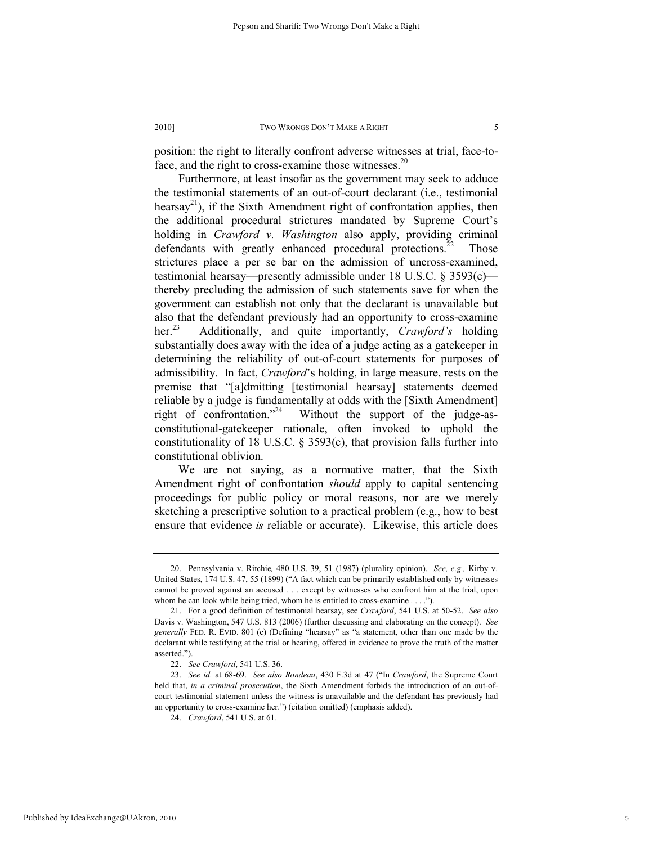position: the right to literally confront adverse witnesses at trial, face-toface, and the right to cross-examine those witnesses. $20$ 

Furthermore, at least insofar as the government may seek to adduce the testimonial statements of an out-of-court declarant (i.e., testimonial hearsay<sup>21</sup>), if the Sixth Amendment right of confrontation applies, then the additional procedural strictures mandated by Supreme Court's holding in *Crawford v. Washington* also apply, providing criminal defendants with greatly enhanced procedural protections.<sup>22</sup> Those strictures place a per se bar on the admission of uncross-examined, testimonial hearsay—presently admissible under 18 U.S.C. § 3593(c) thereby precluding the admission of such statements save for when the government can establish not only that the declarant is unavailable but also that the defendant previously had an opportunity to cross-examine her.23 Additionally, and quite importantly, *Crawford's* holding substantially does away with the idea of a judge acting as a gatekeeper in determining the reliability of out-of-court statements for purposes of admissibility. In fact, *Crawford*'s holding, in large measure, rests on the premise that "[a]dmitting [testimonial hearsay] statements deemed reliable by a judge is fundamentally at odds with the [Sixth Amendment] right of confrontation."<sup>24</sup> Without the support of the judge-asconstitutional-gatekeeper rationale, often invoked to uphold the constitutionality of 18 U.S.C. § 3593(c), that provision falls further into constitutional oblivion.

We are not saying, as a normative matter, that the Sixth Amendment right of confrontation *should* apply to capital sentencing proceedings for public policy or moral reasons, nor are we merely sketching a prescriptive solution to a practical problem (e.g., how to best ensure that evidence *is* reliable or accurate). Likewise, this article does

 <sup>20.</sup> Pennsylvania v. Ritchie*,* 480 U.S. 39, 51 (1987) (plurality opinion). *See, e.g.,* Kirby v. United States, 174 U.S. 47, 55 (1899) ("A fact which can be primarily established only by witnesses cannot be proved against an accused . . . except by witnesses who confront him at the trial, upon whom he can look while being tried, whom he is entitled to cross-examine . . . .").

 <sup>21.</sup> For a good definition of testimonial hearsay, see *Crawford*, 541 U.S. at 50-52. *See also* Davis v. Washington, 547 U.S. 813 (2006) (further discussing and elaborating on the concept). *See generally* FED. R. EVID. 801 (c) (Defining "hearsay" as "a statement, other than one made by the declarant while testifying at the trial or hearing, offered in evidence to prove the truth of the matter asserted.").

 <sup>22.</sup> *See Crawford*, 541 U.S. 36.

 <sup>23.</sup> *See id.* at 68-69. *See also Rondeau*, 430 F.3d at 47 ("In *Crawford*, the Supreme Court held that, *in a criminal prosecution*, the Sixth Amendment forbids the introduction of an out-ofcourt testimonial statement unless the witness is unavailable and the defendant has previously had an opportunity to cross-examine her.") (citation omitted) (emphasis added).

 <sup>24.</sup> *Crawford*, 541 U.S. at 61.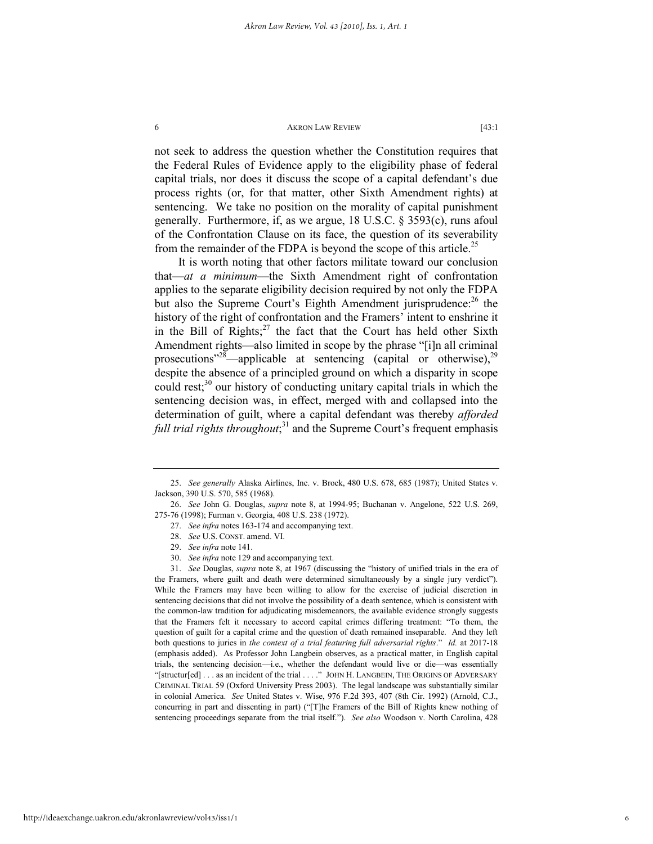not seek to address the question whether the Constitution requires that the Federal Rules of Evidence apply to the eligibility phase of federal capital trials, nor does it discuss the scope of a capital defendant's due process rights (or, for that matter, other Sixth Amendment rights) at sentencing. We take no position on the morality of capital punishment generally. Furthermore, if, as we argue, 18 U.S.C. § 3593(c), runs afoul of the Confrontation Clause on its face, the question of its severability from the remainder of the FDPA is beyond the scope of this article.<sup>25</sup>

It is worth noting that other factors militate toward our conclusion that—*at a minimum*—the Sixth Amendment right of confrontation applies to the separate eligibility decision required by not only the FDPA but also the Supreme Court's Eighth Amendment jurisprudence:<sup>26</sup> the history of the right of confrontation and the Framers' intent to enshrine it in the Bill of Rights; $^{27}$  the fact that the Court has held other Sixth Amendment rights—also limited in scope by the phrase "[i]n all criminal prosecutions"<sup>28</sup>—applicable at sentencing (capital or otherwise),<sup>29</sup> despite the absence of a principled ground on which a disparity in scope could rest; $30$  our history of conducting unitary capital trials in which the sentencing decision was, in effect, merged with and collapsed into the determination of guilt, where a capital defendant was thereby *afforded*  full trial rights throughout;<sup>31</sup> and the Supreme Court's frequent emphasis

30. *See infra* note 129 and accompanying text.

 <sup>25.</sup> *See generally* Alaska Airlines, Inc. v. Brock, 480 U.S. 678, 685 (1987); United States v. Jackson, 390 U.S. 570, 585 (1968).

 <sup>26.</sup> *See* John G. Douglas, *supra* note 8, at 1994-95; Buchanan v. Angelone, 522 U.S. 269, 275-76 (1998); Furman v. Georgia, 408 U.S. 238 (1972).

 <sup>27.</sup> *See infra* notes 163-174 and accompanying text.

 <sup>28.</sup> *See* U.S. CONST. amend. VI.

 <sup>29.</sup> *See infra* note 141.

 <sup>31.</sup> *See* Douglas, *supra* note 8, at 1967 (discussing the "history of unified trials in the era of the Framers, where guilt and death were determined simultaneously by a single jury verdict"). While the Framers may have been willing to allow for the exercise of judicial discretion in sentencing decisions that did not involve the possibility of a death sentence, which is consistent with the common-law tradition for adjudicating misdemeanors, the available evidence strongly suggests that the Framers felt it necessary to accord capital crimes differing treatment: "To them, the question of guilt for a capital crime and the question of death remained inseparable. And they left both questions to juries in *the context of a trial featuring full adversarial rights*." *Id.* at 2017-18 (emphasis added). As Professor John Langbein observes, as a practical matter, in English capital trials, the sentencing decision—i.e., whether the defendant would live or die—was essentially "[structur[ed] . . . as an incident of the trial . . . ." JOHN H. LANGBEIN, THE ORIGINS OF ADVERSARY CRIMINAL TRIAL 59 (Oxford University Press 2003). The legal landscape was substantially similar in colonial America. *See* United States v. Wise, 976 F.2d 393, 407 (8th Cir. 1992) (Arnold, C.J., concurring in part and dissenting in part) ("[T]he Framers of the Bill of Rights knew nothing of sentencing proceedings separate from the trial itself."). *See also* Woodson v. North Carolina, 428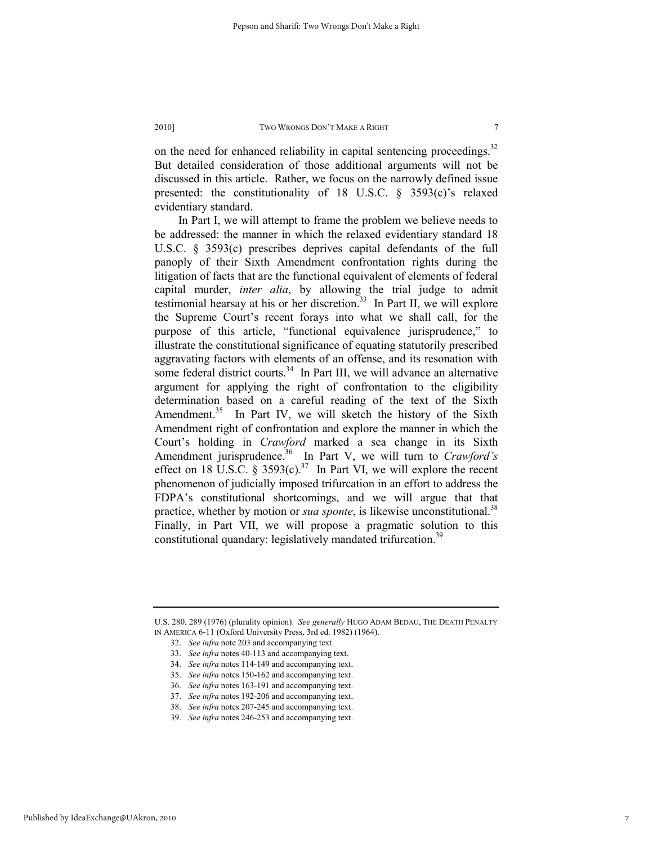on the need for enhanced reliability in capital sentencing proceedings.<sup>32</sup> But detailed consideration of those additional arguments will not be discussed in this article. Rather, we focus on the narrowly defined issue presented: the constitutionality of 18 U.S.C. § 3593(c)'s relaxed evidentiary standard.

In Part I, we will attempt to frame the problem we believe needs to be addressed: the manner in which the relaxed evidentiary standard 18 U.S.C. § 3593(c) prescribes deprives capital defendants of the full panoply of their Sixth Amendment confrontation rights during the litigation of facts that are the functional equivalent of elements of federal capital murder, *inter alia*, by allowing the trial judge to admit testimonial hearsay at his or her discretion.<sup>33</sup> In Part II, we will explore the Supreme Court's recent forays into what we shall call, for the purpose of this article, "functional equivalence jurisprudence," to illustrate the constitutional significance of equating statutorily prescribed aggravating factors with elements of an offense, and its resonation with some federal district courts. $34$  In Part III, we will advance an alternative argument for applying the right of confrontation to the eligibility determination based on a careful reading of the text of the Sixth Amendment.<sup>35</sup> In Part IV, we will sketch the history of the Sixth Amendment right of confrontation and explore the manner in which the Court's holding in *Crawford* marked a sea change in its Sixth Amendment jurisprudence.<sup>36</sup> In Part V, we will turn to *Crawford's* effect on 18 U.S.C. § 3593(c).<sup>37</sup> In Part VI, we will explore the recent phenomenon of judicially imposed trifurcation in an effort to address the FDPA's constitutional shortcomings, and we will argue that that practice, whether by motion or *sua sponte*, is likewise unconstitutional.<sup>38</sup> Finally, in Part VII, we will propose a pragmatic solution to this constitutional quandary: legislatively mandated trifurcation.<sup>39</sup>

U.S. 280, 289 (1976) (plurality opinion). *See generally* HUGO ADAM BEDAU, THE DEATH PENALTY IN AMERICA 6-11 (Oxford University Press, 3rd ed. 1982) (1964).

Published by IdeaExchange@UAkron, 2010

7

 <sup>32.</sup> *See infra* note 203 and accompanying text.

 <sup>33.</sup> *See infra* notes 40-113 and accompanying text.

 <sup>34.</sup> *See infra* notes 114-149 and accompanying text.

 <sup>35.</sup> *See infra* notes 150-162 and accompanying text.

 <sup>36.</sup> *See infra* notes 163-191 and accompanying text.

 <sup>37.</sup> *See infra* notes 192-206 and accompanying text.

 <sup>38.</sup> *See infra* notes 207-245 and accompanying text.

 <sup>39.</sup> *See infra* notes 246-253 and accompanying text.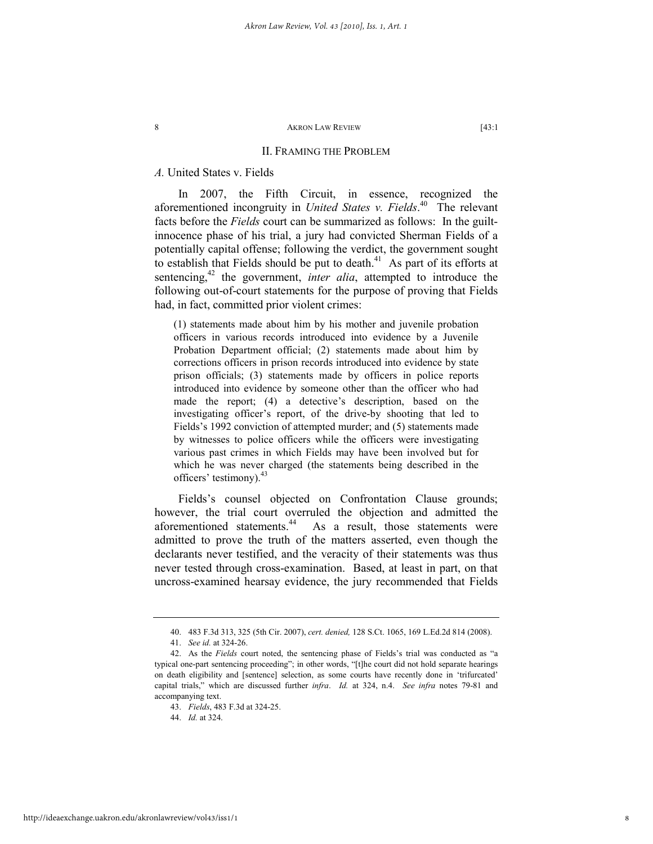# II. FRAMING THE PROBLEM

# *A.* United States v. Fields

In 2007, the Fifth Circuit, in essence, recognized the aforementioned incongruity in *United States v. Fields*. 40 The relevant facts before the *Fields* court can be summarized as follows: In the guiltinnocence phase of his trial, a jury had convicted Sherman Fields of a potentially capital offense; following the verdict, the government sought to establish that Fields should be put to death.<sup>41</sup> As part of its efforts at sentencing,<sup>42</sup> the government, *inter alia*, attempted to introduce the following out-of-court statements for the purpose of proving that Fields had, in fact, committed prior violent crimes:

(1) statements made about him by his mother and juvenile probation officers in various records introduced into evidence by a Juvenile Probation Department official; (2) statements made about him by corrections officers in prison records introduced into evidence by state prison officials; (3) statements made by officers in police reports introduced into evidence by someone other than the officer who had made the report; (4) a detective's description, based on the investigating officer's report, of the drive-by shooting that led to Fields's 1992 conviction of attempted murder; and (5) statements made by witnesses to police officers while the officers were investigating various past crimes in which Fields may have been involved but for which he was never charged (the statements being described in the officers' testimony). $43$ 

Fields's counsel objected on Confrontation Clause grounds; however, the trial court overruled the objection and admitted the aforementioned statements.<sup>44</sup> As a result, those statements were admitted to prove the truth of the matters asserted, even though the declarants never testified, and the veracity of their statements was thus never tested through cross-examination. Based, at least in part, on that uncross-examined hearsay evidence, the jury recommended that Fields

 <sup>40. 483</sup> F.3d 313, 325 (5th Cir. 2007), *cert. denied,* 128 S.Ct. 1065, 169 L.Ed.2d 814 (2008).

 <sup>41.</sup> *See id.* at 324-26.

 <sup>42.</sup> As the *Fields* court noted, the sentencing phase of Fields's trial was conducted as "a typical one-part sentencing proceeding"; in other words, "[t]he court did not hold separate hearings on death eligibility and [sentence] selection, as some courts have recently done in 'trifurcated' capital trials," which are discussed further *infra*. *Id.* at 324, n.4. *See infra* notes 79-81 and accompanying text.

 <sup>43.</sup> *Fields*, 483 F.3d at 324-25.

 <sup>44.</sup> *Id.* at 324.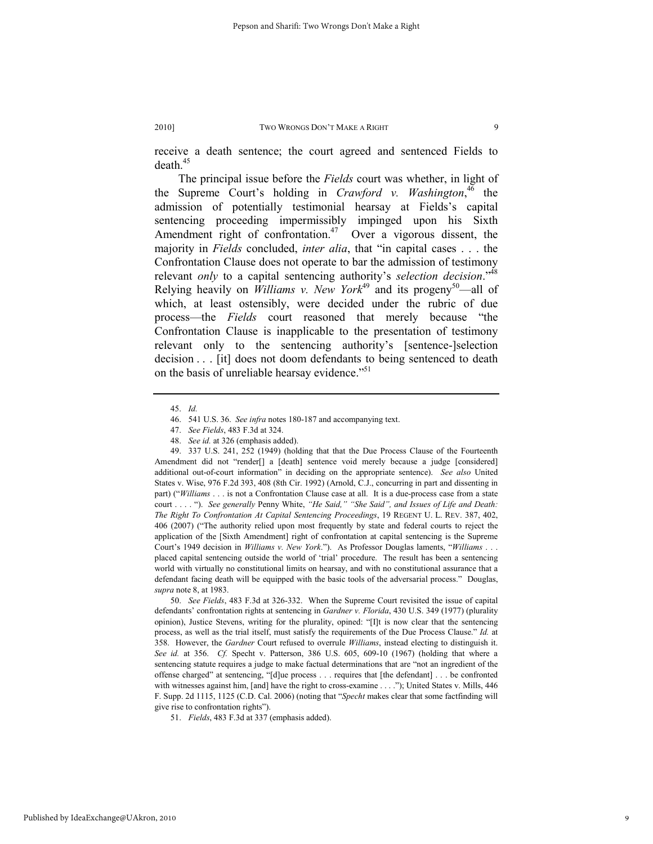receive a death sentence; the court agreed and sentenced Fields to  $death<sup>45</sup>$ 

The principal issue before the *Fields* court was whether, in light of the Supreme Court's holding in *Crawford v. Washington*, 46 the admission of potentially testimonial hearsay at Fields's capital sentencing proceeding impermissibly impinged upon his Sixth Amendment right of confrontation. $47$  Over a vigorous dissent, the majority in *Fields* concluded, *inter alia*, that "in capital cases . . . the Confrontation Clause does not operate to bar the admission of testimony relevant *only* to a capital sentencing authority's *selection decision*."48 Relying heavily on *Williams v. New York*<sup>49</sup> and its progeny<sup>50</sup>—all of which, at least ostensibly, were decided under the rubric of due process—the *Fields* court reasoned that merely because "the Confrontation Clause is inapplicable to the presentation of testimony relevant only to the sentencing authority's [sentence-]selection decision . . . [it] does not doom defendants to being sentenced to death on the basis of unreliable hearsay evidence."<sup>51</sup>

 <sup>45.</sup> *Id.*

 <sup>46. 541</sup> U.S. 36. *See infra* notes 180-187 and accompanying text.

 <sup>47.</sup> *See Fields*, 483 F.3d at 324.

 <sup>48.</sup> *See id.* at 326 (emphasis added).

 <sup>49. 337</sup> U.S. 241, 252 (1949) (holding that that the Due Process Clause of the Fourteenth Amendment did not "render[] a [death] sentence void merely because a judge [considered] additional out-of-court information" in deciding on the appropriate sentence). *See also* United States v. Wise, 976 F.2d 393, 408 (8th Cir. 1992) (Arnold, C.J., concurring in part and dissenting in part) ("*Williams* . . . is not a Confrontation Clause case at all. It is a due-process case from a state court . . . . "). *See generally* Penny White, *"He Said," "She Said", and Issues of Life and Death: The Right To Confrontation At Capital Sentencing Proceedings*, 19 REGENT U. L. REV. 387, 402, 406 (2007) ("The authority relied upon most frequently by state and federal courts to reject the application of the [Sixth Amendment] right of confrontation at capital sentencing is the Supreme Court's 1949 decision in *Williams v. New York*."). As Professor Douglas laments, "*Williams* . . . placed capital sentencing outside the world of 'trial' procedure. The result has been a sentencing world with virtually no constitutional limits on hearsay, and with no constitutional assurance that a defendant facing death will be equipped with the basic tools of the adversarial process." Douglas, *supra* note 8, at 1983.

 <sup>50.</sup> *See Fields*, 483 F.3d at 326-332. When the Supreme Court revisited the issue of capital defendants' confrontation rights at sentencing in *Gardner v. Florida*, 430 U.S. 349 (1977) (plurality opinion), Justice Stevens, writing for the plurality, opined: "[I]t is now clear that the sentencing process, as well as the trial itself, must satisfy the requirements of the Due Process Clause." *Id.* at 358. However, the *Gardner* Court refused to overrule *Williams*, instead electing to distinguish it. *See id.* at 356. *Cf.* Specht v. Patterson, 386 U.S. 605, 609-10 (1967) (holding that where a sentencing statute requires a judge to make factual determinations that are "not an ingredient of the offense charged" at sentencing, "[d]ue process . . . requires that [the defendant] . . . be confronted with witnesses against him, [and] have the right to cross-examine . . . ."); United States v. Mills, 446 F. Supp. 2d 1115, 1125 (C.D. Cal. 2006) (noting that "*Specht* makes clear that some factfinding will give rise to confrontation rights").

 <sup>51.</sup> *Fields*, 483 F.3d at 337 (emphasis added).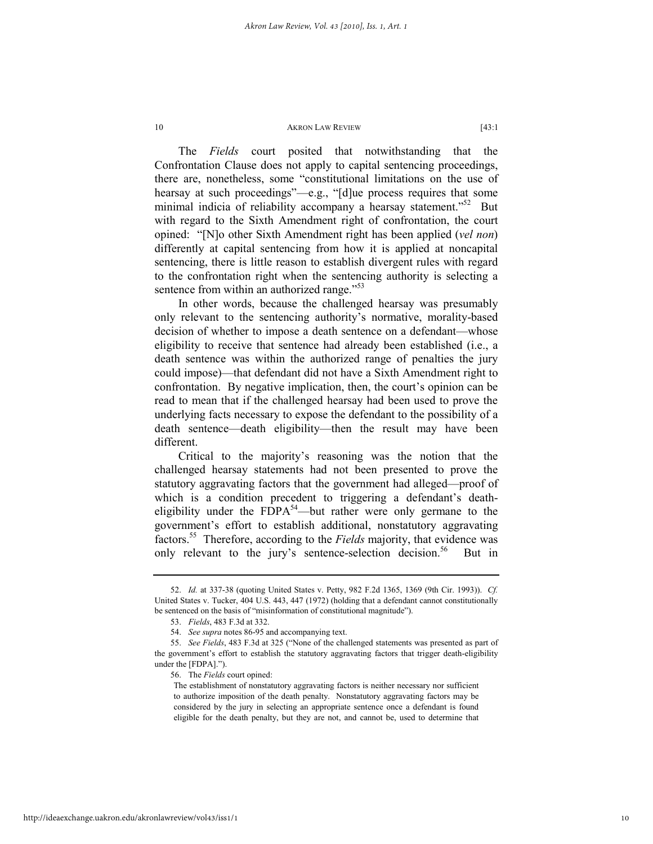The *Fields* court posited that notwithstanding that the Confrontation Clause does not apply to capital sentencing proceedings, there are, nonetheless, some "constitutional limitations on the use of hearsay at such proceedings"—e.g., "[d]ue process requires that some minimal indicia of reliability accompany a hearsay statement. $152$  But with regard to the Sixth Amendment right of confrontation, the court opined: "[N]o other Sixth Amendment right has been applied (*vel non*) differently at capital sentencing from how it is applied at noncapital sentencing, there is little reason to establish divergent rules with regard to the confrontation right when the sentencing authority is selecting a sentence from within an authorized range."<sup>53</sup>

In other words, because the challenged hearsay was presumably only relevant to the sentencing authority's normative, morality-based decision of whether to impose a death sentence on a defendant—whose eligibility to receive that sentence had already been established (i.e., a death sentence was within the authorized range of penalties the jury could impose)—that defendant did not have a Sixth Amendment right to confrontation. By negative implication, then, the court's opinion can be read to mean that if the challenged hearsay had been used to prove the underlying facts necessary to expose the defendant to the possibility of a death sentence—death eligibility—then the result may have been different.

Critical to the majority's reasoning was the notion that the challenged hearsay statements had not been presented to prove the statutory aggravating factors that the government had alleged—proof of which is a condition precedent to triggering a defendant's deatheligibility under the  $F\bar{D}P A^{54}$ —but rather were only germane to the government's effort to establish additional, nonstatutory aggravating factors.55 Therefore, according to the *Fields* majority, that evidence was only relevant to the jury's sentence-selection decision.<sup>56</sup> But in

 <sup>52.</sup> *Id.* at 337-38 (quoting United States v. Petty, 982 F.2d 1365, 1369 (9th Cir. 1993)). *Cf.* United States v. Tucker, 404 U.S. 443, 447 (1972) (holding that a defendant cannot constitutionally be sentenced on the basis of "misinformation of constitutional magnitude").

 <sup>53.</sup> *Fields*, 483 F.3d at 332.

 <sup>54.</sup> *See supra* notes 86-95 and accompanying text.

 <sup>55.</sup> *See Fields*, 483 F.3d at 325 ("None of the challenged statements was presented as part of the government's effort to establish the statutory aggravating factors that trigger death-eligibility under the [FDPA].").

 <sup>56.</sup> The *Fields* court opined:

The establishment of nonstatutory aggravating factors is neither necessary nor sufficient to authorize imposition of the death penalty. Nonstatutory aggravating factors may be considered by the jury in selecting an appropriate sentence once a defendant is found eligible for the death penalty, but they are not, and cannot be, used to determine that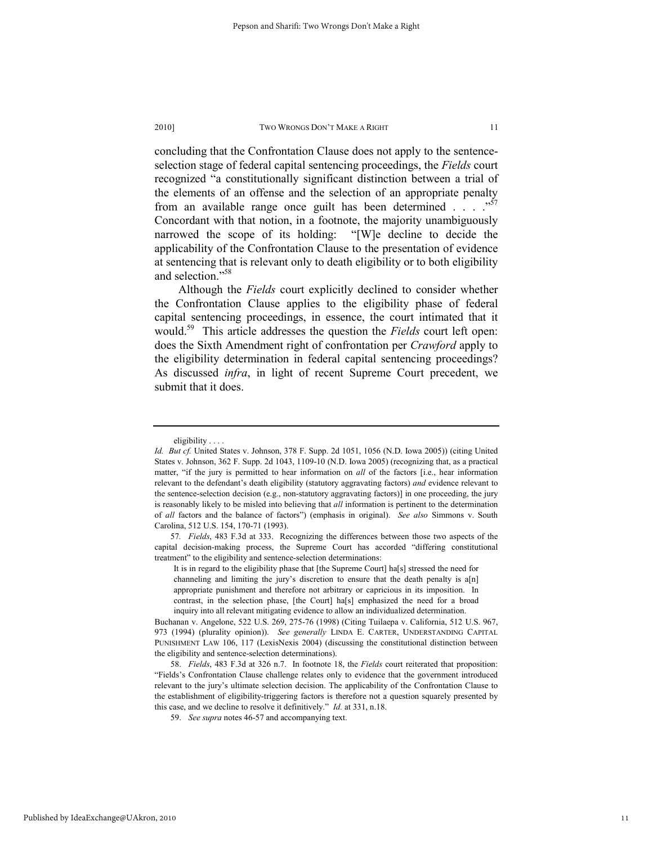concluding that the Confrontation Clause does not apply to the sentenceselection stage of federal capital sentencing proceedings, the *Fields* court recognized "a constitutionally significant distinction between a trial of the elements of an offense and the selection of an appropriate penalty from an available range once guilt has been determined  $\ldots$  ... Concordant with that notion, in a footnote, the majority unambiguously narrowed the scope of its holding: "[W]e decline to decide the applicability of the Confrontation Clause to the presentation of evidence at sentencing that is relevant only to death eligibility or to both eligibility and selection."58

Although the *Fields* court explicitly declined to consider whether the Confrontation Clause applies to the eligibility phase of federal capital sentencing proceedings, in essence, the court intimated that it would.59 This article addresses the question the *Fields* court left open: does the Sixth Amendment right of confrontation per *Crawford* apply to the eligibility determination in federal capital sentencing proceedings? As discussed *infra*, in light of recent Supreme Court precedent, we submit that it does.

eligibility . . . .

*Id. But cf.* United States v. Johnson, 378 F. Supp. 2d 1051, 1056 (N.D. Iowa 2005)) (citing United States v. Johnson, 362 F. Supp. 2d 1043, 1109-10 (N.D. Iowa 2005) (recognizing that, as a practical matter, "if the jury is permitted to hear information on *all* of the factors [i.e., hear information relevant to the defendant's death eligibility (statutory aggravating factors) *and* evidence relevant to the sentence-selection decision (e.g., non-statutory aggravating factors)] in one proceeding, the jury is reasonably likely to be misled into believing that *all* information is pertinent to the determination of *all* factors and the balance of factors") (emphasis in original). *See also* Simmons v. South Carolina, 512 U.S. 154, 170-71 (1993).

<sup>57</sup>*. Fields*, 483 F.3d at 333. Recognizing the differences between those two aspects of the capital decision-making process, the Supreme Court has accorded "differing constitutional treatment" to the eligibility and sentence-selection determinations:

It is in regard to the eligibility phase that [the Supreme Court] ha[s] stressed the need for channeling and limiting the jury's discretion to ensure that the death penalty is a[n] appropriate punishment and therefore not arbitrary or capricious in its imposition. In contrast, in the selection phase, [the Court] ha[s] emphasized the need for a broad inquiry into all relevant mitigating evidence to allow an individualized determination.

Buchanan v. Angelone, 522 U.S. 269, 275-76 (1998) (Citing Tuilaepa v. California, 512 U.S. 967, 973 (1994) (plurality opinion)). *See generally* LINDA E. CARTER, UNDERSTANDING CAPITAL PUNISHMENT LAW 106, 117 (LexisNexis 2004) (discussing the constitutional distinction between the eligibility and sentence-selection determinations).

 <sup>58.</sup> *Fields*, 483 F.3d at 326 n.7. In footnote 18, the *Fields* court reiterated that proposition: "Fields's Confrontation Clause challenge relates only to evidence that the government introduced relevant to the jury's ultimate selection decision. The applicability of the Confrontation Clause to the establishment of eligibility-triggering factors is therefore not a question squarely presented by this case, and we decline to resolve it definitively." *Id.* at 331, n.18.

 <sup>59.</sup> *See supra* notes 46-57 and accompanying text.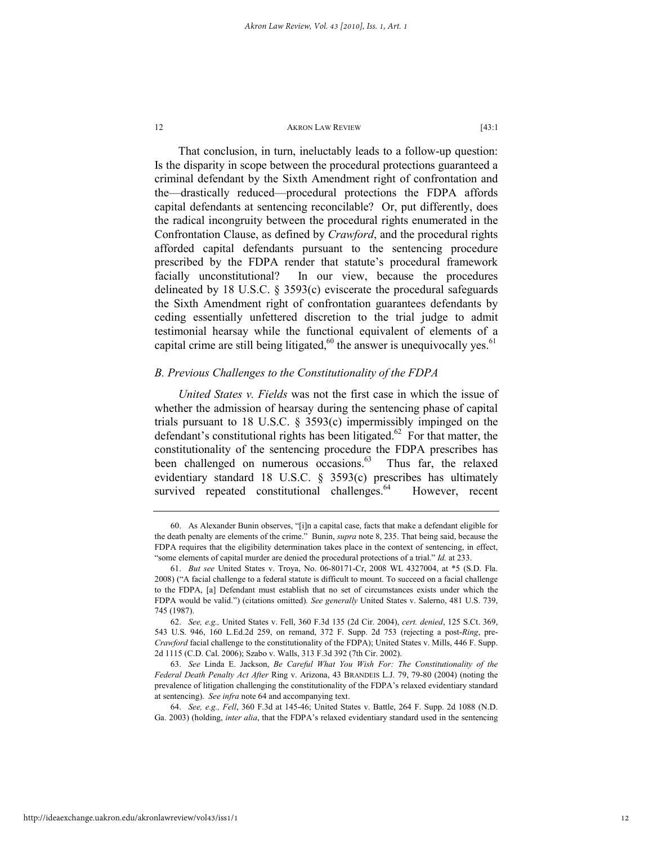That conclusion, in turn, ineluctably leads to a follow-up question: Is the disparity in scope between the procedural protections guaranteed a criminal defendant by the Sixth Amendment right of confrontation and the—drastically reduced—procedural protections the FDPA affords capital defendants at sentencing reconcilable? Or, put differently, does the radical incongruity between the procedural rights enumerated in the Confrontation Clause, as defined by *Crawford*, and the procedural rights afforded capital defendants pursuant to the sentencing procedure prescribed by the FDPA render that statute's procedural framework facially unconstitutional? In our view, because the procedures delineated by 18 U.S.C. § 3593(c) eviscerate the procedural safeguards the Sixth Amendment right of confrontation guarantees defendants by ceding essentially unfettered discretion to the trial judge to admit testimonial hearsay while the functional equivalent of elements of a capital crime are still being litigated,<sup>60</sup> the answer is unequivocally yes.<sup>61</sup>

# *B. Previous Challenges to the Constitutionality of the FDPA*

*United States v. Fields* was not the first case in which the issue of whether the admission of hearsay during the sentencing phase of capital trials pursuant to 18 U.S.C. § 3593(c) impermissibly impinged on the defendant's constitutional rights has been litigated.<sup>62</sup> For that matter, the constitutionality of the sentencing procedure the FDPA prescribes has been challenged on numerous occasions. $63$  Thus far, the relaxed evidentiary standard 18 U.S.C. § 3593(c) prescribes has ultimately survived repeated constitutional challenges.<sup>64</sup> However, recent

 <sup>60.</sup> As Alexander Bunin observes, "[i]n a capital case, facts that make a defendant eligible for the death penalty are elements of the crime." Bunin, *supra* note 8, 235. That being said, because the FDPA requires that the eligibility determination takes place in the context of sentencing, in effect, "some elements of capital murder are denied the procedural protections of a trial." *Id.* at 233.

 <sup>61.</sup> *But see* United States v. Troya, No. 06-80171-Cr, 2008 WL 4327004, at \*5 (S.D. Fla. 2008) ("A facial challenge to a federal statute is difficult to mount. To succeed on a facial challenge to the FDPA, [a] Defendant must establish that no set of circumstances exists under which the FDPA would be valid.") (citations omitted)*. See generally* United States v. Salerno, 481 U.S. 739, 745 (1987).

 <sup>62.</sup> *See, e.g.,* United States v. Fell, 360 F.3d 135 (2d Cir. 2004), *cert. denied*, 125 S.Ct. 369, 543 U.S. 946, 160 L.Ed.2d 259, on remand, 372 F. Supp. 2d 753 (rejecting a post-*Ring*, pre-*Crawford* facial challenge to the constitutionality of the FDPA); United States v. Mills, 446 F. Supp. 2d 1115 (C.D. Cal. 2006); Szabo v. Walls, 313 F.3d 392 (7th Cir. 2002).

 <sup>63.</sup> *See* Linda E. Jackson, *Be Careful What You Wish For: The Constitutionality of the Federal Death Penalty Act After* Ring v. Arizona, 43 BRANDEIS L.J. 79, 79-80 (2004) (noting the prevalence of litigation challenging the constitutionality of the FDPA's relaxed evidentiary standard at sentencing). *See infra* note 64 and accompanying text.

 <sup>64.</sup> *See, e.g., Fell*, 360 F.3d at 145-46; United States v. Battle, 264 F. Supp. 2d 1088 (N.D. Ga. 2003) (holding, *inter alia*, that the FDPA's relaxed evidentiary standard used in the sentencing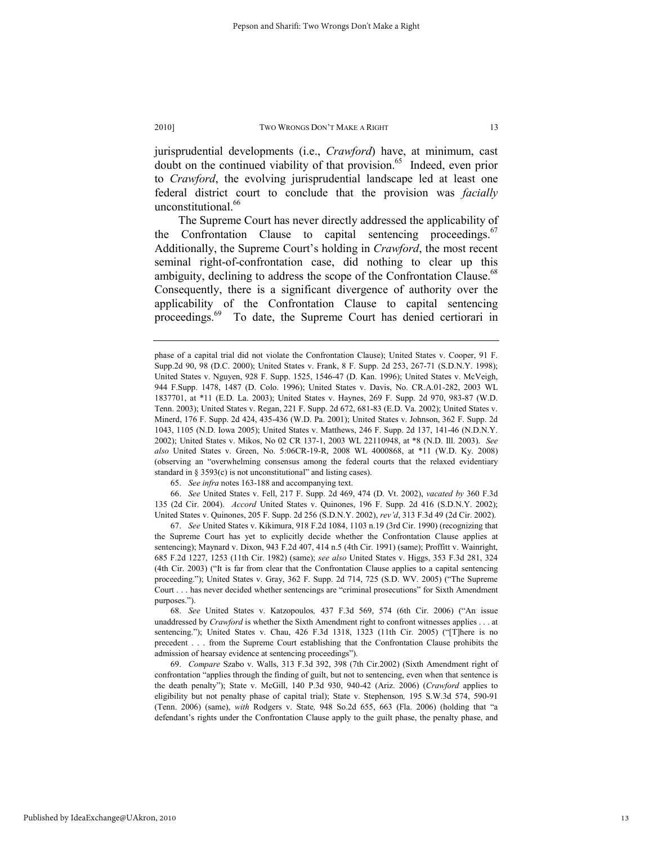jurisprudential developments (i.e., *Crawford*) have, at minimum, cast doubt on the continued viability of that provision.<sup>65</sup> Indeed, even prior to *Crawford*, the evolving jurisprudential landscape led at least one federal district court to conclude that the provision was *facially* unconstitutional.<sup>66</sup>

The Supreme Court has never directly addressed the applicability of the Confrontation Clause to capital sentencing proceedings.<sup>67</sup> Additionally, the Supreme Court's holding in *Crawford*, the most recent seminal right-of-confrontation case, did nothing to clear up this ambiguity, declining to address the scope of the Confrontation Clause.<sup>68</sup> Consequently, there is a significant divergence of authority over the applicability of the Confrontation Clause to capital sentencing proceedings.<sup>69</sup> To date, the Supreme Court has denied certiorari in

65. *See infra* notes 163-188 and accompanying text.

 66. *See* United States v. Fell, 217 F. Supp. 2d 469, 474 (D. Vt. 2002), *vacated by* 360 F.3d 135 (2d Cir. 2004). *Accord* United States v. Quinones, 196 F. Supp. 2d 416 (S.D.N.Y. 2002); United States v. Quinones, 205 F. Supp. 2d 256 (S.D.N.Y. 2002), *rev'd*, 313 F.3d 49 (2d Cir. 2002).

 67. *See* United States v. Kikimura, 918 F.2d 1084, 1103 n.19 (3rd Cir. 1990) (recognizing that the Supreme Court has yet to explicitly decide whether the Confrontation Clause applies at sentencing); Maynard v. Dixon, 943 F.2d 407, 414 n.5 (4th Cir. 1991) (same); Proffitt v. Wainright, 685 F.2d 1227, 1253 (11th Cir. 1982) (same); *see also* United States v. Higgs, 353 F.3d 281, 324 (4th Cir. 2003) ("It is far from clear that the Confrontation Clause applies to a capital sentencing proceeding."); United States v. Gray, 362 F. Supp. 2d 714, 725 (S.D. WV. 2005) ("The Supreme Court . . . has never decided whether sentencings are "criminal prosecutions" for Sixth Amendment purposes.").

 68. *See* United States v. Katzopoulos*,* 437 F.3d 569, 574 (6th Cir. 2006) ("An issue unaddressed by *Crawford* is whether the Sixth Amendment right to confront witnesses applies . . . at sentencing."); United States v. Chau, 426 F.3d 1318, 1323 (11th Cir. 2005) ("[T]here is no precedent . . . from the Supreme Court establishing that the Confrontation Clause prohibits the admission of hearsay evidence at sentencing proceedings").

 69. *Compare* Szabo v. Walls, 313 F.3d 392, 398 (7th Cir.2002) (Sixth Amendment right of confrontation "applies through the finding of guilt, but not to sentencing, even when that sentence is the death penalty"); State v. McGill, 140 P.3d 930, 940-42 (Ariz. 2006) (*Crawford* applies to eligibility but not penalty phase of capital trial); State v. Stephenson*,* 195 S.W.3d 574, 590-91 (Tenn. 2006) (same), *with* Rodgers v. State*,* 948 So.2d 655, 663 (Fla. 2006) (holding that "a defendant's rights under the Confrontation Clause apply to the guilt phase, the penalty phase, and

phase of a capital trial did not violate the Confrontation Clause); United States v. Cooper, 91 F. Supp.2d 90, 98 (D.C. 2000); United States v. Frank, 8 F. Supp. 2d 253, 267-71 (S.D.N.Y. 1998); United States v. Nguyen, 928 F. Supp. 1525, 1546-47 (D. Kan. 1996); United States v. McVeigh, 944 F.Supp. 1478, 1487 (D. Colo. 1996); United States v. Davis, No. CR.A.01-282, 2003 WL 1837701, at \*11 (E.D. La. 2003); United States v. Haynes, 269 F. Supp. 2d 970, 983-87 (W.D. Tenn. 2003); United States v. Regan, 221 F. Supp. 2d 672, 681-83 (E.D. Va. 2002); United States v. Minerd, 176 F. Supp. 2d 424, 435-436 (W.D. Pa. 2001); United States v. Johnson, 362 F. Supp. 2d 1043, 1105 (N.D. Iowa 2005); United States v. Matthews, 246 F. Supp. 2d 137, 141-46 (N.D.N.Y. 2002); United States v. Mikos, No 02 CR 137-1, 2003 WL 22110948, at \*8 (N.D. Ill. 2003). *See also* United States v. Green, No. 5:06CR-19-R, 2008 WL 4000868, at \*11 (W.D. Ky. 2008) (observing an "overwhelming consensus among the federal courts that the relaxed evidentiary standard in § 3593(c) is not unconstitutional" and listing cases).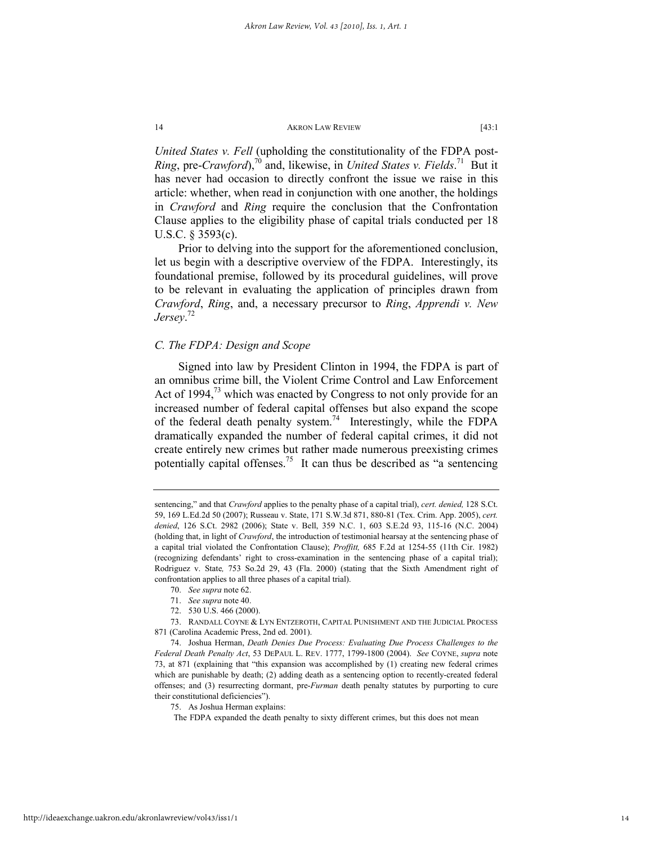*United States v. Fell* (upholding the constitutionality of the FDPA post-*Ring*, pre-*Crawford*),<sup>70</sup> and, likewise, in *United States v. Fields*.<sup>71</sup> But it has never had occasion to directly confront the issue we raise in this article: whether, when read in conjunction with one another, the holdings in *Crawford* and *Ring* require the conclusion that the Confrontation Clause applies to the eligibility phase of capital trials conducted per 18 U.S.C. § 3593(c).

Prior to delving into the support for the aforementioned conclusion, let us begin with a descriptive overview of the FDPA. Interestingly, its foundational premise, followed by its procedural guidelines, will prove to be relevant in evaluating the application of principles drawn from *Crawford*, *Ring*, and, a necessary precursor to *Ring*, *Apprendi v. New Jersey*. 72

# *C. The FDPA: Design and Scope*

Signed into law by President Clinton in 1994, the FDPA is part of an omnibus crime bill, the Violent Crime Control and Law Enforcement Act of 1994, $^{73}$  which was enacted by Congress to not only provide for an increased number of federal capital offenses but also expand the scope of the federal death penalty system.<sup>74</sup> Interestingly, while the FDPA dramatically expanded the number of federal capital crimes, it did not create entirely new crimes but rather made numerous preexisting crimes potentially capital offenses.<sup>75</sup> It can thus be described as "a sentencing

72. 530 U.S. 466 (2000).

sentencing," and that *Crawford* applies to the penalty phase of a capital trial), *cert. denied,* 128 S.Ct. 59, 169 L.Ed.2d 50 (2007); Russeau v. State, 171 S.W.3d 871, 880-81 (Tex. Crim. App. 2005), *cert. denied*, 126 S.Ct. 2982 (2006); State v. Bell, 359 N.C. 1, 603 S.E.2d 93, 115-16 (N.C. 2004) (holding that, in light of *Crawford*, the introduction of testimonial hearsay at the sentencing phase of a capital trial violated the Confrontation Clause); *Proffitt,* 685 F.2d at 1254-55 (11th Cir. 1982) (recognizing defendants' right to cross-examination in the sentencing phase of a capital trial); Rodriguez v. State*,* 753 So.2d 29, 43 (Fla. 2000) (stating that the Sixth Amendment right of confrontation applies to all three phases of a capital trial).

 <sup>70.</sup> *See supra* note 62.

 <sup>71.</sup> *See supra* note 40.

 <sup>73.</sup> RANDALL COYNE & LYN ENTZEROTH, CAPITAL PUNISHMENT AND THE JUDICIAL PROCESS 871 (Carolina Academic Press, 2nd ed. 2001).

 <sup>74.</sup> Joshua Herman, *Death Denies Due Process: Evaluating Due Process Challenges to the Federal Death Penalty Act*, 53 DEPAUL L. REV. 1777, 1799-1800 (2004). *See* COYNE, *supra* note 73, at 871 (explaining that "this expansion was accomplished by (1) creating new federal crimes which are punishable by death; (2) adding death as a sentencing option to recently-created federal offenses; and (3) resurrecting dormant, pre-*Furman* death penalty statutes by purporting to cure their constitutional deficiencies").

 <sup>75.</sup> As Joshua Herman explains:

The FDPA expanded the death penalty to sixty different crimes, but this does not mean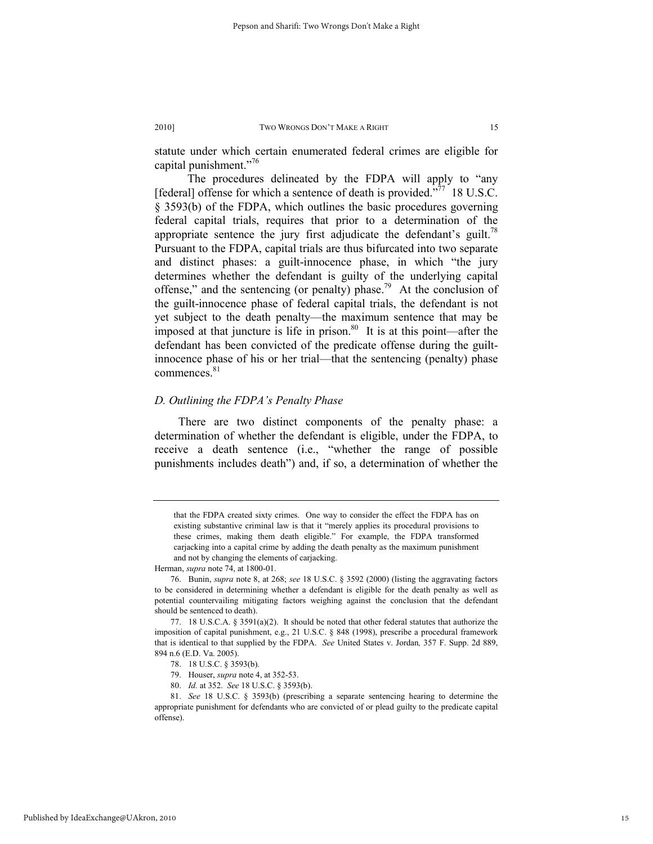statute under which certain enumerated federal crimes are eligible for capital punishment."76

 The procedures delineated by the FDPA will apply to "any [federal] offense for which a sentence of death is provided."<sup>77</sup> 18 U.S.C. § 3593(b) of the FDPA, which outlines the basic procedures governing federal capital trials, requires that prior to a determination of the appropriate sentence the jury first adjudicate the defendant's guilt.<sup>78</sup> Pursuant to the FDPA, capital trials are thus bifurcated into two separate and distinct phases: a guilt-innocence phase, in which "the jury determines whether the defendant is guilty of the underlying capital offense," and the sentencing (or penalty) phase.<sup>79</sup> At the conclusion of the guilt-innocence phase of federal capital trials, the defendant is not yet subject to the death penalty—the maximum sentence that may be imposed at that juncture is life in prison. $80$  It is at this point—after the defendant has been convicted of the predicate offense during the guiltinnocence phase of his or her trial—that the sentencing (penalty) phase commences.<sup>81</sup>

# *D. Outlining the FDPA's Penalty Phase*

There are two distinct components of the penalty phase: a determination of whether the defendant is eligible, under the FDPA, to receive a death sentence (i.e., "whether the range of possible punishments includes death") and, if so, a determination of whether the

Herman, *supra* note 74, at 1800-01.

 76. Bunin, *supra* note 8, at 268; *see* 18 U.S.C. § 3592 (2000) (listing the aggravating factors to be considered in determining whether a defendant is eligible for the death penalty as well as potential countervailing mitigating factors weighing against the conclusion that the defendant should be sentenced to death).

Published by IdeaExchange@UAkron, 2010

that the FDPA created sixty crimes. One way to consider the effect the FDPA has on existing substantive criminal law is that it "merely applies its procedural provisions to these crimes, making them death eligible." For example, the FDPA transformed carjacking into a capital crime by adding the death penalty as the maximum punishment and not by changing the elements of carjacking.

 <sup>77. 18</sup> U.S.C.A. § 3591(a)(2). It should be noted that other federal statutes that authorize the imposition of capital punishment, e.g., 21 U.S.C. § 848 (1998), prescribe a procedural framework that is identical to that supplied by the FDPA. *See* United States v. Jordan*,* 357 F. Supp. 2d 889, 894 n.6 (E.D. Va. 2005).

 <sup>78. 18</sup> U.S.C. § 3593(b).

 <sup>79.</sup> Houser, *supra* note 4, at 352-53.

 <sup>80.</sup> *Id.* at 352. *See* 18 U.S.C. § 3593(b).

 <sup>81.</sup> *See* 18 U.S.C. § 3593(b) (prescribing a separate sentencing hearing to determine the appropriate punishment for defendants who are convicted of or plead guilty to the predicate capital offense).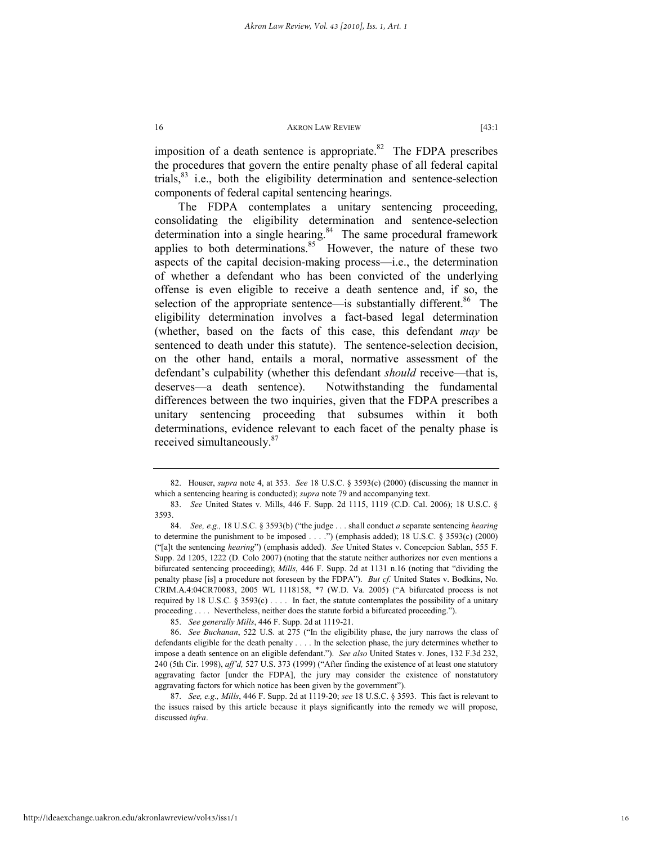imposition of a death sentence is appropriate. $82$  The FDPA prescribes the procedures that govern the entire penalty phase of all federal capital trials, $83$  i.e., both the eligibility determination and sentence-selection components of federal capital sentencing hearings.

The FDPA contemplates a unitary sentencing proceeding, consolidating the eligibility determination and sentence-selection determination into a single hearing. $84$  The same procedural framework applies to both determinations. $85$  However, the nature of these two aspects of the capital decision-making process—i.e., the determination of whether a defendant who has been convicted of the underlying offense is even eligible to receive a death sentence and, if so, the selection of the appropriate sentence—is substantially different.<sup>86</sup> The eligibility determination involves a fact-based legal determination (whether, based on the facts of this case, this defendant *may* be sentenced to death under this statute). The sentence-selection decision, on the other hand, entails a moral, normative assessment of the defendant's culpability (whether this defendant *should* receive—that is, deserves—a death sentence). Notwithstanding the fundamental differences between the two inquiries, given that the FDPA prescribes a unitary sentencing proceeding that subsumes within it both determinations, evidence relevant to each facet of the penalty phase is received simultaneously.<sup>87</sup>

 <sup>82.</sup> Houser, *supra* note 4, at 353. *See* 18 U.S.C. § 3593(c) (2000) (discussing the manner in which a sentencing hearing is conducted); *supra* note 79 and accompanying text.

 <sup>83.</sup> *See* United States v. Mills, 446 F. Supp. 2d 1115, 1119 (C.D. Cal. 2006); 18 U.S.C. § 3593.

 <sup>84.</sup> *See, e.g.,* 18 U.S.C. § 3593(b) ("the judge . . . shall conduct *a* separate sentencing *hearing* to determine the punishment to be imposed . . . .") (emphasis added); 18 U.S.C. § 3593(c) (2000) ("[a]t the sentencing *hearing*") (emphasis added). *See* United States v. Concepcion Sablan, 555 F. Supp. 2d 1205, 1222 (D. Colo 2007) (noting that the statute neither authorizes nor even mentions a bifurcated sentencing proceeding); *Mills*, 446 F. Supp. 2d at 1131 n.16 (noting that "dividing the penalty phase [is] a procedure not foreseen by the FDPA"). *But cf.* United States v. Bodkins, No. CRIM.A.4:04CR70083, 2005 WL 1118158, \*7 (W.D. Va. 2005) ("A bifurcated process is not required by 18 U.S.C.  $\S$  3593(c) ... In fact, the statute contemplates the possibility of a unitary proceeding . . . . Nevertheless, neither does the statute forbid a bifurcated proceeding.").

 <sup>85.</sup> *See generally Mills*, 446 F. Supp. 2d at 1119-21.

 <sup>86.</sup> *See Buchanan*, 522 U.S. at 275 ("In the eligibility phase, the jury narrows the class of defendants eligible for the death penalty . . . . In the selection phase, the jury determines whether to impose a death sentence on an eligible defendant."). *See also* United States v. Jones, 132 F.3d 232, 240 (5th Cir. 1998), *aff'd,* 527 U.S. 373 (1999) ("After finding the existence of at least one statutory aggravating factor [under the FDPA], the jury may consider the existence of nonstatutory aggravating factors for which notice has been given by the government").

 <sup>87.</sup> *See, e.g., Mills*, 446 F. Supp. 2d at 1119-20; *see* 18 U.S.C. § 3593. This fact is relevant to the issues raised by this article because it plays significantly into the remedy we will propose, discussed *infra*.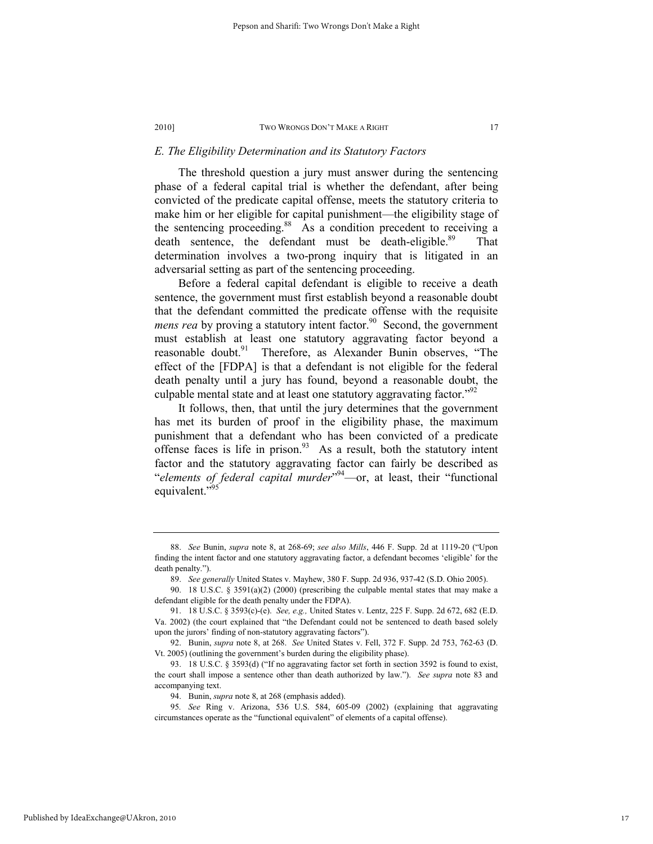# *E. The Eligibility Determination and its Statutory Factors*

The threshold question a jury must answer during the sentencing phase of a federal capital trial is whether the defendant, after being convicted of the predicate capital offense, meets the statutory criteria to make him or her eligible for capital punishment—the eligibility stage of the sentencing proceeding.<sup>88</sup> As a condition precedent to receiving a death sentence, the defendant must be death-eligible.<sup>89</sup> That determination involves a two-prong inquiry that is litigated in an adversarial setting as part of the sentencing proceeding.

Before a federal capital defendant is eligible to receive a death sentence, the government must first establish beyond a reasonable doubt that the defendant committed the predicate offense with the requisite *mens rea* by proving a statutory intent factor.<sup>90</sup> Second, the government must establish at least one statutory aggravating factor beyond a reasonable doubt.<sup>91</sup> Therefore, as Alexander Bunin observes, "The effect of the [FDPA] is that a defendant is not eligible for the federal death penalty until a jury has found, beyond a reasonable doubt, the culpable mental state and at least one statutory aggravating factor.<sup> $292$ </sup>

It follows, then, that until the jury determines that the government has met its burden of proof in the eligibility phase, the maximum punishment that a defendant who has been convicted of a predicate offense faces is life in prison. $93$  As a result, both the statutory intent factor and the statutory aggravating factor can fairly be described as "*elements of federal capital murder*" 94—or, at least, their "functional equivalent."<sup>95</sup>

94. Bunin, *supra* note 8, at 268 (emphasis added).

 <sup>88.</sup> *See* Bunin, *supra* note 8, at 268-69; *see also Mills*, 446 F. Supp. 2d at 1119-20 ("Upon finding the intent factor and one statutory aggravating factor, a defendant becomes 'eligible' for the death penalty.").

 <sup>89.</sup> *See generally* United States v. Mayhew, 380 F. Supp. 2d 936, 937-42 (S.D. Ohio 2005).

<sup>90. 18</sup> U.S.C. § 3591(a)(2) (2000) (prescribing the culpable mental states that may make a defendant eligible for the death penalty under the FDPA).

 <sup>91. 18</sup> U.S.C. § 3593(c)-(e). *See, e.g.,* United States v. Lentz, 225 F. Supp. 2d 672, 682 (E.D. Va. 2002) (the court explained that "the Defendant could not be sentenced to death based solely upon the jurors' finding of non-statutory aggravating factors").

 <sup>92.</sup> Bunin, *supra* note 8, at 268. *See* United States v. Fell, 372 F. Supp. 2d 753, 762-63 (D. Vt. 2005) (outlining the government's burden during the eligibility phase).

 <sup>93. 18</sup> U.S.C. § 3593(d) ("If no aggravating factor set forth in section 3592 is found to exist, the court shall impose a sentence other than death authorized by law."). *See supra* note 83 and accompanying text.

<sup>95</sup>*. See* Ring v. Arizona, 536 U.S. 584, 605-09 (2002) (explaining that aggravating circumstances operate as the "functional equivalent" of elements of a capital offense).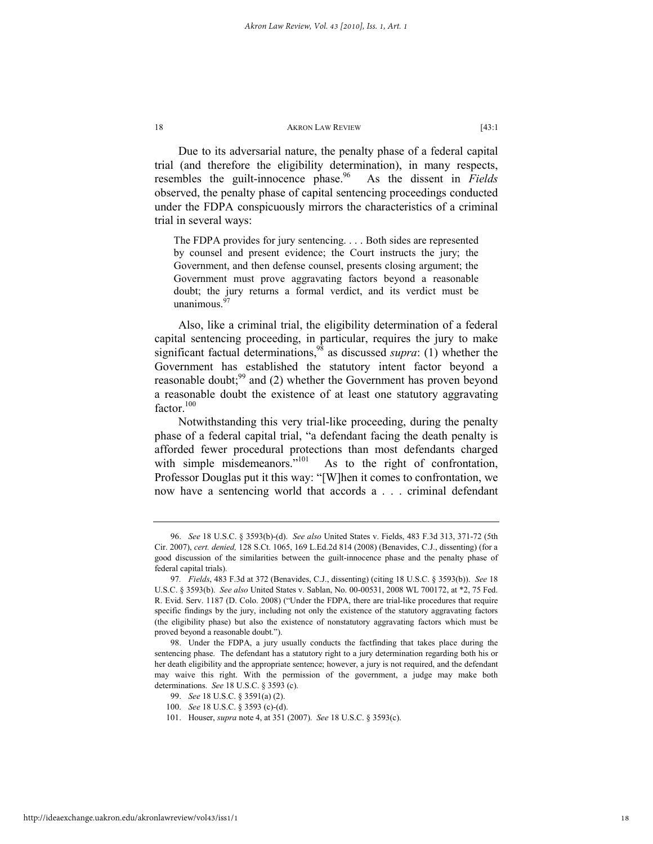Due to its adversarial nature, the penalty phase of a federal capital trial (and therefore the eligibility determination), in many respects, resembles the guilt-innocence phase.<sup>96</sup> As the dissent in *Fields* observed, the penalty phase of capital sentencing proceedings conducted under the FDPA conspicuously mirrors the characteristics of a criminal trial in several ways:

The FDPA provides for jury sentencing. . . . Both sides are represented by counsel and present evidence; the Court instructs the jury; the Government, and then defense counsel, presents closing argument; the Government must prove aggravating factors beyond a reasonable doubt; the jury returns a formal verdict, and its verdict must be unanimous. $\frac{9}{2}$ 

Also, like a criminal trial, the eligibility determination of a federal capital sentencing proceeding, in particular, requires the jury to make significant factual determinations,<sup>98</sup> as discussed *supra*: (1) whether the Government has established the statutory intent factor beyond a reasonable doubt;<sup>99</sup> and (2) whether the Government has proven beyond a reasonable doubt the existence of at least one statutory aggravating factor.<sup>100</sup>

Notwithstanding this very trial-like proceeding, during the penalty phase of a federal capital trial, "a defendant facing the death penalty is afforded fewer procedural protections than most defendants charged with simple misdemeanors."<sup>101</sup> As to the right of confrontation, Professor Douglas put it this way: "[W]hen it comes to confrontation, we now have a sentencing world that accords a . . . criminal defendant

 <sup>96.</sup> *See* 18 U.S.C. § 3593(b)-(d). *See also* United States v. Fields, 483 F.3d 313, 371-72 (5th Cir. 2007), *cert. denied,* 128 S.Ct. 1065, 169 L.Ed.2d 814 (2008) (Benavides, C.J., dissenting) (for a good discussion of the similarities between the guilt-innocence phase and the penalty phase of federal capital trials).

<sup>97</sup>*. Fields*, 483 F.3d at 372 (Benavides, C.J., dissenting) (citing 18 U.S.C. § 3593(b)). *See* 18 U.S.C. § 3593(b). *See also* United States v. Sablan, No. 00-00531, 2008 WL 700172, at \*2, 75 Fed. R. Evid. Serv. 1187 (D. Colo. 2008) ("Under the FDPA, there are trial-like procedures that require specific findings by the jury, including not only the existence of the statutory aggravating factors (the eligibility phase) but also the existence of nonstatutory aggravating factors which must be proved beyond a reasonable doubt.").

 <sup>98.</sup> Under the FDPA, a jury usually conducts the factfinding that takes place during the sentencing phase. The defendant has a statutory right to a jury determination regarding both his or her death eligibility and the appropriate sentence; however, a jury is not required, and the defendant may waive this right. With the permission of the government, a judge may make both determinations. *See* 18 U.S.C. § 3593 (c).

 <sup>99.</sup> *See* 18 U.S.C. § 3591(a) (2).

 <sup>100.</sup> *See* 18 U.S.C. § 3593 (c)-(d).

 <sup>101.</sup> Houser, *supra* note 4, at 351 (2007). *See* 18 U.S.C. § 3593(c).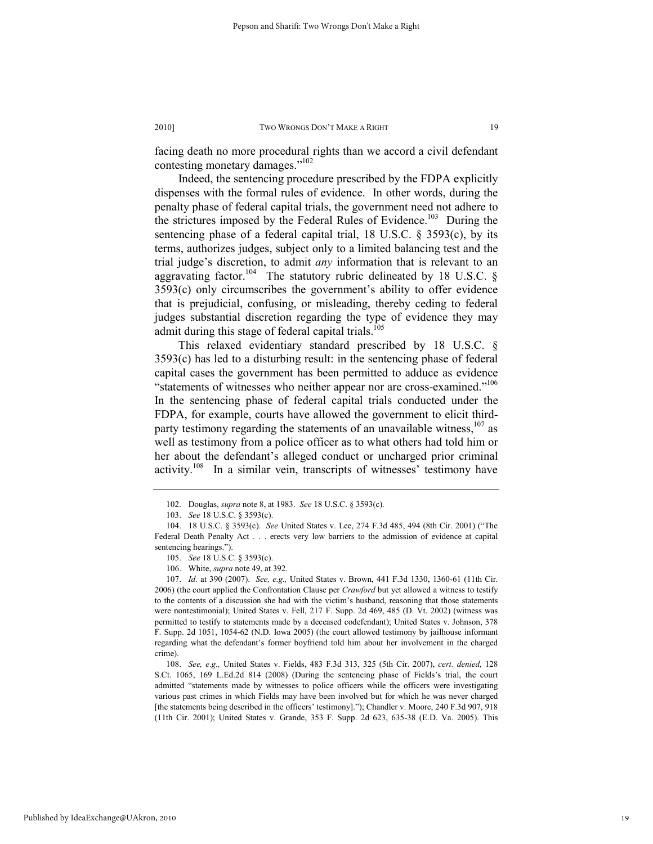facing death no more procedural rights than we accord a civil defendant contesting monetary damages."<sup>102</sup>

Indeed, the sentencing procedure prescribed by the FDPA explicitly dispenses with the formal rules of evidence. In other words, during the penalty phase of federal capital trials, the government need not adhere to the strictures imposed by the Federal Rules of Evidence.<sup>103</sup> During the sentencing phase of a federal capital trial, 18 U.S.C. § 3593(c), by its terms, authorizes judges, subject only to a limited balancing test and the trial judge's discretion, to admit *any* information that is relevant to an aggravating factor.<sup>104</sup> The statutory rubric delineated by 18 U.S.C. § 3593(c) only circumscribes the government's ability to offer evidence that is prejudicial, confusing, or misleading, thereby ceding to federal judges substantial discretion regarding the type of evidence they may admit during this stage of federal capital trials.<sup>105</sup>

This relaxed evidentiary standard prescribed by 18 U.S.C. § 3593(c) has led to a disturbing result: in the sentencing phase of federal capital cases the government has been permitted to adduce as evidence "statements of witnesses who neither appear nor are cross-examined."<sup>106</sup> In the sentencing phase of federal capital trials conducted under the FDPA, for example, courts have allowed the government to elicit thirdparty testimony regarding the statements of an unavailable witness,  $107$  as well as testimony from a police officer as to what others had told him or her about the defendant's alleged conduct or uncharged prior criminal activity.<sup>108</sup> In a similar vein, transcripts of witnesses' testimony have

 <sup>102.</sup> Douglas, *supra* note 8, at 1983. *See* 18 U.S.C. § 3593(c).

 <sup>103.</sup> *See* 18 U.S.C. § 3593(c).

 <sup>104. 18</sup> U.S.C. § 3593(c). *See* United States v. Lee, 274 F.3d 485, 494 (8th Cir. 2001) ("The Federal Death Penalty Act . . . erects very low barriers to the admission of evidence at capital sentencing hearings.").

 <sup>105.</sup> *See* 18 U.S.C. § 3593(c).

 <sup>106.</sup> White, *supra* note 49, at 392.

 <sup>107.</sup> *Id.* at 390 (2007). *See, e.g.,* United States v. Brown, 441 F.3d 1330, 1360-61 (11th Cir. 2006) (the court applied the Confrontation Clause per *Crawford* but yet allowed a witness to testify to the contents of a discussion she had with the victim's husband, reasoning that those statements were nontestimonial); United States v. Fell, 217 F. Supp. 2d 469, 485 (D. Vt. 2002) (witness was permitted to testify to statements made by a deceased codefendant); United States v. Johnson, 378 F. Supp. 2d 1051, 1054-62 (N.D. Iowa 2005) (the court allowed testimony by jailhouse informant regarding what the defendant's former boyfriend told him about her involvement in the charged crime).

 <sup>108.</sup> *See, e.g.,* United States v. Fields, 483 F.3d 313, 325 (5th Cir. 2007), *cert. denied,* 128 S.Ct. 1065, 169 L.Ed.2d 814 (2008) (During the sentencing phase of Fields's trial, the court admitted "statements made by witnesses to police officers while the officers were investigating various past crimes in which Fields may have been involved but for which he was never charged [the statements being described in the officers' testimony]."); Chandler v. Moore, 240 F.3d 907, 918 (11th Cir. 2001); United States v. Grande, 353 F. Supp. 2d 623, 635-38 (E.D. Va. 2005). This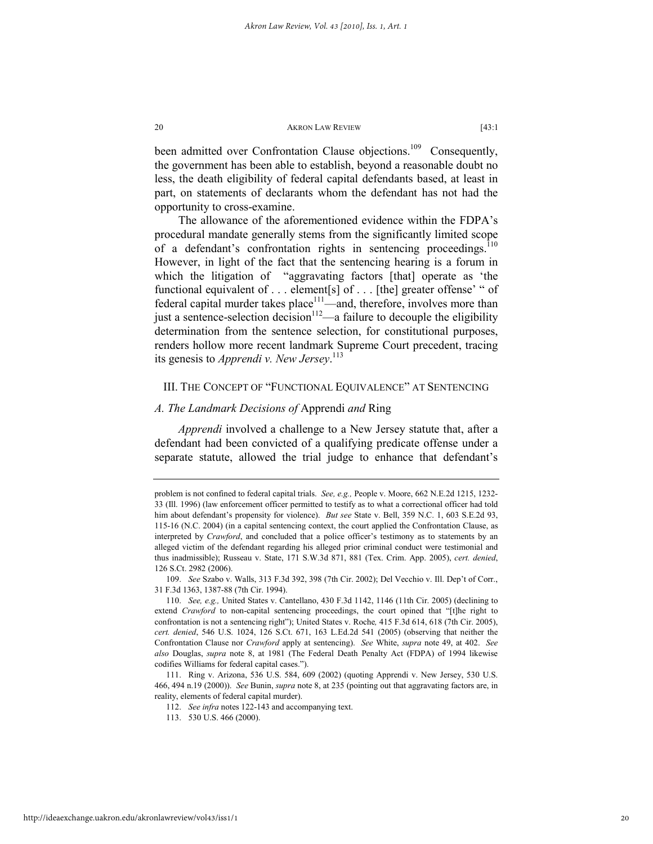been admitted over Confrontation Clause objections.<sup>109</sup> Consequently, the government has been able to establish, beyond a reasonable doubt no less, the death eligibility of federal capital defendants based, at least in part, on statements of declarants whom the defendant has not had the opportunity to cross-examine.

The allowance of the aforementioned evidence within the FDPA's procedural mandate generally stems from the significantly limited scope of a defendant's confrontation rights in sentencing proceedings. $110$ However, in light of the fact that the sentencing hearing is a forum in which the litigation of "aggravating factors [that] operate as 'the functional equivalent of . . . element[s] of . . . [the] greater offense' " of federal capital murder takes place $111$ —and, therefore, involves more than just a sentence-selection decision<sup>112</sup>—a failure to decouple the eligibility determination from the sentence selection, for constitutional purposes, renders hollow more recent landmark Supreme Court precedent, tracing its genesis to *Apprendi v. New Jersey*. 113

# III. THE CONCEPT OF "FUNCTIONAL EQUIVALENCE" AT SENTENCING

# *A. The Landmark Decisions of* Apprendi *and* Ring

*Apprendi* involved a challenge to a New Jersey statute that, after a defendant had been convicted of a qualifying predicate offense under a separate statute, allowed the trial judge to enhance that defendant's

 109. *See* Szabo v. Walls, 313 F.3d 392, 398 (7th Cir. 2002); Del Vecchio v. Ill. Dep't of Corr., 31 F.3d 1363, 1387-88 (7th Cir. 1994).

problem is not confined to federal capital trials. *See, e.g.,* People v. Moore, 662 N.E.2d 1215, 1232- 33 (Ill. 1996) (law enforcement officer permitted to testify as to what a correctional officer had told him about defendant's propensity for violence). *But see* State v. Bell, 359 N.C. 1, 603 S.E.2d 93, 115-16 (N.C. 2004) (in a capital sentencing context, the court applied the Confrontation Clause, as interpreted by *Crawford*, and concluded that a police officer's testimony as to statements by an alleged victim of the defendant regarding his alleged prior criminal conduct were testimonial and thus inadmissible); Russeau v. State, 171 S.W.3d 871, 881 (Tex. Crim. App. 2005), *cert. denied*, 126 S.Ct. 2982 (2006).

 <sup>110.</sup> *See, e.g.,* United States v. Cantellano, 430 F.3d 1142, 1146 (11th Cir. 2005) (declining to extend *Crawford* to non-capital sentencing proceedings, the court opined that "[t]he right to confrontation is not a sentencing right"); United States v. Roche*,* 415 F.3d 614, 618 (7th Cir. 2005), *cert. denied*, 546 U.S. 1024, 126 S.Ct. 671, 163 L.Ed.2d 541 (2005) (observing that neither the Confrontation Clause nor *Crawford* apply at sentencing). *See* White, *supra* note 49, at 402. *See also* Douglas, *supra* note 8, at 1981 (The Federal Death Penalty Act (FDPA) of 1994 likewise codifies Williams for federal capital cases.").

 <sup>111.</sup> Ring v. Arizona, 536 U.S. 584, 609 (2002) (quoting Apprendi v. New Jersey, 530 U.S. 466, 494 n.19 (2000)). *See* Bunin, *supra* note 8, at 235 (pointing out that aggravating factors are, in reality, elements of federal capital murder).

 <sup>112.</sup> *See infra* notes 122-143 and accompanying text.

 <sup>113. 530</sup> U.S. 466 (2000).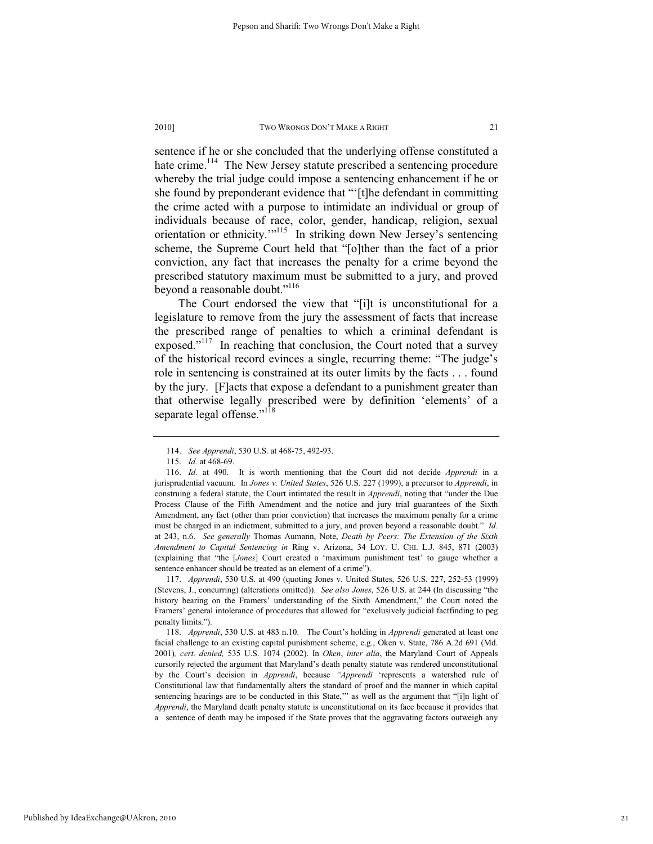sentence if he or she concluded that the underlying offense constituted a hate crime.<sup>114</sup> The New Jersey statute prescribed a sentencing procedure whereby the trial judge could impose a sentencing enhancement if he or she found by preponderant evidence that "'[t]he defendant in committing the crime acted with a purpose to intimidate an individual or group of individuals because of race, color, gender, handicap, religion, sexual orientation or ethnicity."<sup>115</sup> In striking down New Jersey's sentencing scheme, the Supreme Court held that "[o]ther than the fact of a prior conviction, any fact that increases the penalty for a crime beyond the prescribed statutory maximum must be submitted to a jury, and proved beyond a reasonable doubt."<sup>116</sup>

The Court endorsed the view that "[i]t is unconstitutional for a legislature to remove from the jury the assessment of facts that increase the prescribed range of penalties to which a criminal defendant is exposed."<sup>117</sup> In reaching that conclusion, the Court noted that a survey of the historical record evinces a single, recurring theme: "The judge's role in sentencing is constrained at its outer limits by the facts . . . found by the jury. [F]acts that expose a defendant to a punishment greater than that otherwise legally prescribed were by definition 'elements' of a separate legal offense."<sup>118</sup>

Published by IdeaExchange@UAkron, 2010

 <sup>114.</sup> *See Apprendi*, 530 U.S. at 468-75, 492-93.

 <sup>115.</sup> *Id.* at 468-69.

 <sup>116.</sup> *Id.* at 490. It is worth mentioning that the Court did not decide *Apprendi* in a jurisprudential vacuum. In *Jones v. United States*, 526 U.S. 227 (1999), a precursor to *Apprendi*, in construing a federal statute, the Court intimated the result in *Apprendi*, noting that "under the Due Process Clause of the Fifth Amendment and the notice and jury trial guarantees of the Sixth Amendment, any fact (other than prior conviction) that increases the maximum penalty for a crime must be charged in an indictment, submitted to a jury, and proven beyond a reasonable doubt." *Id.*  at 243, n.6. *See generally* Thomas Aumann, Note, *Death by Peers: The Extension of the Sixth Amendment to Capital Sentencing in* Ring v. Arizona, 34 LOY. U. CHI. L.J. 845, 871 (2003) (explaining that "the [*Jones*] Court created a 'maximum punishment test' to gauge whether a sentence enhancer should be treated as an element of a crime").

 <sup>117.</sup> *Apprendi*, 530 U.S. at 490 (quoting Jones v. United States, 526 U.S. 227, 252-53 (1999) (Stevens, J., concurring) (alterations omitted)). *See also Jones*, 526 U.S. at 244 (In discussing "the history bearing on the Framers' understanding of the Sixth Amendment," the Court noted the Framers' general intolerance of procedures that allowed for "exclusively judicial factfinding to peg penalty limits.").

 <sup>118.</sup> *Apprendi*, 530 U.S. at 483 n.10. The Court's holding in *Apprendi* generated at least one facial challenge to an existing capital punishment scheme, e.g., Oken v. State, 786 A.2d 691 (Md. 2001)*, cert. denied,* 535 U.S. 1074 (2002). In *Oken*, *inter alia*, the Maryland Court of Appeals cursorily rejected the argument that Maryland's death penalty statute was rendered unconstitutional by the Court's decision in *Apprendi*, because *"Apprendi* 'represents a watershed rule of Constitutional law that fundamentally alters the standard of proof and the manner in which capital sentencing hearings are to be conducted in this State," as well as the argument that "[i]n light of *Apprendi*, the Maryland death penalty statute is unconstitutional on its face because it provides that a sentence of death may be imposed if the State proves that the aggravating factors outweigh any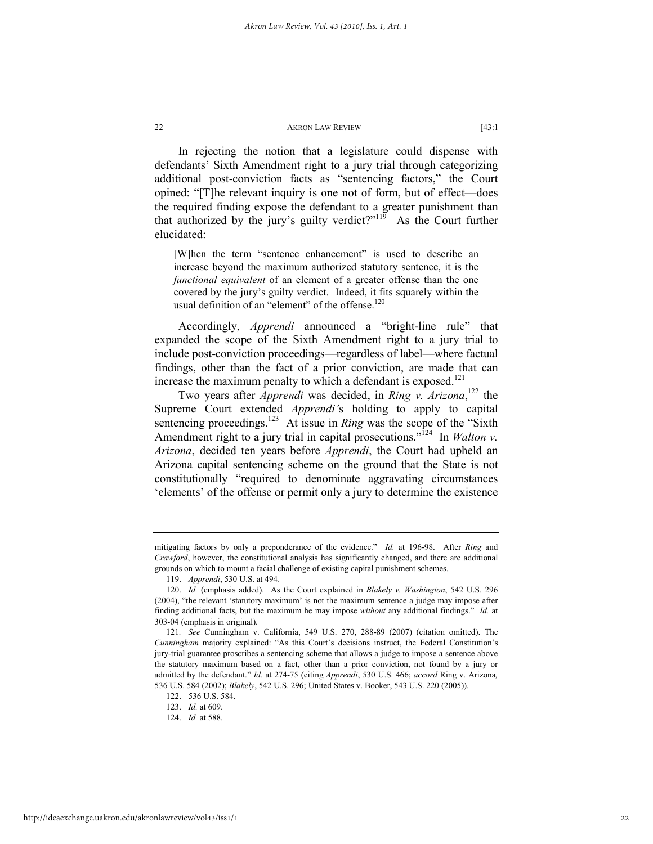In rejecting the notion that a legislature could dispense with defendants' Sixth Amendment right to a jury trial through categorizing additional post-conviction facts as "sentencing factors," the Court opined: "[T]he relevant inquiry is one not of form, but of effect—does the required finding expose the defendant to a greater punishment than that authorized by the jury's guilty verdict?" $119$  As the Court further elucidated:

[W]hen the term "sentence enhancement" is used to describe an increase beyond the maximum authorized statutory sentence, it is the *functional equivalent* of an element of a greater offense than the one covered by the jury's guilty verdict. Indeed, it fits squarely within the usual definition of an "element" of the offense.<sup>120</sup>

Accordingly, *Apprendi* announced a "bright-line rule" that expanded the scope of the Sixth Amendment right to a jury trial to include post-conviction proceedings—regardless of label—where factual findings, other than the fact of a prior conviction, are made that can increase the maximum penalty to which a defendant is exposed.<sup>121</sup>

Two years after *Apprendi* was decided, in *Ring v. Arizona*, 122 the Supreme Court extended *Apprendi'*s holding to apply to capital sentencing proceedings.<sup>123</sup> At issue in *Ring* was the scope of the "Sixth" Amendment right to a jury trial in capital prosecutions."<sup>124</sup> In *Walton v. Arizona*, decided ten years before *Apprendi*, the Court had upheld an Arizona capital sentencing scheme on the ground that the State is not constitutionally "required to denominate aggravating circumstances 'elements' of the offense or permit only a jury to determine the existence

mitigating factors by only a preponderance of the evidence." *Id.* at 196-98. After *Ring* and *Crawford*, however, the constitutional analysis has significantly changed, and there are additional grounds on which to mount a facial challenge of existing capital punishment schemes.

 <sup>119.</sup> *Apprendi*, 530 U.S. at 494.

 <sup>120.</sup> *Id.* (emphasis added). As the Court explained in *Blakely v. Washington*, 542 U.S. 296 (2004), "the relevant 'statutory maximum' is not the maximum sentence a judge may impose after finding additional facts, but the maximum he may impose *without* any additional findings." *Id.* at 303-04 (emphasis in original).

<sup>121</sup>*. See* Cunningham v. California, 549 U.S. 270, 288-89 (2007) (citation omitted). The *Cunningham* majority explained: "As this Court's decisions instruct, the Federal Constitution's jury-trial guarantee proscribes a sentencing scheme that allows a judge to impose a sentence above the statutory maximum based on a fact, other than a prior conviction, not found by a jury or admitted by the defendant." *Id.* at 274-75 (citing *Apprendi*, 530 U.S. 466; *accord* Ring v. Arizona*,* 536 U.S. 584 (2002); *Blakely*, 542 U.S. 296; United States v. Booker, 543 U.S. 220 (2005)).

 <sup>122. 536</sup> U.S. 584.

 <sup>123.</sup> *Id.* at 609.

 <sup>124.</sup> *Id.* at 588.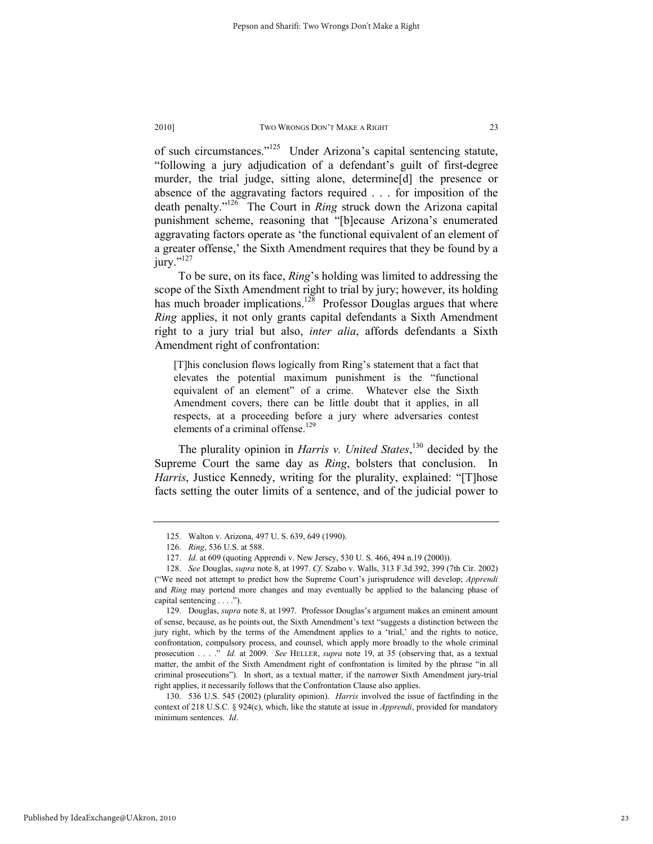of such circumstances."125 Under Arizona's capital sentencing statute, "following a jury adjudication of a defendant's guilt of first-degree murder, the trial judge, sitting alone, determine[d] the presence or absence of the aggravating factors required . . . for imposition of the death penalty."126 The Court in *Ring* struck down the Arizona capital punishment scheme, reasoning that "[b]ecause Arizona's enumerated aggravating factors operate as 'the functional equivalent of an element of a greater offense,' the Sixth Amendment requires that they be found by a jury."<sup>127</sup>

To be sure, on its face, *Ring*'s holding was limited to addressing the scope of the Sixth Amendment right to trial by jury; however, its holding has much broader implications.<sup>128</sup> Professor Douglas argues that where *Ring* applies, it not only grants capital defendants a Sixth Amendment right to a jury trial but also, *inter alia*, affords defendants a Sixth Amendment right of confrontation:

[T]his conclusion flows logically from Ring's statement that a fact that elevates the potential maximum punishment is the "functional equivalent of an element" of a crime. Whatever else the Sixth Amendment covers, there can be little doubt that it applies, in all respects, at a proceeding before a jury where adversaries contest elements of a criminal offense.<sup>129</sup>

The plurality opinion in *Harris v. United States*, 130 decided by the Supreme Court the same day as *Ring*, bolsters that conclusion. In *Harris*, Justice Kennedy, writing for the plurality, explained: "[T]hose facts setting the outer limits of a sentence, and of the judicial power to

 <sup>125.</sup> Walton v. Arizona, 497 U. S. 639, 649 (1990).

 <sup>126.</sup> *Ring*, 536 U.S. at 588.

 <sup>127.</sup> *Id.* at 609 (quoting Apprendi v. New Jersey, 530 U. S. 466, 494 n.19 (2000)).

 <sup>128.</sup> *See* Douglas, *supra* note 8, at 1997. *Cf.* Szabo v. Walls, 313 F.3d 392, 399 (7th Cir. 2002) ("We need not attempt to predict how the Supreme Court's jurisprudence will develop; *Apprendi* and *Ring* may portend more changes and may eventually be applied to the balancing phase of capital sentencing . . . .").

 <sup>129.</sup> Douglas, *supra* note 8, at 1997. Professor Douglas's argument makes an eminent amount of sense, because, as he points out, the Sixth Amendment's text "suggests a distinction between the jury right, which by the terms of the Amendment applies to a 'trial,' and the rights to notice, confrontation, compulsory process, and counsel, which apply more broadly to the whole criminal prosecution . . . ." *Id.* at 2009. *See* HELLER, *supra* note 19, at 35 (observing that, as a textual matter, the ambit of the Sixth Amendment right of confrontation is limited by the phrase "in all criminal prosecutions"). In short, as a textual matter, if the narrower Sixth Amendment jury-trial right applies, it necessarily follows that the Confrontation Clause also applies.

 <sup>130. 536</sup> U.S. 545 (2002) (plurality opinion). *Harris* involved the issue of factfinding in the context of 218 U.S.C. § 924(c), which, like the statute at issue in *Apprendi*, provided for mandatory minimum sentences. *Id*.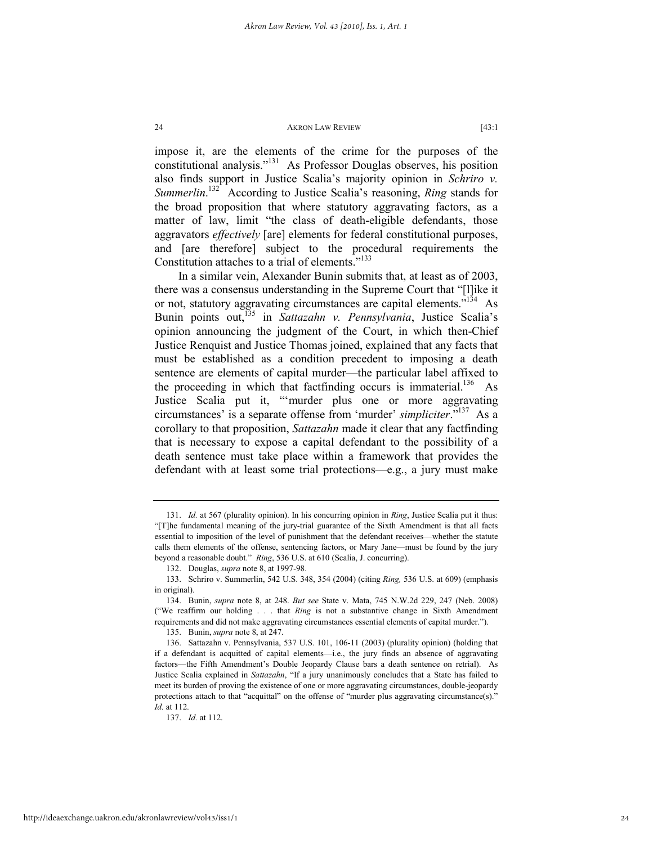impose it, are the elements of the crime for the purposes of the constitutional analysis."131 As Professor Douglas observes, his position also finds support in Justice Scalia's majority opinion in *Schriro v. Summerlin*. 132 According to Justice Scalia's reasoning, *Ring* stands for the broad proposition that where statutory aggravating factors, as a matter of law, limit "the class of death-eligible defendants, those aggravators *effectively* [are] elements for federal constitutional purposes, and [are therefore] subject to the procedural requirements the Constitution attaches to a trial of elements."<sup>133</sup>

In a similar vein, Alexander Bunin submits that, at least as of 2003, there was a consensus understanding in the Supreme Court that "[l]ike it or not, statutory aggravating circumstances are capital elements.<sup>7134</sup> As Bunin points out,135 in *Sattazahn v. Pennsylvania*, Justice Scalia's opinion announcing the judgment of the Court, in which then-Chief Justice Renquist and Justice Thomas joined, explained that any facts that must be established as a condition precedent to imposing a death sentence are elements of capital murder—the particular label affixed to the proceeding in which that factfinding occurs is immaterial.<sup>136</sup> As Justice Scalia put it, "'murder plus one or more aggravating circumstances' is a separate offense from 'murder' *simpliciter*."137 As a corollary to that proposition, *Sattazahn* made it clear that any factfinding that is necessary to expose a capital defendant to the possibility of a death sentence must take place within a framework that provides the defendant with at least some trial protections—e.g., a jury must make

 <sup>131.</sup> *Id.* at 567 (plurality opinion). In his concurring opinion in *Ring*, Justice Scalia put it thus: "[T]he fundamental meaning of the jury-trial guarantee of the Sixth Amendment is that all facts essential to imposition of the level of punishment that the defendant receives—whether the statute calls them elements of the offense, sentencing factors, or Mary Jane—must be found by the jury beyond a reasonable doubt." *Ring*, 536 U.S. at 610 (Scalia, J. concurring).

 <sup>132.</sup> Douglas, *supra* note 8, at 1997-98.

 <sup>133.</sup> Schriro v. Summerlin, 542 U.S. 348, 354 (2004) (citing *Ring,* 536 U.S. at 609) (emphasis in original).

 <sup>134.</sup> Bunin, *supra* note 8, at 248. *But see* State v. Mata, 745 N.W.2d 229, 247 (Neb. 2008) ("We reaffirm our holding . . . that *Ring* is not a substantive change in Sixth Amendment requirements and did not make aggravating circumstances essential elements of capital murder.").

 <sup>135.</sup> Bunin, *supra* note 8, at 247.

 <sup>136.</sup> Sattazahn v. Pennsylvania, 537 U.S. 101, 106-11 (2003) (plurality opinion) (holding that if a defendant is acquitted of capital elements—i.e., the jury finds an absence of aggravating factors—the Fifth Amendment's Double Jeopardy Clause bars a death sentence on retrial). As Justice Scalia explained in *Sattazahn*, "If a jury unanimously concludes that a State has failed to meet its burden of proving the existence of one or more aggravating circumstances, double-jeopardy protections attach to that "acquittal" on the offense of "murder plus aggravating circumstance(s)." *Id.* at 112.

 <sup>137.</sup> *Id.* at 112.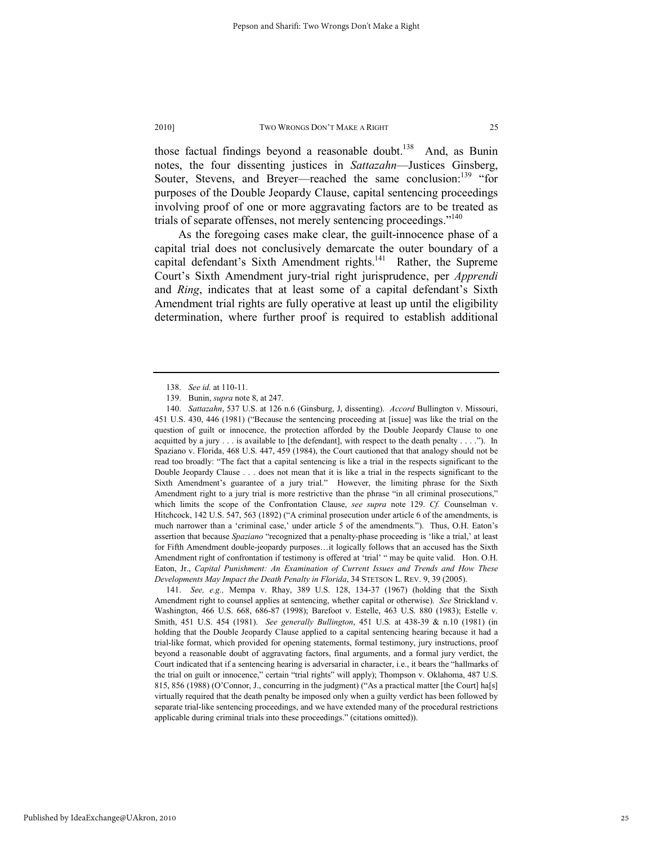those factual findings beyond a reasonable doubt.<sup>138</sup> And, as Bunin notes, the four dissenting justices in *Sattazahn*—Justices Ginsberg, Souter, Stevens, and Breyer—reached the same conclusion:<sup>139</sup> "for purposes of the Double Jeopardy Clause, capital sentencing proceedings involving proof of one or more aggravating factors are to be treated as trials of separate offenses, not merely sentencing proceedings."<sup>140</sup>

As the foregoing cases make clear, the guilt-innocence phase of a capital trial does not conclusively demarcate the outer boundary of a capital defendant's Sixth Amendment rights.<sup>141</sup> Rather, the Supreme Court's Sixth Amendment jury-trial right jurisprudence, per *Apprendi* and *Ring*, indicates that at least some of a capital defendant's Sixth Amendment trial rights are fully operative at least up until the eligibility determination, where further proof is required to establish additional

 <sup>138.</sup> *See id.* at 110-11.

 <sup>139.</sup> Bunin, *supra* note 8, at 247.

 <sup>140.</sup> *Sattazahn*, 537 U.S. at 126 n.6 (Ginsburg, J, dissenting). *Accord* Bullington v. Missouri, 451 U.S. 430, 446 (1981) ("Because the sentencing proceeding at [issue] was like the trial on the question of guilt or innocence, the protection afforded by the Double Jeopardy Clause to one acquitted by a jury  $\ldots$  is available to [the defendant], with respect to the death penalty  $\ldots$ ."). In Spaziano v. Florida, 468 U.S. 447, 459 (1984), the Court cautioned that that analogy should not be read too broadly: "The fact that a capital sentencing is like a trial in the respects significant to the Double Jeopardy Clause . . . does not mean that it is like a trial in the respects significant to the Sixth Amendment's guarantee of a jury trial." However, the limiting phrase for the Sixth Amendment right to a jury trial is more restrictive than the phrase "in all criminal prosecutions," which limits the scope of the Confrontation Clause, *see supra* note 129. *Cf.* Counselman v. Hitchcock, 142 U.S. 547, 563 (1892) ("A criminal prosecution under article 6 of the amendments, is much narrower than a 'criminal case,' under article 5 of the amendments."). Thus, O.H. Eaton's assertion that because *Spaziano* "recognized that a penalty-phase proceeding is 'like a trial,' at least for Fifth Amendment double-jeopardy purposes…it logically follows that an accused has the Sixth Amendment right of confrontation if testimony is offered at 'trial' " may be quite valid. Hon. O.H. Eaton, Jr., *Capital Punishment: An Examination of Current Issues and Trends and How These Developments May Impact the Death Penalty in Florida*, 34 STETSON L. REV. 9, 39 (2005).

 <sup>141.</sup> *See, e.g.,* Mempa v. Rhay, 389 U.S. 128, 134-37 (1967) (holding that the Sixth Amendment right to counsel applies at sentencing, whether capital or otherwise). *See* Strickland v. Washington, 466 U.S. 668, 686-87 (1998); Barefoot v. Estelle, 463 U.S. 880 (1983); Estelle v. Smith, 451 U.S. 454 (1981). *See generally Bullington*, 451 U.S. at 438-39 & n.10 (1981) (in holding that the Double Jeopardy Clause applied to a capital sentencing hearing because it had a trial-like format, which provided for opening statements, formal testimony, jury instructions, proof beyond a reasonable doubt of aggravating factors, final arguments, and a formal jury verdict, the Court indicated that if a sentencing hearing is adversarial in character, i.e., it bears the "hallmarks of the trial on guilt or innocence," certain "trial rights" will apply); Thompson v. Oklahoma, 487 U.S. 815, 856 (1988) (O'Connor, J., concurring in the judgment) ("As a practical matter [the Court] ha[s] virtually required that the death penalty be imposed only when a guilty verdict has been followed by separate trial-like sentencing proceedings, and we have extended many of the procedural restrictions applicable during criminal trials into these proceedings." (citations omitted)).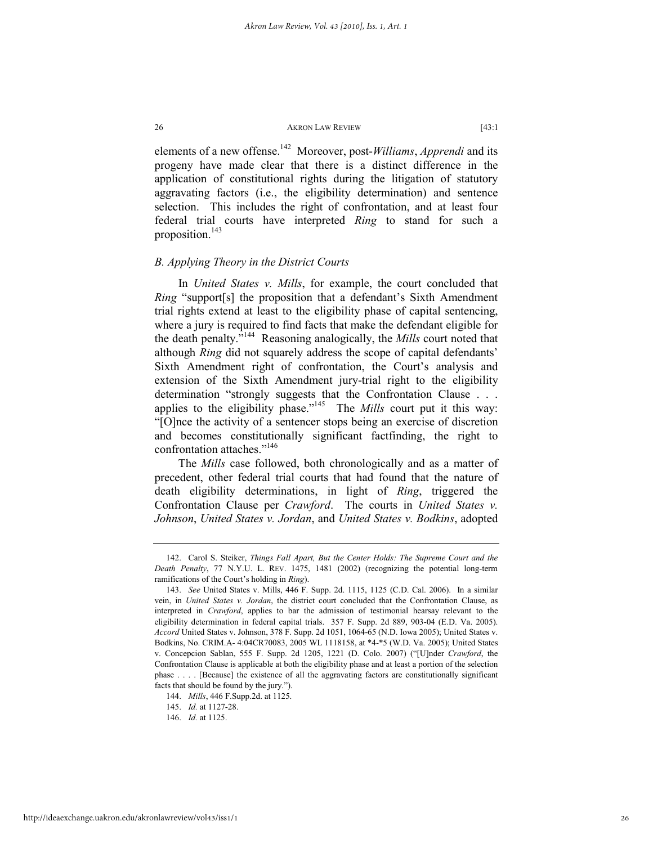elements of a new offense.142 Moreover, post-*Williams*, *Apprendi* and its progeny have made clear that there is a distinct difference in the application of constitutional rights during the litigation of statutory aggravating factors (i.e., the eligibility determination) and sentence selection. This includes the right of confrontation, and at least four federal trial courts have interpreted *Ring* to stand for such a proposition.<sup>143</sup>

# *B. Applying Theory in the District Courts*

In *United States v. Mills*, for example, the court concluded that *Ring* "support[s] the proposition that a defendant's Sixth Amendment trial rights extend at least to the eligibility phase of capital sentencing, where a jury is required to find facts that make the defendant eligible for the death penalty."144 Reasoning analogically, the *Mills* court noted that although *Ring* did not squarely address the scope of capital defendants' Sixth Amendment right of confrontation, the Court's analysis and extension of the Sixth Amendment jury-trial right to the eligibility determination "strongly suggests that the Confrontation Clause . . . applies to the eligibility phase."145 The *Mills* court put it this way: "[O]nce the activity of a sentencer stops being an exercise of discretion and becomes constitutionally significant factfinding, the right to confrontation attaches."146

The *Mills* case followed, both chronologically and as a matter of precedent, other federal trial courts that had found that the nature of death eligibility determinations, in light of *Ring*, triggered the Confrontation Clause per *Crawford*. The courts in *United States v. Johnson*, *United States v. Jordan*, and *United States v. Bodkins*, adopted

 <sup>142.</sup> Carol S. Steiker, *Things Fall Apart, But the Center Holds: The Supreme Court and the Death Penalty*, 77 N.Y.U. L. REV. 1475, 1481 (2002) (recognizing the potential long-term ramifications of the Court's holding in *Ring*).

 <sup>143.</sup> *See* United States v. Mills, 446 F. Supp. 2d. 1115, 1125 (C.D. Cal. 2006). In a similar vein, in *United States v. Jordan*, the district court concluded that the Confrontation Clause, as interpreted in *Crawford*, applies to bar the admission of testimonial hearsay relevant to the eligibility determination in federal capital trials. 357 F. Supp. 2d 889, 903-04 (E.D. Va. 2005). *Accord* United States v. Johnson, 378 F. Supp. 2d 1051, 1064-65 (N.D. Iowa 2005); United States v. Bodkins, No. CRIM.A- 4:04CR70083, 2005 WL 1118158, at \*4-\*5 (W.D. Va. 2005); United States v. Concepcion Sablan, 555 F. Supp. 2d 1205, 1221 (D. Colo. 2007) ("[U]nder *Crawford*, the Confrontation Clause is applicable at both the eligibility phase and at least a portion of the selection phase . . . . [Because] the existence of all the aggravating factors are constitutionally significant facts that should be found by the jury.").

 <sup>144.</sup> *Mills*, 446 F.Supp.2d. at 1125.

 <sup>145.</sup> *Id.* at 1127-28.

 <sup>146.</sup> *Id.* at 1125.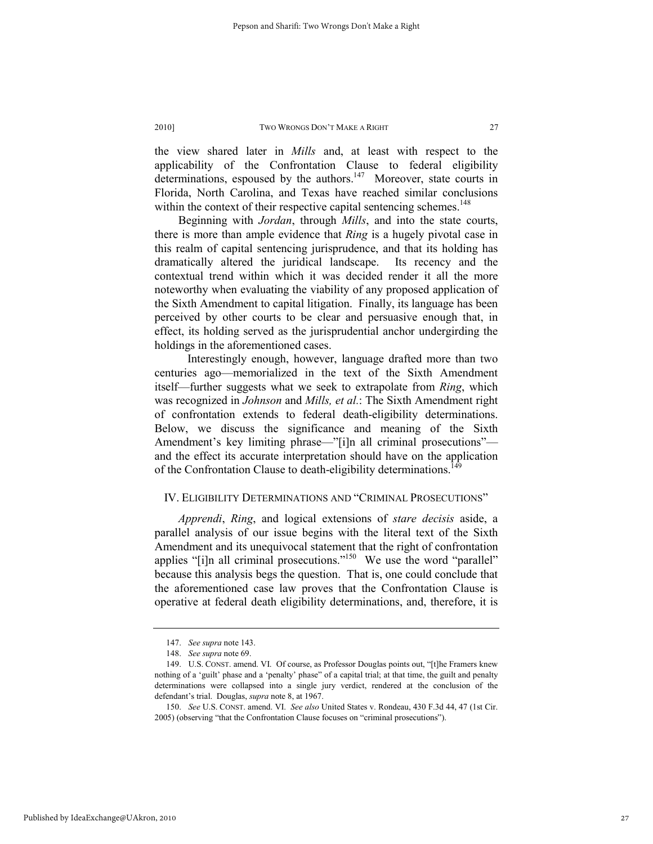the view shared later in *Mills* and, at least with respect to the applicability of the Confrontation Clause to federal eligibility determinations, espoused by the authors.<sup>147</sup> Moreover, state courts in Florida, North Carolina, and Texas have reached similar conclusions within the context of their respective capital sentencing schemes.<sup>148</sup>

Beginning with *Jordan*, through *Mills*, and into the state courts, there is more than ample evidence that *Ring* is a hugely pivotal case in this realm of capital sentencing jurisprudence, and that its holding has dramatically altered the juridical landscape. Its recency and the contextual trend within which it was decided render it all the more noteworthy when evaluating the viability of any proposed application of the Sixth Amendment to capital litigation. Finally, its language has been perceived by other courts to be clear and persuasive enough that, in effect, its holding served as the jurisprudential anchor undergirding the holdings in the aforementioned cases.

 Interestingly enough, however, language drafted more than two centuries ago—memorialized in the text of the Sixth Amendment itself—further suggests what we seek to extrapolate from *Ring*, which was recognized in *Johnson* and *Mills, et al.*: The Sixth Amendment right of confrontation extends to federal death-eligibility determinations. Below, we discuss the significance and meaning of the Sixth Amendment's key limiting phrase—"[i]n all criminal prosecutions" and the effect its accurate interpretation should have on the application of the Confrontation Clause to death-eligibility determinations.<sup>149</sup>

# IV. ELIGIBILITY DETERMINATIONS AND "CRIMINAL PROSECUTIONS"

*Apprendi*, *Ring*, and logical extensions of *stare decisis* aside, a parallel analysis of our issue begins with the literal text of the Sixth Amendment and its unequivocal statement that the right of confrontation applies "[i]n all criminal prosecutions."<sup>150</sup> We use the word "parallel" because this analysis begs the question. That is, one could conclude that the aforementioned case law proves that the Confrontation Clause is operative at federal death eligibility determinations, and, therefore, it is

 <sup>147.</sup> *See supra* note 143.

 <sup>148.</sup> *See supra* note 69.

 <sup>149.</sup> U.S. CONST. amend. VI. Of course, as Professor Douglas points out, "[t]he Framers knew nothing of a 'guilt' phase and a 'penalty' phase" of a capital trial; at that time, the guilt and penalty determinations were collapsed into a single jury verdict, rendered at the conclusion of the defendant's trial. Douglas, *supra* note 8, at 1967.

 <sup>150.</sup> *See* U.S. CONST. amend. VI. *See also* United States v. Rondeau, 430 F.3d 44, 47 (1st Cir. 2005) (observing "that the Confrontation Clause focuses on "criminal prosecutions").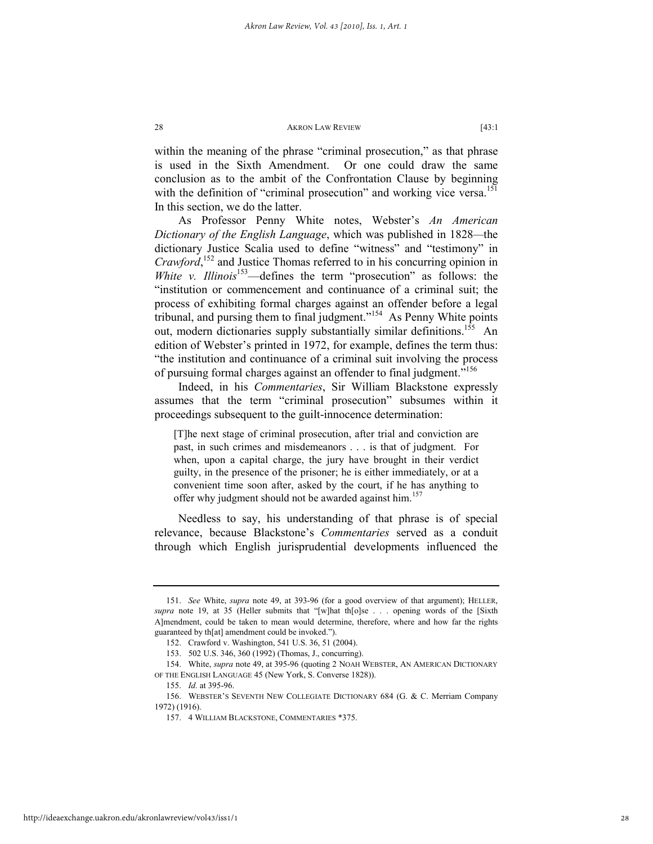within the meaning of the phrase "criminal prosecution," as that phrase is used in the Sixth Amendment. Or one could draw the same conclusion as to the ambit of the Confrontation Clause by beginning with the definition of "criminal prosecution" and working vice versa.<sup>151</sup> In this section, we do the latter.

As Professor Penny White notes, Webster's *An American Dictionary of the English Language*, which was published in 1828*—*the dictionary Justice Scalia used to define "witness" and "testimony" in Crawford,<sup>152</sup> and Justice Thomas referred to in his concurring opinion in *White v. Illinois*<sup>153</sup>—defines the term "prosecution" as follows: the "institution or commencement and continuance of a criminal suit; the process of exhibiting formal charges against an offender before a legal tribunal, and pursing them to final judgment."154 As Penny White points out, modern dictionaries supply substantially similar definitions.<sup>155</sup> An edition of Webster's printed in 1972, for example, defines the term thus: "the institution and continuance of a criminal suit involving the process of pursuing formal charges against an offender to final judgment."<sup>156</sup>

Indeed, in his *Commentaries*, Sir William Blackstone expressly assumes that the term "criminal prosecution" subsumes within it proceedings subsequent to the guilt-innocence determination:

[T]he next stage of criminal prosecution, after trial and conviction are past, in such crimes and misdemeanors . . . is that of judgment. For when, upon a capital charge, the jury have brought in their verdict guilty, in the presence of the prisoner; he is either immediately, or at a convenient time soon after, asked by the court, if he has anything to offer why judgment should not be awarded against him.<sup>157</sup>

Needless to say, his understanding of that phrase is of special relevance, because Blackstone's *Commentaries* served as a conduit through which English jurisprudential developments influenced the

 <sup>151.</sup> *See* White, *supra* note 49, at 393-96 (for a good overview of that argument); HELLER, *supra* note 19, at 35 (Heller submits that "[w]hat th[o]se . . . opening words of the [Sixth A]mendment, could be taken to mean would determine, therefore, where and how far the rights guaranteed by th[at] amendment could be invoked.").

 <sup>152.</sup> Crawford v. Washington, 541 U.S. 36, 51 (2004).

 <sup>153. 502</sup> U.S. 346, 360 (1992) (Thomas, J., concurring).

 <sup>154.</sup> White, *supra* note 49, at 395-96 (quoting 2 NOAH WEBSTER, AN AMERICAN DICTIONARY OF THE ENGLISH LANGUAGE 45 (New York, S. Converse 1828)).

 <sup>155.</sup> *Id.* at 395-96.

 <sup>156.</sup> WEBSTER'S SEVENTH NEW COLLEGIATE DICTIONARY 684 (G. & C. Merriam Company 1972) (1916).

 <sup>157. 4</sup> WILLIAM BLACKSTONE, COMMENTARIES \*375.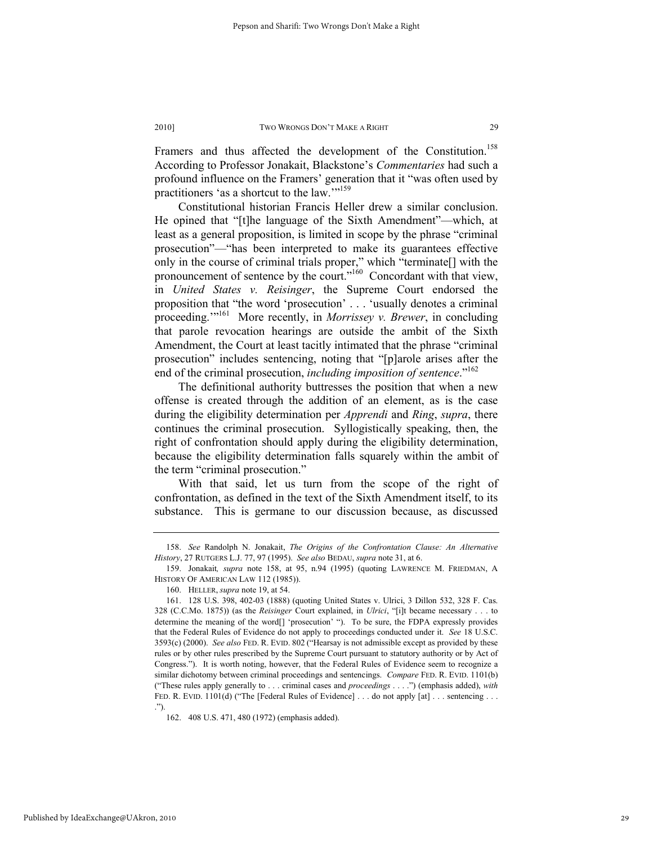Framers and thus affected the development of the Constitution.<sup>158</sup> According to Professor Jonakait, Blackstone's *Commentaries* had such a profound influence on the Framers' generation that it "was often used by practitioners 'as a shortcut to the law."<sup>159</sup>

Constitutional historian Francis Heller drew a similar conclusion. He opined that "[t]he language of the Sixth Amendment"—which, at least as a general proposition, is limited in scope by the phrase "criminal prosecution"—"has been interpreted to make its guarantees effective only in the course of criminal trials proper," which "terminate[] with the pronouncement of sentence by the court."160 Concordant with that view, in *United States v. Reisinger*, the Supreme Court endorsed the proposition that "the word 'prosecution' . . . 'usually denotes a criminal proceeding.'"161 More recently, in *Morrissey v. Brewer*, in concluding that parole revocation hearings are outside the ambit of the Sixth Amendment, the Court at least tacitly intimated that the phrase "criminal prosecution" includes sentencing, noting that "[p]arole arises after the end of the criminal prosecution, *including imposition of sentence*."<sup>162</sup>

The definitional authority buttresses the position that when a new offense is created through the addition of an element, as is the case during the eligibility determination per *Apprendi* and *Ring*, *supra*, there continues the criminal prosecution. Syllogistically speaking, then, the right of confrontation should apply during the eligibility determination, because the eligibility determination falls squarely within the ambit of the term "criminal prosecution."

With that said, let us turn from the scope of the right of confrontation, as defined in the text of the Sixth Amendment itself, to its substance. This is germane to our discussion because, as discussed

 <sup>158.</sup> *See* Randolph N. Jonakait, *The Origins of the Confrontation Clause: An Alternative History*, 27 RUTGERS L.J. 77, 97 (1995). *See also* BEDAU, *supra* note 31, at 6.

 <sup>159.</sup> Jonakait*, supra* note 158, at 95, n.94 (1995) (quoting LAWRENCE M. FRIEDMAN, A HISTORY OF AMERICAN LAW 112 (1985)).

 <sup>160.</sup> HELLER, *supra* note 19, at 54.

 <sup>161. 128</sup> U.S. 398, 402-03 (1888) (quoting United States v. Ulrici, 3 Dillon 532, 328 F. Cas. 328 (C.C.Mo. 1875)) (as the *Reisinger* Court explained, in *Ulrici*, "[i]t became necessary . . . to determine the meaning of the word<sup>[]</sup> 'prosecution' "). To be sure, the FDPA expressly provides that the Federal Rules of Evidence do not apply to proceedings conducted under it. *See* 18 U.S.C. 3593(c) (2000). *See also* FED. R. EVID. 802 ("Hearsay is not admissible except as provided by these rules or by other rules prescribed by the Supreme Court pursuant to statutory authority or by Act of Congress."). It is worth noting, however, that the Federal Rules of Evidence seem to recognize a similar dichotomy between criminal proceedings and sentencings. *Compare* FED. R. EVID. 1101(b) ("These rules apply generally to . . . criminal cases and *proceedings* . . . .") (emphasis added), *with* FED. R. EVID. 1101(d) ("The [Federal Rules of Evidence] . . . do not apply [at] . . . sentencing . . . .").

 <sup>162. 408</sup> U.S. 471, 480 (1972) (emphasis added).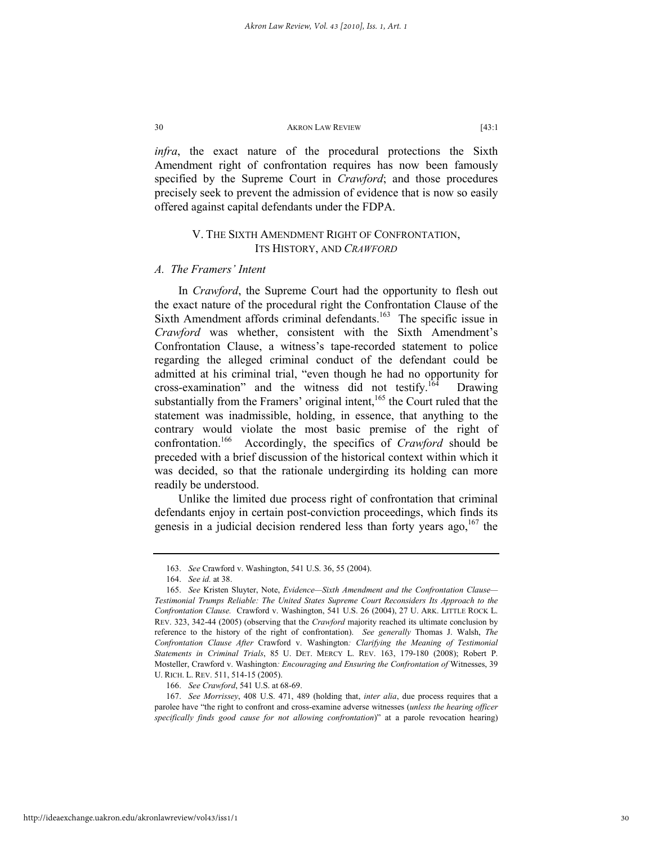*infra*, the exact nature of the procedural protections the Sixth Amendment right of confrontation requires has now been famously specified by the Supreme Court in *Crawford*; and those procedures precisely seek to prevent the admission of evidence that is now so easily offered against capital defendants under the FDPA.

# V. THE SIXTH AMENDMENT RIGHT OF CONFRONTATION, ITS HISTORY, AND *CRAWFORD*

# *A. The Framers' Intent*

In *Crawford*, the Supreme Court had the opportunity to flesh out the exact nature of the procedural right the Confrontation Clause of the Sixth Amendment affords criminal defendants.<sup>163</sup> The specific issue in *Crawford* was whether, consistent with the Sixth Amendment's Confrontation Clause, a witness's tape-recorded statement to police regarding the alleged criminal conduct of the defendant could be admitted at his criminal trial, "even though he had no opportunity for cross-examination" and the witness did not testify.<sup>164</sup> Drawing substantially from the Framers' original intent, $165$  the Court ruled that the statement was inadmissible, holding, in essence, that anything to the contrary would violate the most basic premise of the right of confrontation.166 Accordingly, the specifics of *Crawford* should be preceded with a brief discussion of the historical context within which it was decided, so that the rationale undergirding its holding can more readily be understood.

Unlike the limited due process right of confrontation that criminal defendants enjoy in certain post-conviction proceedings, which finds its genesis in a judicial decision rendered less than forty years ago,  $167$  the

166. *See Crawford*, 541 U.S. at 68-69.

 <sup>163.</sup> *See* Crawford v. Washington, 541 U.S. 36, 55 (2004).

 <sup>164.</sup> *See id.* at 38.

 <sup>165.</sup> *See* Kristen Sluyter, Note, *Evidence—Sixth Amendment and the Confrontation Clause— Testimonial Trumps Reliable: The United States Supreme Court Reconsiders Its Approach to the Confrontation Clause.* Crawford v. Washington, 541 U.S. 26 (2004), 27 U. ARK. LITTLE ROCK L. REV. 323, 342-44 (2005) (observing that the *Crawford* majority reached its ultimate conclusion by reference to the history of the right of confrontation). *See generally* Thomas J. Walsh, *The Confrontation Clause After* Crawford v. Washington*: Clarifying the Meaning of Testimonial Statements in Criminal Trials*, 85 U. DET. MERCY L. REV. 163, 179-180 (2008); Robert P. Mosteller, Crawford v. Washington*: Encouraging and Ensuring the Confrontation of* Witnesses, 39 U. RICH. L. REV. 511, 514-15 (2005).

 <sup>167.</sup> *See Morrissey*, 408 U.S. 471, 489 (holding that, *inter alia*, due process requires that a parolee have "the right to confront and cross-examine adverse witnesses (*unless the hearing officer specifically finds good cause for not allowing confrontation*)" at a parole revocation hearing)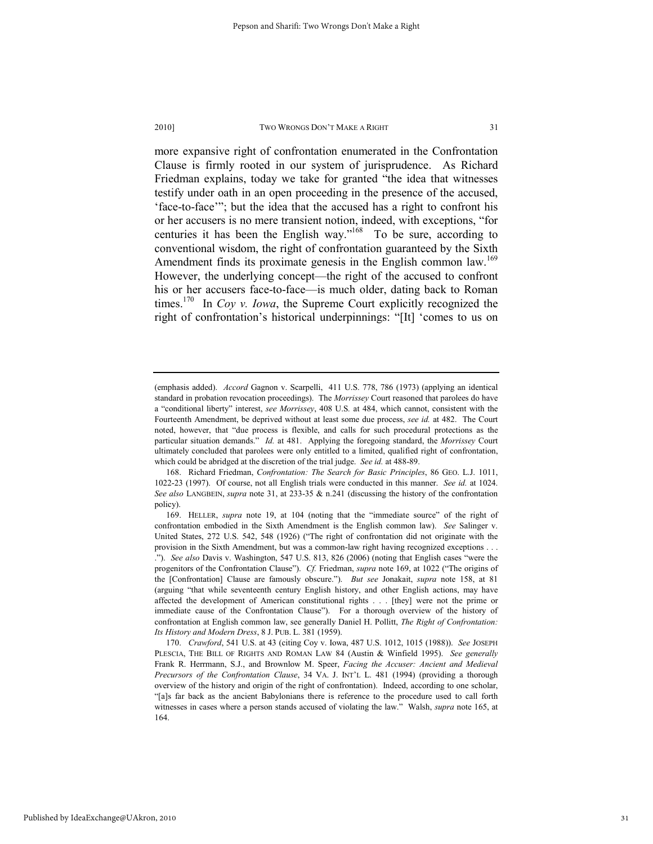more expansive right of confrontation enumerated in the Confrontation Clause is firmly rooted in our system of jurisprudence. As Richard Friedman explains, today we take for granted "the idea that witnesses testify under oath in an open proceeding in the presence of the accused, 'face-to-face'"; but the idea that the accused has a right to confront his or her accusers is no mere transient notion, indeed, with exceptions, "for centuries it has been the English way."<sup>168</sup> To be sure, according to conventional wisdom, the right of confrontation guaranteed by the Sixth Amendment finds its proximate genesis in the English common law.<sup>169</sup> However, the underlying concept—the right of the accused to confront his or her accusers face-to-face—is much older, dating back to Roman times.170 In *Coy v. Iowa*, the Supreme Court explicitly recognized the right of confrontation's historical underpinnings: "[It] 'comes to us on

 168. Richard Friedman, *Confrontation: The Search for Basic Principles*, 86 GEO. L.J. 1011, 1022-23 (1997). Of course, not all English trials were conducted in this manner. *See id.* at 1024. *See also* LANGBEIN, *supra* note 31, at 233-35 & n.241 (discussing the history of the confrontation policy).

<sup>(</sup>emphasis added). *Accord* Gagnon v. Scarpelli, 411 U.S. 778, 786 (1973) (applying an identical standard in probation revocation proceedings). The *Morrissey* Court reasoned that parolees do have a "conditional liberty" interest, *see Morrissey*, 408 U.S*.* at 484, which cannot, consistent with the Fourteenth Amendment, be deprived without at least some due process, *see id.* at 482. The Court noted, however, that "due process is flexible, and calls for such procedural protections as the particular situation demands." *Id.* at 481. Applying the foregoing standard, the *Morrissey* Court ultimately concluded that parolees were only entitled to a limited, qualified right of confrontation, which could be abridged at the discretion of the trial judge. *See id.* at 488-89.

 <sup>169.</sup> HELLER, *supra* note 19, at 104 (noting that the "immediate source" of the right of confrontation embodied in the Sixth Amendment is the English common law). *See* Salinger v. United States, 272 U.S. 542, 548 (1926) ("The right of confrontation did not originate with the provision in the Sixth Amendment, but was a common-law right having recognized exceptions . . . ."). *See also* Davis v. Washington, 547 U.S. 813, 826 (2006) (noting that English cases "were the progenitors of the Confrontation Clause"). *Cf.* Friedman, *supra* note 169, at 1022 ("The origins of the [Confrontation] Clause are famously obscure."). *But see* Jonakait, *supra* note 158, at 81 (arguing "that while seventeenth century English history, and other English actions, may have affected the development of American constitutional rights . . . [they] were not the prime or immediate cause of the Confrontation Clause"). For a thorough overview of the history of confrontation at English common law, see generally Daniel H. Pollitt, *The Right of Confrontation: Its History and Modern Dress*, 8 J. PUB. L. 381 (1959).

 <sup>170.</sup> *Crawford*, 541 U.S. at 43 (citing Coy v. Iowa, 487 U.S. 1012, 1015 (1988)). *See* JOSEPH PLESCIA, THE BILL OF RIGHTS AND ROMAN LAW 84 (Austin & Winfield 1995). *See generally*  Frank R. Herrmann, S.J., and Brownlow M. Speer, *Facing the Accuser: Ancient and Medieval Precursors of the Confrontation Clause*, 34 VA. J. INT'L L. 481 (1994) (providing a thorough overview of the history and origin of the right of confrontation). Indeed, according to one scholar, "[a]s far back as the ancient Babylonians there is reference to the procedure used to call forth witnesses in cases where a person stands accused of violating the law." Walsh, *supra* note 165, at 164.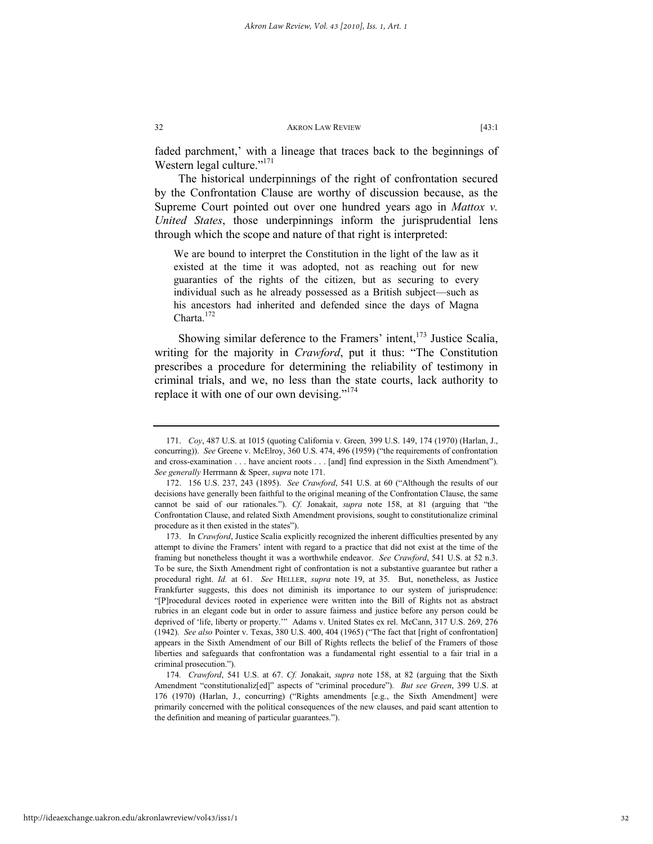faded parchment,' with a lineage that traces back to the beginnings of Western legal culture."<sup>171</sup>

The historical underpinnings of the right of confrontation secured by the Confrontation Clause are worthy of discussion because, as the Supreme Court pointed out over one hundred years ago in *Mattox v. United States*, those underpinnings inform the jurisprudential lens through which the scope and nature of that right is interpreted:

We are bound to interpret the Constitution in the light of the law as it existed at the time it was adopted, not as reaching out for new guaranties of the rights of the citizen, but as securing to every individual such as he already possessed as a British subject—such as his ancestors had inherited and defended since the days of Magna Charta.<sup>172</sup>

Showing similar deference to the Framers' intent, $173$  Justice Scalia, writing for the majority in *Crawford*, put it thus: "The Constitution prescribes a procedure for determining the reliability of testimony in criminal trials, and we, no less than the state courts, lack authority to replace it with one of our own devising."<sup>174</sup>

 <sup>171.</sup> *Coy*, 487 U.S. at 1015 (quoting California v. Green*,* 399 U.S. 149, 174 (1970) (Harlan, J., concurring)). *See* Greene v. McElroy, 360 U.S. 474, 496 (1959) ("the requirements of confrontation and cross-examination . . . have ancient roots . . . [and] find expression in the Sixth Amendment"). *See generally* Herrmann & Speer, *supra* note 171.

 <sup>172. 156</sup> U.S. 237, 243 (1895). *See Crawford*, 541 U.S. at 60 ("Although the results of our decisions have generally been faithful to the original meaning of the Confrontation Clause, the same cannot be said of our rationales."). *Cf.* Jonakait, *supra* note 158, at 81 (arguing that "the Confrontation Clause, and related Sixth Amendment provisions, sought to constitutionalize criminal procedure as it then existed in the states").

 <sup>173.</sup> In *Crawford*, Justice Scalia explicitly recognized the inherent difficulties presented by any attempt to divine the Framers' intent with regard to a practice that did not exist at the time of the framing but nonetheless thought it was a worthwhile endeavor. *See Crawford*, 541 U.S. at 52 n.3. To be sure, the Sixth Amendment right of confrontation is not a substantive guarantee but rather a procedural right. *Id.* at 61. *See* HELLER, *supra* note 19, at 35. But, nonetheless, as Justice Frankfurter suggests, this does not diminish its importance to our system of jurisprudence: "[P]rocedural devices rooted in experience were written into the Bill of Rights not as abstract rubrics in an elegant code but in order to assure fairness and justice before any person could be deprived of 'life, liberty or property.'" Adams v. United States ex rel. McCann, 317 U.S. 269, 276 (1942). *See also* Pointer v. Texas, 380 U.S. 400, 404 (1965) ("The fact that [right of confrontation] appears in the Sixth Amendment of our Bill of Rights reflects the belief of the Framers of those liberties and safeguards that confrontation was a fundamental right essential to a fair trial in a criminal prosecution.").

<sup>174</sup>*. Crawford*, 541 U.S. at 67. *Cf.* Jonakait, *supra* note 158, at 82 (arguing that the Sixth Amendment "constitutionaliz[ed]" aspects of "criminal procedure"). *But see Green*, 399 U.S. at 176 (1970) (Harlan, J., concurring) ("Rights amendments [e.g., the Sixth Amendment] were primarily concerned with the political consequences of the new clauses, and paid scant attention to the definition and meaning of particular guarantees.").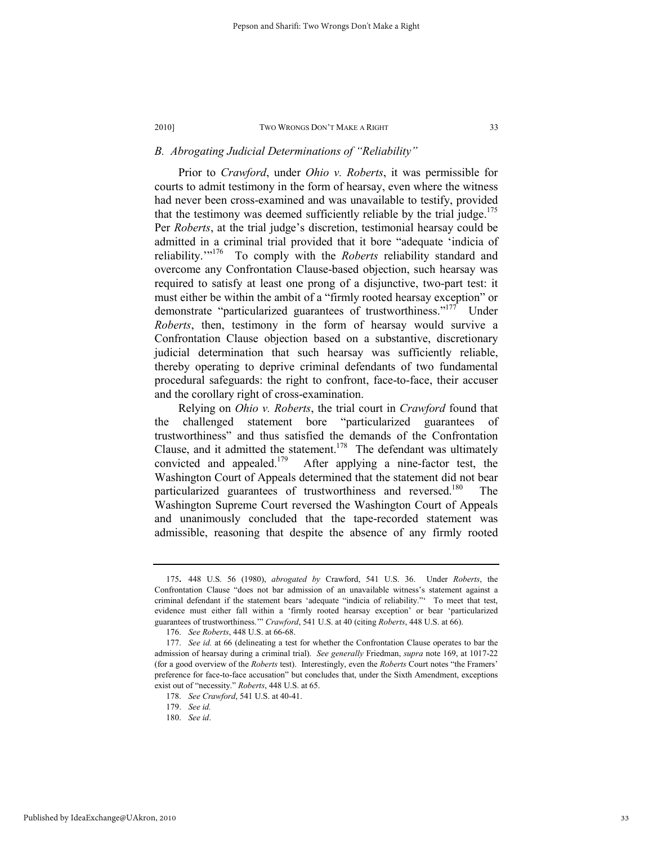# *B. Abrogating Judicial Determinations of "Reliability"*

Prior to *Crawford*, under *Ohio v. Roberts*, it was permissible for courts to admit testimony in the form of hearsay, even where the witness had never been cross-examined and was unavailable to testify, provided that the testimony was deemed sufficiently reliable by the trial judge.<sup>175</sup> Per *Roberts*, at the trial judge's discretion, testimonial hearsay could be admitted in a criminal trial provided that it bore "adequate 'indicia of reliability.'"176 To comply with the *Roberts* reliability standard and overcome any Confrontation Clause-based objection, such hearsay was required to satisfy at least one prong of a disjunctive, two-part test: it must either be within the ambit of a "firmly rooted hearsay exception" or demonstrate "particularized guarantees of trustworthiness."<sup>177</sup> Under *Roberts*, then, testimony in the form of hearsay would survive a Confrontation Clause objection based on a substantive, discretionary judicial determination that such hearsay was sufficiently reliable, thereby operating to deprive criminal defendants of two fundamental procedural safeguards: the right to confront, face-to-face, their accuser and the corollary right of cross-examination.

Relying on *Ohio v. Roberts*, the trial court in *Crawford* found that the challenged statement bore "particularized guarantees of trustworthiness" and thus satisfied the demands of the Confrontation Clause, and it admitted the statement.<sup>178</sup> The defendant was ultimately convicted and appealed.<sup>179</sup> After applying a nine-factor test, the Washington Court of Appeals determined that the statement did not bear particularized guarantees of trustworthiness and reversed.<sup>180</sup> The Washington Supreme Court reversed the Washington Court of Appeals and unanimously concluded that the tape-recorded statement was admissible, reasoning that despite the absence of any firmly rooted

Published by IdeaExchange@UAkron, 2010

<sup>175</sup>**.** 448 U.S. 56 (1980), *abrogated by* Crawford, 541 U.S. 36. Under *Roberts*, the Confrontation Clause "does not bar admission of an unavailable witness's statement against a criminal defendant if the statement bears 'adequate "indicia of reliability."' To meet that test, evidence must either fall within a 'firmly rooted hearsay exception' or bear 'particularized guarantees of trustworthiness.'" *Crawford*, 541 U.S. at 40 (citing *Roberts*, 448 U.S. at 66).

 <sup>176.</sup> *See Roberts*, 448 U.S. at 66-68.

 <sup>177.</sup> *See id.* at 66 (delineating a test for whether the Confrontation Clause operates to bar the admission of hearsay during a criminal trial). *See generally* Friedman, *supra* note 169, at 1017-22 (for a good overview of the *Roberts* test). Interestingly, even the *Roberts* Court notes "the Framers' preference for face-to-face accusation" but concludes that, under the Sixth Amendment, exceptions exist out of "necessity." *Roberts*, 448 U.S. at 65.

 <sup>178.</sup> *See Crawford*, 541 U.S. at 40-41.

 <sup>179.</sup> *See id.*

 <sup>180.</sup> *See id*.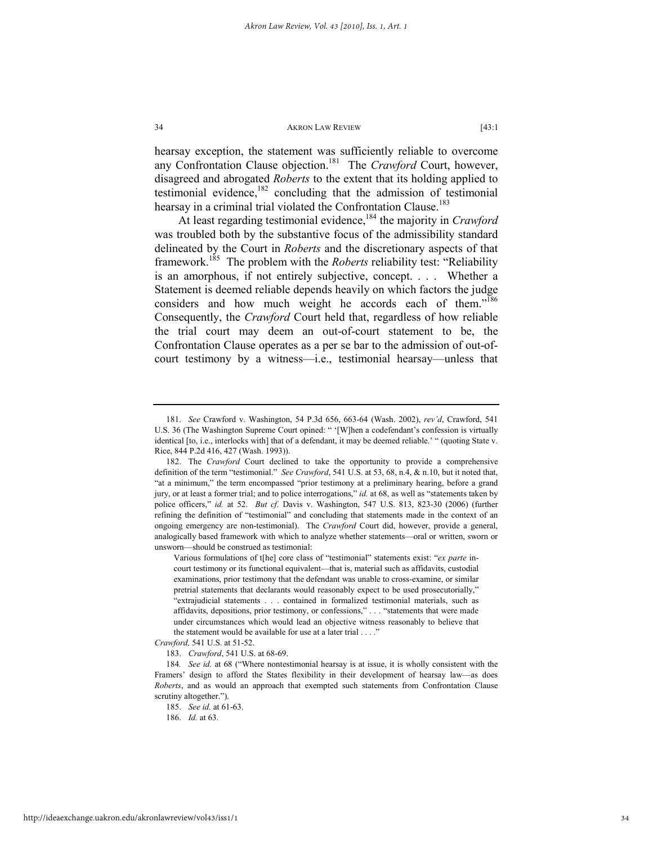hearsay exception, the statement was sufficiently reliable to overcome any Confrontation Clause objection.<sup>181</sup> The *Crawford* Court, however, disagreed and abrogated *Roberts* to the extent that its holding applied to testimonial evidence, $182$  concluding that the admission of testimonial hearsay in a criminal trial violated the Confrontation Clause.<sup>183</sup>

At least regarding testimonial evidence,<sup>184</sup> the majority in *Crawford* was troubled both by the substantive focus of the admissibility standard delineated by the Court in *Roberts* and the discretionary aspects of that framework.185 The problem with the *Roberts* reliability test: "Reliability is an amorphous, if not entirely subjective, concept. . . . Whether a Statement is deemed reliable depends heavily on which factors the judge considers and how much weight he accords each of them."<sup>186</sup> Consequently, the *Crawford* Court held that, regardless of how reliable the trial court may deem an out-of-court statement to be, the Confrontation Clause operates as a per se bar to the admission of out-ofcourt testimony by a witness—i.e., testimonial hearsay—unless that

http://ideaexchange.uakron.edu/akronlawreview/vol43/iss1/1

 <sup>181.</sup> *See* Crawford v. Washington, 54 P.3d 656, 663-64 (Wash. 2002), *rev'd*, Crawford, 541 U.S. 36 (The Washington Supreme Court opined: " '[W]hen a codefendant's confession is virtually identical [to, i.e., interlocks with] that of a defendant, it may be deemed reliable.' " (quoting State v. Rice, 844 P.2d 416, 427 (Wash. 1993)).

 <sup>182.</sup> The *Crawford* Court declined to take the opportunity to provide a comprehensive definition of the term "testimonial." *See Crawford*, 541 U.S. at 53, 68, n.4, & n.10, but it noted that, "at a minimum," the term encompassed "prior testimony at a preliminary hearing, before a grand jury, or at least a former trial; and to police interrogations," *id.* at 68, as well as "statements taken by police officers," *id.* at 52. *But cf.* Davis v. Washington, 547 U.S. 813, 823-30 (2006) (further refining the definition of "testimonial" and concluding that statements made in the context of an ongoing emergency are non-testimonial). The *Crawford* Court did, however, provide a general, analogically based framework with which to analyze whether statements—oral or written, sworn or unsworn—should be construed as testimonial:

Various formulations of t[he] core class of "testimonial" statements exist: "*ex parte* incourt testimony or its functional equivalent—that is, material such as affidavits, custodial examinations, prior testimony that the defendant was unable to cross-examine, or similar pretrial statements that declarants would reasonably expect to be used prosecutorially," "extrajudicial statements . . . contained in formalized testimonial materials, such as affidavits, depositions, prior testimony, or confessions," . . . "statements that were made under circumstances which would lead an objective witness reasonably to believe that the statement would be available for use at a later trial . . . ."

*Crawford,* 541 U.S. at 51-52.

 <sup>183.</sup> *Crawford*, 541 U.S. at 68-69.

<sup>184</sup>*. See id.* at 68 ("Where nontestimonial hearsay is at issue, it is wholly consistent with the Framers' design to afford the States flexibility in their development of hearsay law—as does *Roberts*, and as would an approach that exempted such statements from Confrontation Clause scrutiny altogether.").

 <sup>185.</sup> *See id.* at 61-63.

 <sup>186.</sup> *Id.* at 63.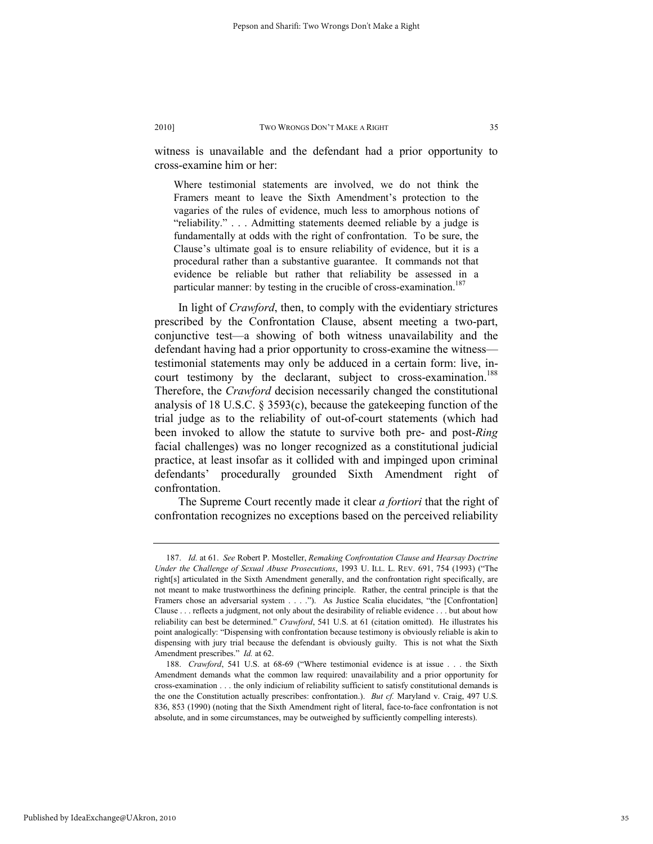witness is unavailable and the defendant had a prior opportunity to cross-examine him or her:

Where testimonial statements are involved, we do not think the Framers meant to leave the Sixth Amendment's protection to the vagaries of the rules of evidence, much less to amorphous notions of "reliability." . . . Admitting statements deemed reliable by a judge is fundamentally at odds with the right of confrontation. To be sure, the Clause's ultimate goal is to ensure reliability of evidence, but it is a procedural rather than a substantive guarantee. It commands not that evidence be reliable but rather that reliability be assessed in a particular manner: by testing in the crucible of cross-examination.<sup>187</sup>

In light of *Crawford*, then, to comply with the evidentiary strictures prescribed by the Confrontation Clause, absent meeting a two-part, conjunctive test—a showing of both witness unavailability and the defendant having had a prior opportunity to cross-examine the witness testimonial statements may only be adduced in a certain form: live, incourt testimony by the declarant, subject to cross-examination.<sup>188</sup> Therefore, the *Crawford* decision necessarily changed the constitutional analysis of 18 U.S.C. § 3593(c), because the gatekeeping function of the trial judge as to the reliability of out-of-court statements (which had been invoked to allow the statute to survive both pre- and post-*Ring* facial challenges) was no longer recognized as a constitutional judicial practice, at least insofar as it collided with and impinged upon criminal defendants' procedurally grounded Sixth Amendment right of confrontation.

The Supreme Court recently made it clear *a fortiori* that the right of confrontation recognizes no exceptions based on the perceived reliability

 <sup>187.</sup> *Id.* at 61. *See* Robert P. Mosteller, *Remaking Confrontation Clause and Hearsay Doctrine Under the Challenge of Sexual Abuse Prosecutions*, 1993 U. ILL. L. REV. 691, 754 (1993) ("The right[s] articulated in the Sixth Amendment generally, and the confrontation right specifically, are not meant to make trustworthiness the defining principle. Rather, the central principle is that the Framers chose an adversarial system . . . ."). As Justice Scalia elucidates, "the [Confrontation] Clause . . . reflects a judgment, not only about the desirability of reliable evidence . . . but about how reliability can best be determined." *Crawford*, 541 U.S. at 61 (citation omitted). He illustrates his point analogically: "Dispensing with confrontation because testimony is obviously reliable is akin to dispensing with jury trial because the defendant is obviously guilty. This is not what the Sixth Amendment prescribes." *Id.* at 62.

 <sup>188.</sup> *Crawford*, 541 U.S. at 68-69 ("Where testimonial evidence is at issue . . . the Sixth Amendment demands what the common law required: unavailability and a prior opportunity for cross-examination . . . the only indicium of reliability sufficient to satisfy constitutional demands is the one the Constitution actually prescribes: confrontation.). *But cf.* Maryland v. Craig, 497 U.S. 836, 853 (1990) (noting that the Sixth Amendment right of literal, face-to-face confrontation is not absolute, and in some circumstances, may be outweighed by sufficiently compelling interests).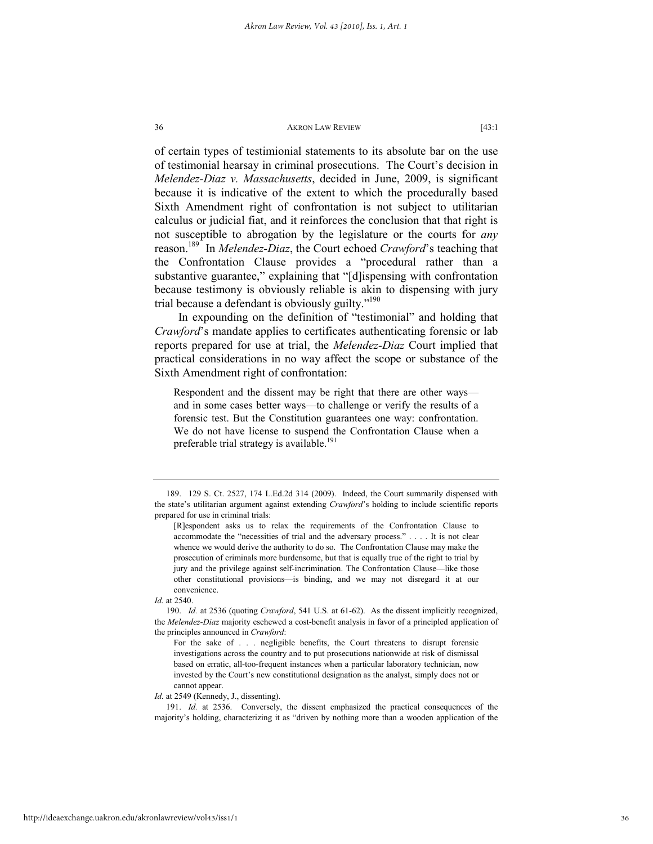of certain types of testimionial statements to its absolute bar on the use of testimonial hearsay in criminal prosecutions. The Court's decision in *Melendez-Diaz v. Massachusetts*, decided in June, 2009, is significant because it is indicative of the extent to which the procedurally based Sixth Amendment right of confrontation is not subject to utilitarian calculus or judicial fiat, and it reinforces the conclusion that that right is not susceptible to abrogation by the legislature or the courts for *any* reason.189 In *Melendez-Diaz*, the Court echoed *Crawford*'s teaching that the Confrontation Clause provides a "procedural rather than a substantive guarantee," explaining that "[d]ispensing with confrontation because testimony is obviously reliable is akin to dispensing with jury trial because a defendant is obviously guilty."<sup>190</sup>

In expounding on the definition of "testimonial" and holding that *Crawford*'s mandate applies to certificates authenticating forensic or lab reports prepared for use at trial, the *Melendez-Diaz* Court implied that practical considerations in no way affect the scope or substance of the Sixth Amendment right of confrontation:

Respondent and the dissent may be right that there are other ways and in some cases better ways—to challenge or verify the results of a forensic test. But the Constitution guarantees one way: confrontation. We do not have license to suspend the Confrontation Clause when a preferable trial strategy is available.<sup>191</sup>

 <sup>189. 129</sup> S. Ct. 2527, 174 L.Ed.2d 314 (2009). Indeed, the Court summarily dispensed with the state's utilitarian argument against extending *Crawford*'s holding to include scientific reports prepared for use in criminal trials:

<sup>[</sup>R]espondent asks us to relax the requirements of the Confrontation Clause to accommodate the "necessities of trial and the adversary process." . . . . It is not clear whence we would derive the authority to do so. The Confrontation Clause may make the prosecution of criminals more burdensome, but that is equally true of the right to trial by jury and the privilege against self-incrimination. The Confrontation Clause—like those other constitutional provisions—is binding, and we may not disregard it at our convenience.

*Id.* at 2540.

 <sup>190.</sup> *Id.* at 2536 (quoting *Crawford*, 541 U.S. at 61-62). As the dissent implicitly recognized, the *Melendez-Diaz* majority eschewed a cost-benefit analysis in favor of a principled application of the principles announced in *Crawford*:

For the sake of . . . negligible benefits, the Court threatens to disrupt forensic investigations across the country and to put prosecutions nationwide at risk of dismissal based on erratic, all-too-frequent instances when a particular laboratory technician, now invested by the Court's new constitutional designation as the analyst, simply does not or cannot appear.

*Id.* at 2549 (Kennedy, J., dissenting).

 <sup>191.</sup> *Id.* at 2536. Conversely, the dissent emphasized the practical consequences of the majority's holding, characterizing it as "driven by nothing more than a wooden application of the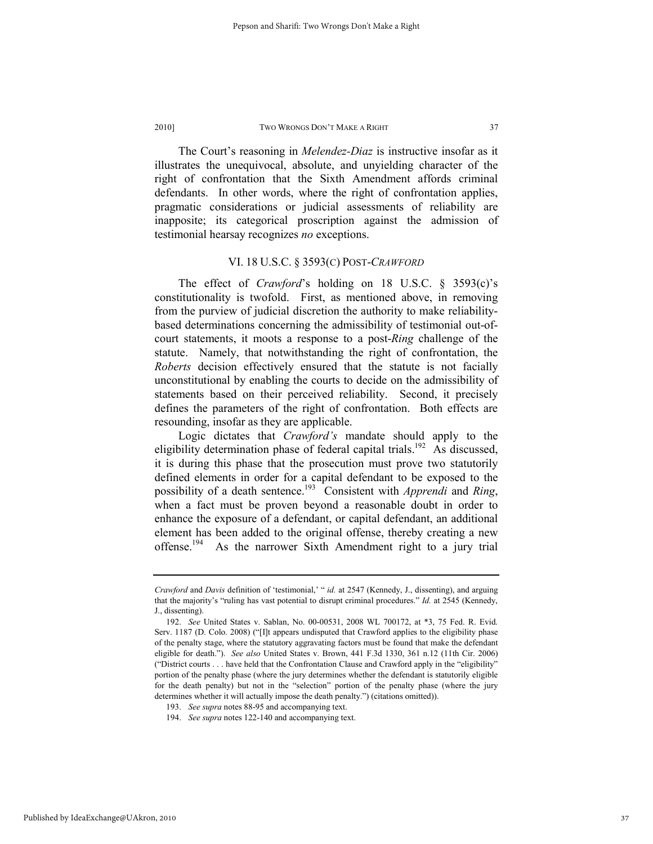The Court's reasoning in *Melendez-Diaz* is instructive insofar as it illustrates the unequivocal, absolute, and unyielding character of the right of confrontation that the Sixth Amendment affords criminal defendants. In other words, where the right of confrontation applies, pragmatic considerations or judicial assessments of reliability are inapposite; its categorical proscription against the admission of testimonial hearsay recognizes *no* exceptions.

# VI. 18 U.S.C. § 3593(C) POST-*CRAWFORD*

The effect of *Crawford*'s holding on 18 U.S.C. § 3593(c)'s constitutionality is twofold. First, as mentioned above, in removing from the purview of judicial discretion the authority to make reliabilitybased determinations concerning the admissibility of testimonial out-ofcourt statements, it moots a response to a post-*Ring* challenge of the statute. Namely, that notwithstanding the right of confrontation, the *Roberts* decision effectively ensured that the statute is not facially unconstitutional by enabling the courts to decide on the admissibility of statements based on their perceived reliability. Second, it precisely defines the parameters of the right of confrontation. Both effects are resounding, insofar as they are applicable.

Logic dictates that *Crawford's* mandate should apply to the eligibility determination phase of federal capital trials.<sup>192</sup> As discussed, it is during this phase that the prosecution must prove two statutorily defined elements in order for a capital defendant to be exposed to the possibility of a death sentence.193 Consistent with *Apprendi* and *Ring*, when a fact must be proven beyond a reasonable doubt in order to enhance the exposure of a defendant, or capital defendant, an additional element has been added to the original offense, thereby creating a new offense.<sup>194</sup> As the narrower Sixth Amendment right to a jury trial

*Crawford* and *Davis* definition of 'testimonial,' " *id.* at 2547 (Kennedy, J., dissenting), and arguing that the majority's "ruling has vast potential to disrupt criminal procedures." *Id.* at 2545 (Kennedy, J., dissenting).

 <sup>192.</sup> *See* United States v. Sablan, No. 00-00531, 2008 WL 700172, at \*3, 75 Fed. R. Evid. Serv. 1187 (D. Colo. 2008) ("[I]t appears undisputed that Crawford applies to the eligibility phase of the penalty stage, where the statutory aggravating factors must be found that make the defendant eligible for death."). *See also* United States v. Brown, 441 F.3d 1330, 361 n.12 (11th Cir. 2006) ("District courts . . . have held that the Confrontation Clause and Crawford apply in the "eligibility" portion of the penalty phase (where the jury determines whether the defendant is statutorily eligible for the death penalty) but not in the "selection" portion of the penalty phase (where the jury determines whether it will actually impose the death penalty.") (citations omitted)).

 <sup>193.</sup> *See supra* notes 88-95 and accompanying text.

 <sup>194.</sup> *See supra* notes 122-140 and accompanying text.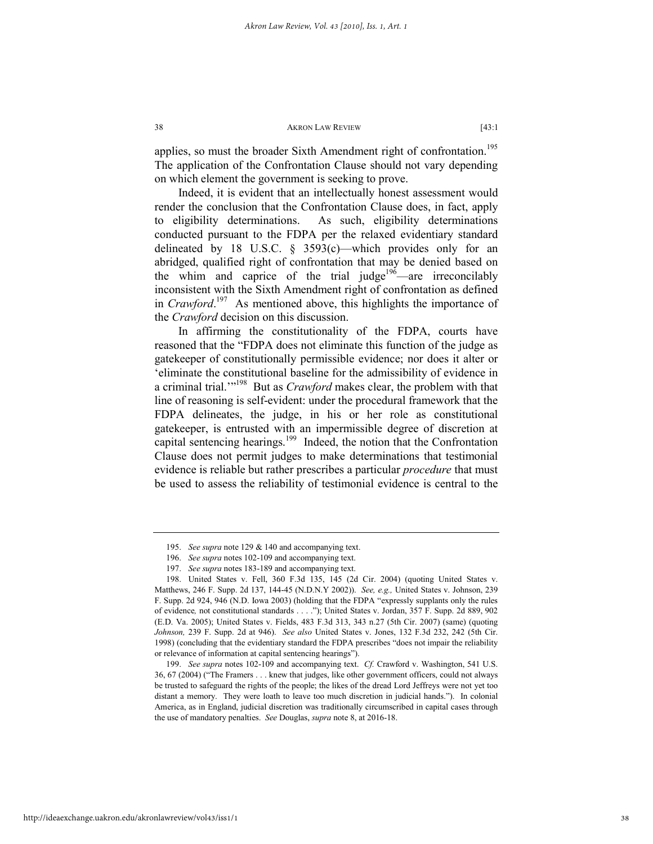applies, so must the broader Sixth Amendment right of confrontation.<sup>195</sup> The application of the Confrontation Clause should not vary depending on which element the government is seeking to prove.

Indeed, it is evident that an intellectually honest assessment would render the conclusion that the Confrontation Clause does, in fact, apply to eligibility determinations. As such, eligibility determinations conducted pursuant to the FDPA per the relaxed evidentiary standard delineated by 18 U.S.C. § 3593(c)—which provides only for an abridged, qualified right of confrontation that may be denied based on the whim and caprice of the trial judge<sup>196</sup>—are irreconcilably inconsistent with the Sixth Amendment right of confrontation as defined in *Crawford*. 197 As mentioned above, this highlights the importance of the *Crawford* decision on this discussion.

In affirming the constitutionality of the FDPA, courts have reasoned that the "FDPA does not eliminate this function of the judge as gatekeeper of constitutionally permissible evidence; nor does it alter or 'eliminate the constitutional baseline for the admissibility of evidence in a criminal trial.'"198 But as *Crawford* makes clear, the problem with that line of reasoning is self-evident: under the procedural framework that the FDPA delineates, the judge, in his or her role as constitutional gatekeeper, is entrusted with an impermissible degree of discretion at capital sentencing hearings.<sup>199</sup> Indeed, the notion that the Confrontation Clause does not permit judges to make determinations that testimonial evidence is reliable but rather prescribes a particular *procedure* that must be used to assess the reliability of testimonial evidence is central to the

 <sup>195.</sup> *See supra* note 129 & 140 and accompanying text.

 <sup>196.</sup> *See supra* notes 102-109 and accompanying text.

 <sup>197.</sup> *See supra* notes 183-189 and accompanying text.

 <sup>198.</sup> United States v. Fell, 360 F.3d 135, 145 (2d Cir. 2004) (quoting United States v. Matthews, 246 F. Supp. 2d 137, 144-45 (N.D.N.Y 2002)). *See, e.g.,* United States v. Johnson, 239 F. Supp. 2d 924, 946 (N.D. Iowa 2003) (holding that the FDPA "expressly supplants only the rules of evidence*,* not constitutional standards . . . ."); United States v. Jordan, 357 F. Supp. 2d 889, 902 (E.D. Va. 2005); United States v. Fields, 483 F.3d 313, 343 n.27 (5th Cir. 2007) (same) (quoting *Johnson,* 239 F. Supp. 2d at 946). *See also* United States v. Jones, 132 F.3d 232, 242 (5th Cir. 1998) (concluding that the evidentiary standard the FDPA prescribes "does not impair the reliability or relevance of information at capital sentencing hearings").

 <sup>199.</sup> *See supra* notes 102-109 and accompanying text. *Cf.* Crawford v. Washington, 541 U.S. 36, 67 (2004) ("The Framers . . . knew that judges, like other government officers, could not always be trusted to safeguard the rights of the people; the likes of the dread Lord Jeffreys were not yet too distant a memory. They were loath to leave too much discretion in judicial hands."). In colonial America, as in England, judicial discretion was traditionally circumscribed in capital cases through the use of mandatory penalties. *See* Douglas, *supra* note 8, at 2016-18.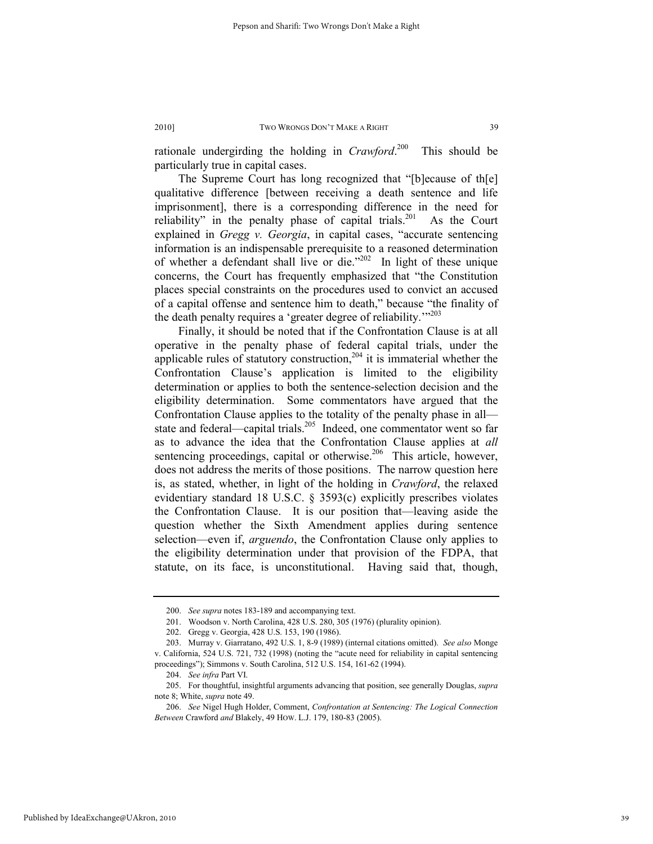rationale undergirding the holding in *Crawford*. This should be particularly true in capital cases.

The Supreme Court has long recognized that "[b]ecause of th[e] qualitative difference [between receiving a death sentence and life imprisonment], there is a corresponding difference in the need for reliability" in the penalty phase of capital trials.<sup>201</sup> As the Court explained in *Gregg v. Georgia*, in capital cases, "accurate sentencing information is an indispensable prerequisite to a reasoned determination of whether a defendant shall live or die." $202$  In light of these unique concerns, the Court has frequently emphasized that "the Constitution places special constraints on the procedures used to convict an accused of a capital offense and sentence him to death," because "the finality of the death penalty requires a 'greater degree of reliability."<sup>203</sup>

Finally, it should be noted that if the Confrontation Clause is at all operative in the penalty phase of federal capital trials, under the applicable rules of statutory construction,<sup>204</sup> it is immaterial whether the Confrontation Clause's application is limited to the eligibility determination or applies to both the sentence-selection decision and the eligibility determination. Some commentators have argued that the Confrontation Clause applies to the totality of the penalty phase in all state and federal—capital trials.<sup>205</sup> Indeed, one commentator went so far as to advance the idea that the Confrontation Clause applies at *all*  sentencing proceedings, capital or otherwise.<sup>206</sup> This article, however, does not address the merits of those positions. The narrow question here is, as stated, whether, in light of the holding in *Crawford*, the relaxed evidentiary standard 18 U.S.C. § 3593(c) explicitly prescribes violates the Confrontation Clause. It is our position that—leaving aside the question whether the Sixth Amendment applies during sentence selection—even if, *arguendo*, the Confrontation Clause only applies to the eligibility determination under that provision of the FDPA, that statute, on its face, is unconstitutional. Having said that, though,

 <sup>200.</sup> *See supra* notes 183-189 and accompanying text.

 <sup>201.</sup> Woodson v. North Carolina, 428 U.S. 280, 305 (1976) (plurality opinion).

 <sup>202.</sup> Gregg v. Georgia, 428 U.S. 153, 190 (1986).

 <sup>203.</sup> Murray v. Giarratano, 492 U.S. 1, 8-9 (1989) (internal citations omitted). *See also* Monge v. California, 524 U.S. 721, 732 (1998) (noting the "acute need for reliability in capital sentencing proceedings"); Simmons v. South Carolina, 512 U.S. 154, 161-62 (1994).

 <sup>204.</sup> *See infra* Part VI.

 <sup>205.</sup> For thoughtful, insightful arguments advancing that position, see generally Douglas, *supra*  note 8; White, *supra* note 49.

 <sup>206.</sup> *See* Nigel Hugh Holder, Comment, *Confrontation at Sentencing: The Logical Connection Between* Crawford *and* Blakely, 49 HOW. L.J. 179, 180-83 (2005).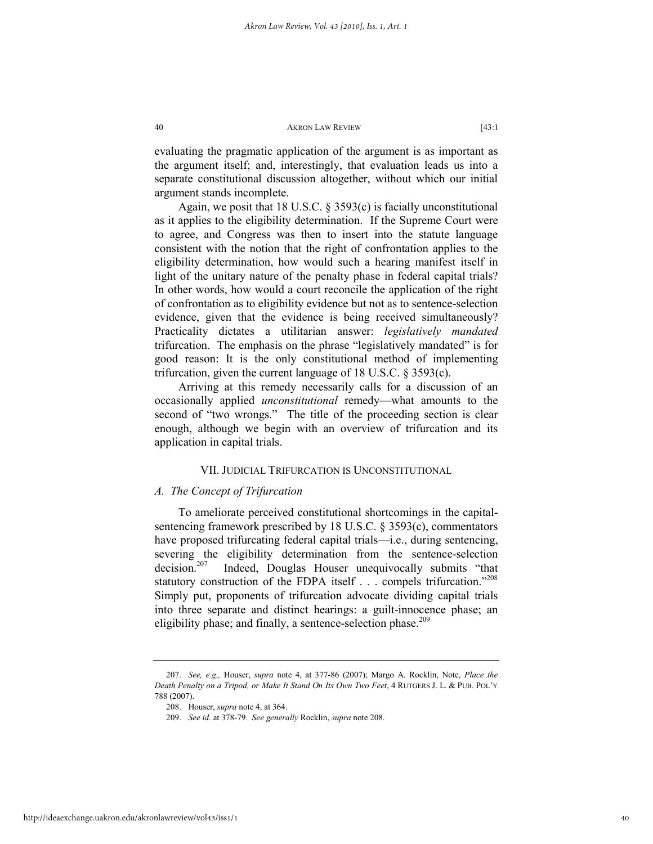evaluating the pragmatic application of the argument is as important as the argument itself; and, interestingly, that evaluation leads us into a separate constitutional discussion altogether, without which our initial argument stands incomplete.

Again, we posit that 18 U.S.C. § 3593(c) is facially unconstitutional as it applies to the eligibility determination. If the Supreme Court were to agree, and Congress was then to insert into the statute language consistent with the notion that the right of confrontation applies to the eligibility determination, how would such a hearing manifest itself in light of the unitary nature of the penalty phase in federal capital trials? In other words, how would a court reconcile the application of the right of confrontation as to eligibility evidence but not as to sentence-selection evidence, given that the evidence is being received simultaneously? Practicality dictates a utilitarian answer: *legislatively mandated* trifurcation. The emphasis on the phrase "legislatively mandated" is for good reason: It is the only constitutional method of implementing trifurcation, given the current language of 18 U.S.C. § 3593(c).

Arriving at this remedy necessarily calls for a discussion of an occasionally applied *unconstitutional* remedy—what amounts to the second of "two wrongs." The title of the proceeding section is clear enough, although we begin with an overview of trifurcation and its application in capital trials.

# VII. JUDICIAL TRIFURCATION IS UNCONSTITUTIONAL

# *A. The Concept of Trifurcation*

To ameliorate perceived constitutional shortcomings in the capitalsentencing framework prescribed by 18 U.S.C. § 3593(c), commentators have proposed trifurcating federal capital trials—i.e., during sentencing, severing the eligibility determination from the sentence-selection  $\frac{207}{100}$  Indeed, Douglas Houser unequivocally submits "that statutory construction of the FDPA itself . . . compels trifurcation."<sup>208</sup> Simply put, proponents of trifurcation advocate dividing capital trials into three separate and distinct hearings: a guilt-innocence phase; an eligibility phase; and finally, a sentence-selection phase.<sup>209</sup>

 <sup>207.</sup> *See, e.g.,* Houser, *supra* note 4, at 377-86 (2007); Margo A. Rocklin, Note, *Place the Death Penalty on a Tripod, or Make It Stand On Its Own Two Feet*, 4 RUTGERS J. L. & PUB. POL'Y 788 (2007).

 <sup>208.</sup> Houser, *supra* note 4, at 364.

 <sup>209.</sup> *See id.* at 378-79. *See generally* Rocklin, *supra* note 208.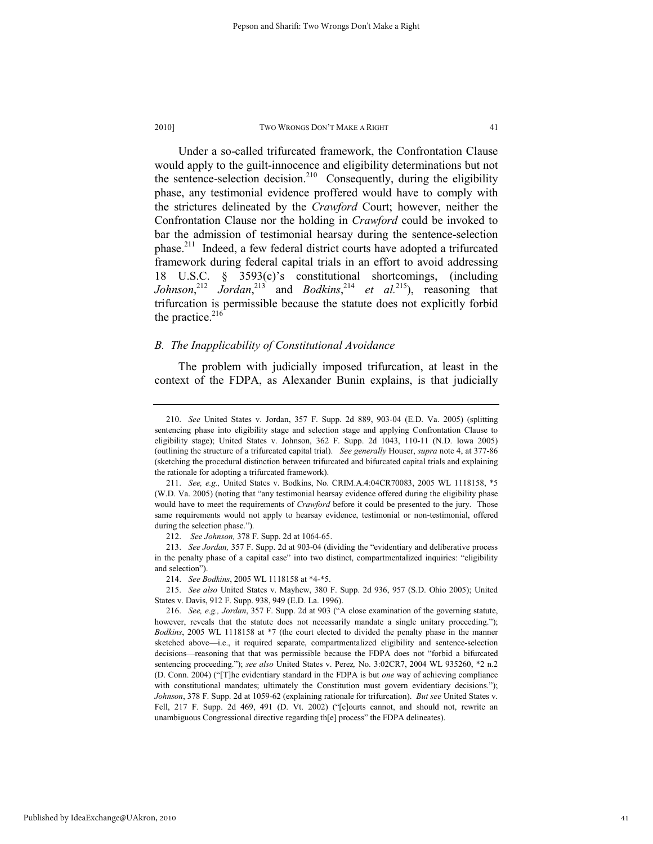Under a so-called trifurcated framework, the Confrontation Clause would apply to the guilt-innocence and eligibility determinations but not the sentence-selection decision.<sup>210</sup> Consequently, during the eligibility phase, any testimonial evidence proffered would have to comply with the strictures delineated by the *Crawford* Court; however, neither the Confrontation Clause nor the holding in *Crawford* could be invoked to bar the admission of testimonial hearsay during the sentence-selection phase.<sup>211</sup> Indeed, a few federal district courts have adopted a trifurcated framework during federal capital trials in an effort to avoid addressing 18 U.S.C. § 3593(c)'s constitutional shortcomings, (including *Johnson*<sup>212</sup> *Jordan*<sup>213</sup> and *Bodkins*<sup>214</sup> *et al.*<sup>215</sup>), reasoning that trifurcation is permissible because the statute does not explicitly forbid the practice. $216$ 

# *B. The Inapplicability of Constitutional Avoidance*

The problem with judicially imposed trifurcation, at least in the context of the FDPA, as Alexander Bunin explains, is that judicially

 <sup>210.</sup> *See* United States v. Jordan, 357 F. Supp. 2d 889, 903-04 (E.D. Va. 2005) (splitting sentencing phase into eligibility stage and selection stage and applying Confrontation Clause to eligibility stage); United States v. Johnson, 362 F. Supp. 2d 1043, 110-11 (N.D. Iowa 2005) (outlining the structure of a trifurcated capital trial). *See generally* Houser, *supra* note 4, at 377-86 (sketching the procedural distinction between trifurcated and bifurcated capital trials and explaining the rationale for adopting a trifurcated framework).

 <sup>211.</sup> *See, e.g.,* United States v. Bodkins, No. CRIM.A.4:04CR70083, 2005 WL 1118158, \*5 (W.D. Va. 2005) (noting that "any testimonial hearsay evidence offered during the eligibility phase would have to meet the requirements of *Crawford* before it could be presented to the jury. Those same requirements would not apply to hearsay evidence, testimonial or non-testimonial, offered during the selection phase.").

 <sup>212.</sup> *See Johnson,* 378 F. Supp. 2d at 1064-65.

 <sup>213.</sup> *See Jordan,* 357 F. Supp. 2d at 903-04 (dividing the "evidentiary and deliberative process in the penalty phase of a capital case" into two distinct, compartmentalized inquiries: "eligibility and selection").

 <sup>214.</sup> *See Bodkins*, 2005 WL 1118158 at \*4-\*5.

 <sup>215.</sup> *See also* United States v. Mayhew, 380 F. Supp. 2d 936, 957 (S.D. Ohio 2005); United States v. Davis, 912 F. Supp. 938, 949 (E.D. La. 1996).

 <sup>216.</sup> *See, e.g., Jordan*, 357 F. Supp. 2d at 903 ("A close examination of the governing statute, however, reveals that the statute does not necessarily mandate a single unitary proceeding."); *Bodkins*, 2005 WL 1118158 at \*7 (the court elected to divided the penalty phase in the manner sketched above—i.e., it required separate, compartmentalized eligibility and sentence-selection decisions—reasoning that that was permissible because the FDPA does not "forbid a bifurcated sentencing proceeding."); *see also* United States v. Perez*,* No. 3:02CR7, 2004 WL 935260, \*2 n.2 (D. Conn. 2004) ("[T]he evidentiary standard in the FDPA is but *one* way of achieving compliance with constitutional mandates; ultimately the Constitution must govern evidentiary decisions."); *Johnson*, 378 F. Supp. 2d at 1059-62 (explaining rationale for trifurcation). *But see* United States v. Fell, 217 F. Supp. 2d 469, 491 (D. Vt. 2002) ("[c]ourts cannot, and should not, rewrite an unambiguous Congressional directive regarding th[e] process" the FDPA delineates).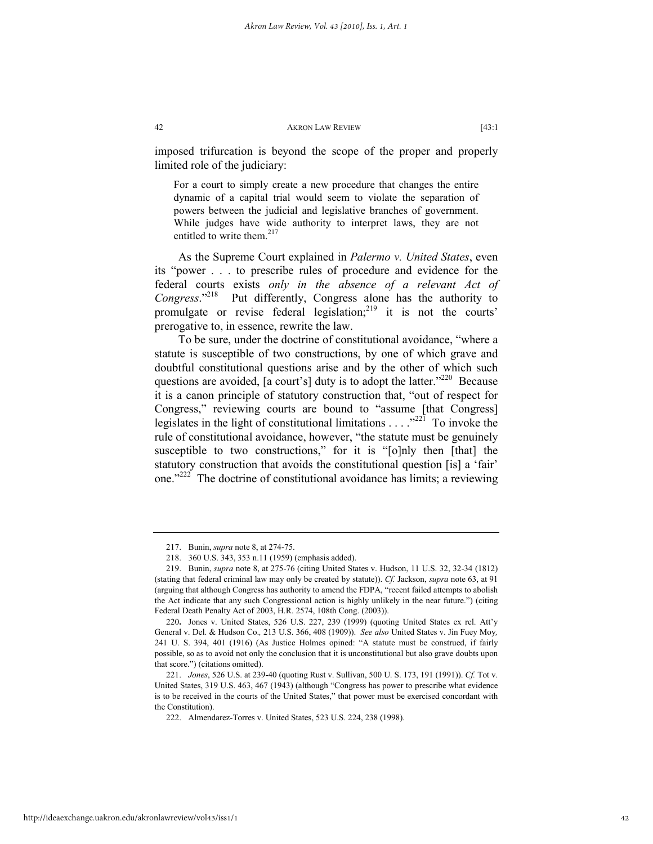imposed trifurcation is beyond the scope of the proper and properly limited role of the judiciary:

For a court to simply create a new procedure that changes the entire dynamic of a capital trial would seem to violate the separation of powers between the judicial and legislative branches of government. While judges have wide authority to interpret laws, they are not entitled to write them.<sup>217</sup>

As the Supreme Court explained in *Palermo v. United States*, even its "power . . . to prescribe rules of procedure and evidence for the federal courts exists *only in the absence of a relevant Act of Congress*."218 Put differently, Congress alone has the authority to promulgate or revise federal legislation;<sup>219</sup> it is not the courts' prerogative to, in essence, rewrite the law.

To be sure, under the doctrine of constitutional avoidance, "where a statute is susceptible of two constructions, by one of which grave and doubtful constitutional questions arise and by the other of which such questions are avoided, [a court's] duty is to adopt the latter."<sup>220</sup> Because it is a canon principle of statutory construction that, "out of respect for Congress," reviewing courts are bound to "assume [that Congress] legislates in the light of constitutional limitations . . . ."221 To invoke the rule of constitutional avoidance, however, "the statute must be genuinely susceptible to two constructions," for it is "[o]nly then [that] the statutory construction that avoids the constitutional question [is] a 'fair' one."<sup>222</sup> The doctrine of constitutional avoidance has limits; a reviewing

 <sup>217.</sup> Bunin, *supra* note 8, at 274-75.

 <sup>218. 360</sup> U.S. 343, 353 n.11 (1959) (emphasis added).

 <sup>219.</sup> Bunin, *supra* note 8, at 275-76 (citing United States v. Hudson, 11 U.S. 32, 32-34 (1812) (stating that federal criminal law may only be created by statute)). *Cf.* Jackson, *supra* note 63, at 91 (arguing that although Congress has authority to amend the FDPA, "recent failed attempts to abolish the Act indicate that any such Congressional action is highly unlikely in the near future.") (citing Federal Death Penalty Act of 2003, H.R. 2574, 108th Cong. (2003)).

<sup>220</sup>**.** Jones v. United States, 526 U.S. 227, 239 (1999) (quoting United States ex rel. Att'y General v. Del. & Hudson Co.*,* 213 U.S. 366, 408 (1909)). *See also* United States v. Jin Fuey Moy*,*  241 U. S. 394, 401 (1916) (As Justice Holmes opined: "A statute must be construed, if fairly possible, so as to avoid not only the conclusion that it is unconstitutional but also grave doubts upon that score.") (citations omitted).

 <sup>221.</sup> *Jones*, 526 U.S. at 239-40 (quoting Rust v. Sullivan, 500 U. S. 173, 191 (1991)). *Cf.* Tot v. United States, 319 U.S. 463, 467 (1943) (although "Congress has power to prescribe what evidence is to be received in the courts of the United States," that power must be exercised concordant with the Constitution).

 <sup>222.</sup> Almendarez-Torres v. United States, 523 U.S. 224, 238 (1998).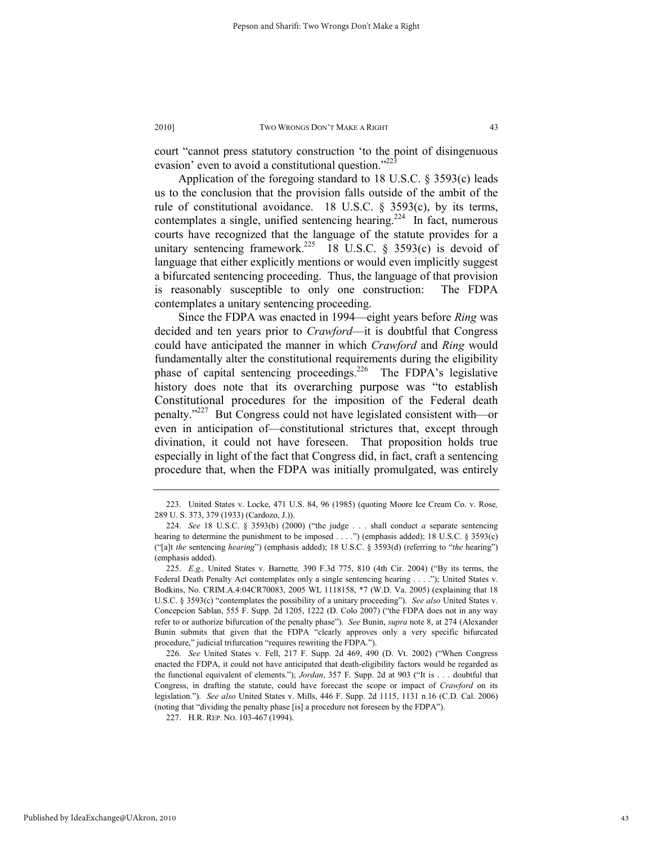court "cannot press statutory construction 'to the point of disingenuous evasion' even to avoid a constitutional question." $^{223}$ 

Application of the foregoing standard to 18 U.S.C. § 3593(c) leads us to the conclusion that the provision falls outside of the ambit of the rule of constitutional avoidance. 18 U.S.C. § 3593(c), by its terms, contemplates a single, unified sentencing hearing.<sup>224</sup> In fact, numerous courts have recognized that the language of the statute provides for a unitary sentencing framework.<sup>225</sup> 18 U.S.C. § 3593(c) is devoid of language that either explicitly mentions or would even implicitly suggest a bifurcated sentencing proceeding. Thus, the language of that provision is reasonably susceptible to only one construction: The FDPA contemplates a unitary sentencing proceeding.

Since the FDPA was enacted in 1994—eight years before *Ring* was decided and ten years prior to *Crawford*—it is doubtful that Congress could have anticipated the manner in which *Crawford* and *Ring* would fundamentally alter the constitutional requirements during the eligibility phase of capital sentencing proceedings.<sup>226</sup> The FDPA's legislative history does note that its overarching purpose was "to establish Constitutional procedures for the imposition of the Federal death penalty."227 But Congress could not have legislated consistent with—or even in anticipation of—constitutional strictures that, except through divination, it could not have foreseen. That proposition holds true especially in light of the fact that Congress did, in fact, craft a sentencing procedure that, when the FDPA was initially promulgated, was entirely

 <sup>223.</sup> United States v. Locke, 471 U.S. 84, 96 (1985) (quoting Moore Ice Cream Co. v. Rose*,* 289 U. S. 373, 379 (1933) (Cardozo, J.)).

 <sup>224.</sup> *See* 18 U.S.C. § 3593(b) (2000) ("the judge . . . shall conduct *a* separate sentencing hearing to determine the punishment to be imposed . . . .") (emphasis added); 18 U.S.C. § 3593(c) ("[a]t *the* sentencing *hearing*") (emphasis added); 18 U.S.C. § 3593(d) (referring to "*the* hearing") (emphasis added).

 <sup>225.</sup> *E.g.,* United States v. Barnette*,* 390 F.3d 775, 810 (4th Cir. 2004) ("By its terms, the Federal Death Penalty Act contemplates only a single sentencing hearing . . . ."); United States v. Bodkins, No. CRIM.A.4:04CR70083, 2005 WL 1118158, \*7 (W.D. Va. 2005) (explaining that 18 U.S.C. § 3593(c) "contemplates the possibility of a unitary proceeding"). *See also* United States v. Concepcion Sablan, 555 F. Supp. 2d 1205, 1222 (D. Colo 2007) ("the FDPA does not in any way refer to or authorize bifurcation of the penalty phase"). *See* Bunin, *supra* note 8, at 274 (Alexander Bunin submits that given that the FDPA "clearly approves only a very specific bifurcated procedure," judicial trifurcation "requires rewriting the FDPA.").

 <sup>226.</sup> *See* United States v. Fell, 217 F. Supp. 2d 469, 490 (D. Vt. 2002) ("When Congress enacted the FDPA, it could not have anticipated that death-eligibility factors would be regarded as the functional equivalent of elements."); *Jordan*, 357 F. Supp. 2d at 903 ("It is . . . doubtful that Congress, in drafting the statute, could have forecast the scope or impact of *Crawford* on its legislation."). *See also* United States v. Mills, 446 F. Supp. 2d 1115, 1131 n.16 (C.D. Cal. 2006) (noting that "dividing the penalty phase [is] a procedure not foreseen by the FDPA").

 <sup>227.</sup> H.R. REP. NO. 103-467 (1994).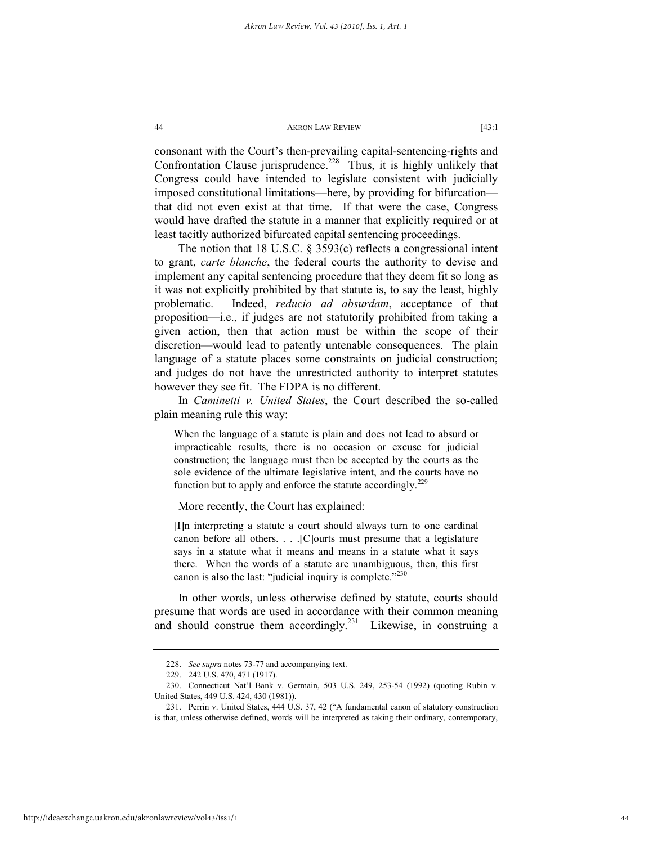consonant with the Court's then-prevailing capital-sentencing-rights and Confrontation Clause jurisprudence.<sup>228</sup> Thus, it is highly unlikely that Congress could have intended to legislate consistent with judicially imposed constitutional limitations—here, by providing for bifurcation that did not even exist at that time. If that were the case, Congress would have drafted the statute in a manner that explicitly required or at least tacitly authorized bifurcated capital sentencing proceedings.

The notion that 18 U.S.C. § 3593(c) reflects a congressional intent to grant, *carte blanche*, the federal courts the authority to devise and implement any capital sentencing procedure that they deem fit so long as it was not explicitly prohibited by that statute is, to say the least, highly problematic. Indeed, *reducio ad absurdam*, acceptance of that proposition—i.e., if judges are not statutorily prohibited from taking a given action, then that action must be within the scope of their discretion—would lead to patently untenable consequences. The plain language of a statute places some constraints on judicial construction; and judges do not have the unrestricted authority to interpret statutes however they see fit. The FDPA is no different.

In *Caminetti v. United States*, the Court described the so-called plain meaning rule this way:

When the language of a statute is plain and does not lead to absurd or impracticable results, there is no occasion or excuse for judicial construction; the language must then be accepted by the courts as the sole evidence of the ultimate legislative intent, and the courts have no function but to apply and enforce the statute accordingly.<sup>229</sup>

More recently, the Court has explained:

[I]n interpreting a statute a court should always turn to one cardinal canon before all others. . . .[C]ourts must presume that a legislature says in a statute what it means and means in a statute what it says there. When the words of a statute are unambiguous, then, this first canon is also the last: "judicial inquiry is complete." $2^{330}$ 

In other words, unless otherwise defined by statute, courts should presume that words are used in accordance with their common meaning and should construe them accordingly.<sup>231</sup> Likewise, in construing a

 <sup>228.</sup> *See supra* notes 73-77 and accompanying text.

 <sup>229. 242</sup> U.S. 470, 471 (1917).

 <sup>230.</sup> Connecticut Nat'l Bank v. Germain, 503 U.S. 249, 253-54 (1992) (quoting Rubin v. United States, 449 U.S. 424, 430 (1981)).

 <sup>231.</sup> Perrin v. United States, 444 U.S. 37, 42 ("A fundamental canon of statutory construction is that, unless otherwise defined, words will be interpreted as taking their ordinary, contemporary,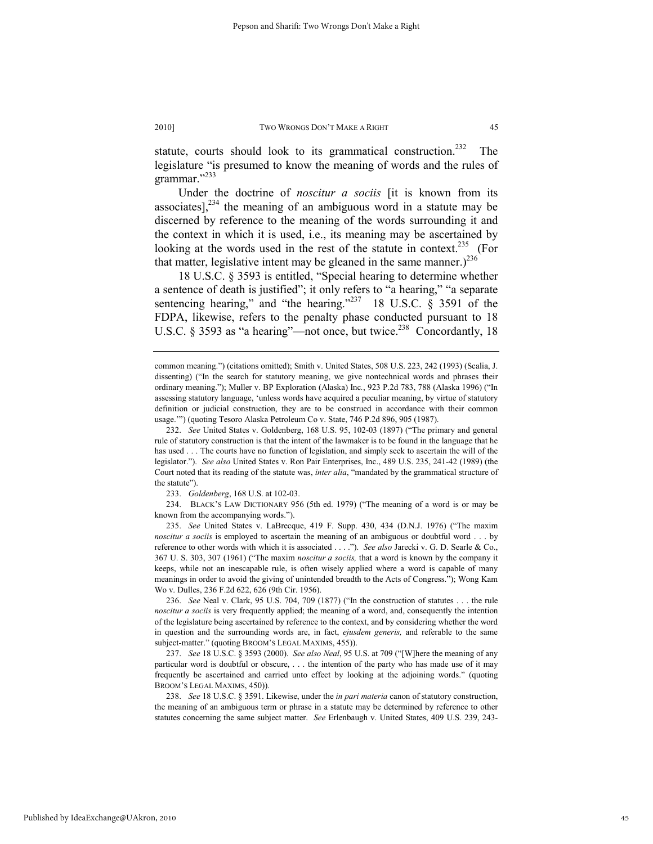statute, courts should look to its grammatical construction.<sup>232</sup> The legislature "is presumed to know the meaning of words and the rules of grammar."<sup>233</sup>

Under the doctrine of *noscitur a sociis* [it is known from its associates],  $234$  the meaning of an ambiguous word in a statute may be discerned by reference to the meaning of the words surrounding it and the context in which it is used, i.e., its meaning may be ascertained by looking at the words used in the rest of the statute in context.<sup>235</sup> (For that matter, legislative intent may be gleaned in the same manner.)<sup>236</sup>

18 U.S.C. § 3593 is entitled, "Special hearing to determine whether a sentence of death is justified"; it only refers to "a hearing," "a separate sentencing hearing," and "the hearing."<sup>237</sup> 18 U.S.C. § 3591 of the FDPA, likewise, refers to the penalty phase conducted pursuant to 18 U.S.C. § 3593 as "a hearing"—not once, but twice.<sup>238</sup> Concordantly, 18

 232. *See* United States v. Goldenberg, 168 U.S. 95, 102-03 (1897) ("The primary and general rule of statutory construction is that the intent of the lawmaker is to be found in the language that he has used . . . The courts have no function of legislation, and simply seek to ascertain the will of the legislator."). *See also* United States v. Ron Pair Enterprises, Inc., 489 U.S. 235, 241-42 (1989) (the Court noted that its reading of the statute was, *inter alia*, "mandated by the grammatical structure of the statute").

233. *Goldenberg*, 168 U.S. at 102-03.

 234. BLACK'S LAW DICTIONARY 956 (5th ed. 1979) ("The meaning of a word is or may be known from the accompanying words.").

 235. *See* United States v. LaBrecque, 419 F. Supp. 430, 434 (D.N.J. 1976) ("The maxim *noscitur a sociis* is employed to ascertain the meaning of an ambiguous or doubtful word . . . by reference to other words with which it is associated . . . ."). *See also* Jarecki v. G. D. Searle & Co., 367 U. S. 303, 307 (1961) ("The maxim *noscitur a sociis,* that a word is known by the company it keeps, while not an inescapable rule, is often wisely applied where a word is capable of many meanings in order to avoid the giving of unintended breadth to the Acts of Congress."); Wong Kam Wo v. Dulles, 236 F.2d 622, 626 (9th Cir. 1956).

 236. *See* Neal v. Clark, 95 U.S. 704, 709 (1877) ("In the construction of statutes . . . the rule *noscitur a sociis* is very frequently applied; the meaning of a word, and, consequently the intention of the legislature being ascertained by reference to the context, and by considering whether the word in question and the surrounding words are, in fact, *ejusdem generis,* and referable to the same subject-matter." (quoting BROOM'S LEGAL MAXIMS, 455)).

 237. *See* 18 U.S.C. § 3593 (2000). *See also Neal*, 95 U.S. at 709 ("[W]here the meaning of any particular word is doubtful or obscure, . . . the intention of the party who has made use of it may frequently be ascertained and carried unto effect by looking at the adjoining words." (quoting BROOM'S LEGAL MAXIMS, 450)).

 238. *See* 18 U.S.C. § 3591. Likewise, under the *in pari materia* canon of statutory construction, the meaning of an ambiguous term or phrase in a statute may be determined by reference to other statutes concerning the same subject matter. *See* Erlenbaugh v. United States, 409 U.S. 239, 243-

common meaning.") (citations omitted); Smith v. United States, 508 U.S. 223, 242 (1993) (Scalia, J. dissenting) ("In the search for statutory meaning, we give nontechnical words and phrases their ordinary meaning."); Muller v. BP Exploration (Alaska) Inc*.*, 923 P.2d 783, 788 (Alaska 1996) ("In assessing statutory language, 'unless words have acquired a peculiar meaning, by virtue of statutory definition or judicial construction, they are to be construed in accordance with their common usage.'") (quoting Tesoro Alaska Petroleum Co v. State, 746 P.2d 896, 905 (1987).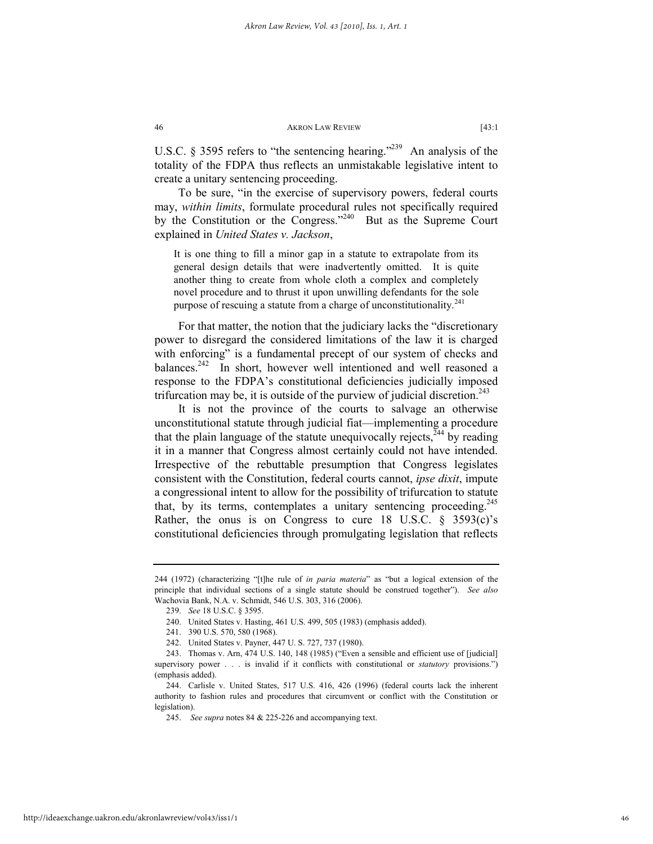U.S.C. § 3595 refers to "the sentencing hearing."<sup>239</sup> An analysis of the totality of the FDPA thus reflects an unmistakable legislative intent to create a unitary sentencing proceeding.

To be sure, "in the exercise of supervisory powers, federal courts may, *within limits*, formulate procedural rules not specifically required by the Constitution or the Congress."<sup>240</sup> But as the Supreme Court explained in *United States v. Jackson*,

It is one thing to fill a minor gap in a statute to extrapolate from its general design details that were inadvertently omitted. It is quite another thing to create from whole cloth a complex and completely novel procedure and to thrust it upon unwilling defendants for the sole purpose of rescuing a statute from a charge of unconstitutionality. $^{241}$ 

For that matter, the notion that the judiciary lacks the "discretionary power to disregard the considered limitations of the law it is charged with enforcing" is a fundamental precept of our system of checks and balances.<sup>242</sup> In short, however well intentioned and well reasoned a response to the FDPA's constitutional deficiencies judicially imposed trifurcation may be, it is outside of the purview of judicial discretion.<sup>243</sup>

It is not the province of the courts to salvage an otherwise unconstitutional statute through judicial fiat—implementing a procedure that the plain language of the statute unequivocally rejects, $^{744}$  by reading it in a manner that Congress almost certainly could not have intended. Irrespective of the rebuttable presumption that Congress legislates consistent with the Constitution, federal courts cannot, *ipse dixit*, impute a congressional intent to allow for the possibility of trifurcation to statute that, by its terms, contemplates a unitary sentencing proceeding.  $245$ Rather, the onus is on Congress to cure 18 U.S.C. § 3593(c)'s constitutional deficiencies through promulgating legislation that reflects

<sup>244 (1972) (</sup>characterizing "[t]he rule of *in paria materia*" as "but a logical extension of the principle that individual sections of a single statute should be construed together"). *See also* Wachovia Bank, N.A. v. Schmidt, 546 U.S. 303, 316 (2006).

 <sup>239.</sup> *See* 18 U.S.C. § 3595.

 <sup>240.</sup> United States v. Hasting, 461 U.S. 499, 505 (1983) (emphasis added).

 <sup>241. 390</sup> U.S. 570, 580 (1968).

 <sup>242.</sup> United States v. Payner, 447 U. S. 727, 737 (1980).

 <sup>243.</sup> Thomas v. Arn, 474 U.S. 140, 148 (1985) ("Even a sensible and efficient use of [judicial] supervisory power . . . is invalid if it conflicts with constitutional or *statutory* provisions.") (emphasis added).

 <sup>244.</sup> Carlisle v. United States, 517 U.S. 416, 426 (1996) (federal courts lack the inherent authority to fashion rules and procedures that circumvent or conflict with the Constitution or legislation).

 <sup>245.</sup> *See supra* notes 84 & 225-226 and accompanying text.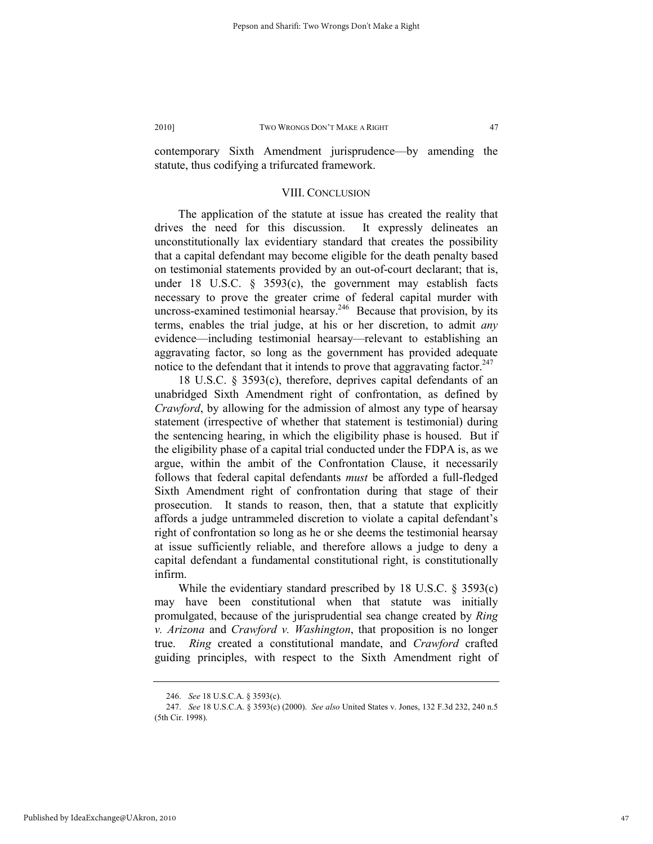contemporary Sixth Amendment jurisprudence—by amending the statute, thus codifying a trifurcated framework.

# VIII. CONCLUSION

The application of the statute at issue has created the reality that drives the need for this discussion. It expressly delineates an unconstitutionally lax evidentiary standard that creates the possibility that a capital defendant may become eligible for the death penalty based on testimonial statements provided by an out-of-court declarant; that is, under 18 U.S.C. § 3593(c), the government may establish facts necessary to prove the greater crime of federal capital murder with uncross-examined testimonial hearsay.<sup>246</sup> Because that provision, by its terms, enables the trial judge, at his or her discretion, to admit *any* evidence—including testimonial hearsay—relevant to establishing an aggravating factor, so long as the government has provided adequate notice to the defendant that it intends to prove that aggravating factor.<sup>247</sup>

18 U.S.C. § 3593(c), therefore, deprives capital defendants of an unabridged Sixth Amendment right of confrontation, as defined by *Crawford*, by allowing for the admission of almost any type of hearsay statement (irrespective of whether that statement is testimonial) during the sentencing hearing, in which the eligibility phase is housed. But if the eligibility phase of a capital trial conducted under the FDPA is, as we argue, within the ambit of the Confrontation Clause, it necessarily follows that federal capital defendants *must* be afforded a full-fledged Sixth Amendment right of confrontation during that stage of their prosecution. It stands to reason, then, that a statute that explicitly affords a judge untrammeled discretion to violate a capital defendant's right of confrontation so long as he or she deems the testimonial hearsay at issue sufficiently reliable, and therefore allows a judge to deny a capital defendant a fundamental constitutional right, is constitutionally infirm.

While the evidentiary standard prescribed by 18 U.S.C. § 3593(c) may have been constitutional when that statute was initially promulgated, because of the jurisprudential sea change created by *Ring v. Arizona* and *Crawford v. Washington*, that proposition is no longer true. *Ring* created a constitutional mandate, and *Crawford* crafted guiding principles, with respect to the Sixth Amendment right of

 <sup>246.</sup> *See* 18 U.S.C.A. § 3593(c).

 <sup>247.</sup> *See* 18 U.S.C.A. § 3593(c) (2000). *See also* United States v. Jones, 132 F.3d 232, 240 n.5 (5th Cir. 1998).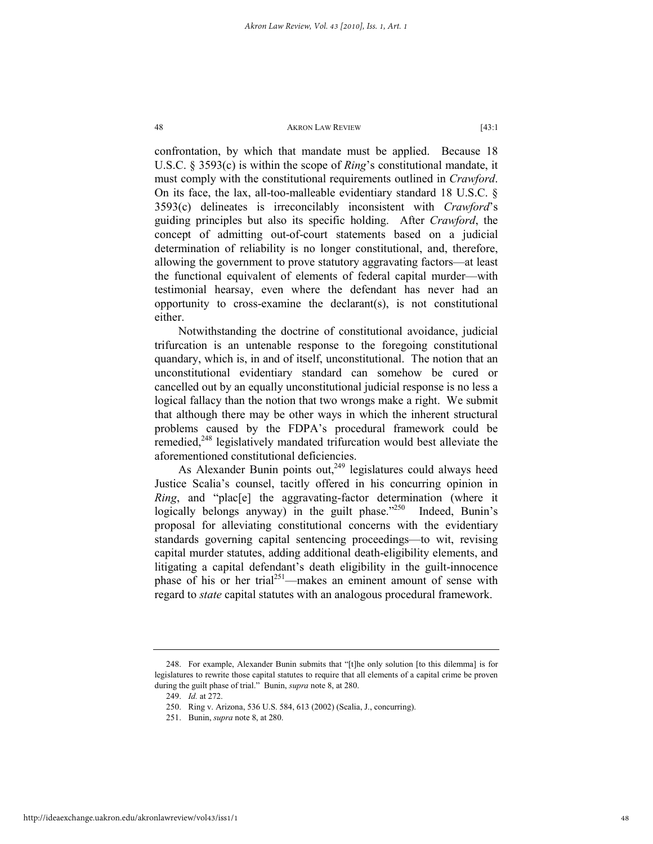confrontation, by which that mandate must be applied. Because 18 U.S.C. § 3593(c) is within the scope of *Ring*'s constitutional mandate, it must comply with the constitutional requirements outlined in *Crawford*. On its face, the lax, all-too-malleable evidentiary standard 18 U.S.C. § 3593(c) delineates is irreconcilably inconsistent with *Crawford*'s guiding principles but also its specific holding. After *Crawford*, the concept of admitting out-of-court statements based on a judicial determination of reliability is no longer constitutional, and, therefore, allowing the government to prove statutory aggravating factors—at least the functional equivalent of elements of federal capital murder—with testimonial hearsay, even where the defendant has never had an opportunity to cross-examine the declarant(s), is not constitutional either.

Notwithstanding the doctrine of constitutional avoidance, judicial trifurcation is an untenable response to the foregoing constitutional quandary, which is, in and of itself, unconstitutional. The notion that an unconstitutional evidentiary standard can somehow be cured or cancelled out by an equally unconstitutional judicial response is no less a logical fallacy than the notion that two wrongs make a right. We submit that although there may be other ways in which the inherent structural problems caused by the FDPA's procedural framework could be remedied,<sup>248</sup> legislatively mandated trifurcation would best alleviate the aforementioned constitutional deficiencies.

As Alexander Bunin points out, $249$  legislatures could always heed Justice Scalia's counsel, tacitly offered in his concurring opinion in *Ring*, and "plac<sup>[e]</sup> the aggravating-factor determination (where it logically belongs anyway) in the guilt phase. $1250$  Indeed, Bunin's proposal for alleviating constitutional concerns with the evidentiary standards governing capital sentencing proceedings—to wit, revising capital murder statutes, adding additional death-eligibility elements, and litigating a capital defendant's death eligibility in the guilt-innocence phase of his or her trial<sup>251</sup>—makes an eminent amount of sense with regard to *state* capital statutes with an analogous procedural framework.

 <sup>248.</sup> For example, Alexander Bunin submits that "[t]he only solution [to this dilemma] is for legislatures to rewrite those capital statutes to require that all elements of a capital crime be proven during the guilt phase of trial." Bunin, *supra* note 8, at 280.

 <sup>249.</sup> *Id.* at 272.

 <sup>250.</sup> Ring v. Arizona, 536 U.S. 584, 613 (2002) (Scalia, J., concurring).

 <sup>251.</sup> Bunin, *supra* note 8, at 280.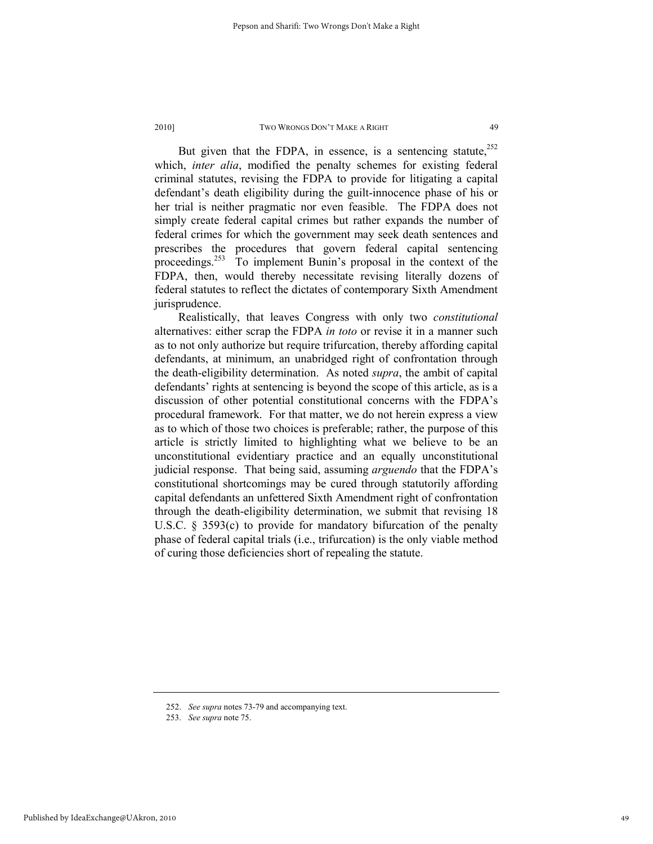But given that the FDPA, in essence, is a sentencing statute.<sup>252</sup> which, *inter alia*, modified the penalty schemes for existing federal criminal statutes, revising the FDPA to provide for litigating a capital defendant's death eligibility during the guilt-innocence phase of his or her trial is neither pragmatic nor even feasible. The FDPA does not simply create federal capital crimes but rather expands the number of federal crimes for which the government may seek death sentences and prescribes the procedures that govern federal capital sentencing proceedings.<sup>253</sup> To implement Bunin's proposal in the context of the FDPA, then, would thereby necessitate revising literally dozens of federal statutes to reflect the dictates of contemporary Sixth Amendment jurisprudence.

Realistically, that leaves Congress with only two *constitutional*  alternatives: either scrap the FDPA *in toto* or revise it in a manner such as to not only authorize but require trifurcation, thereby affording capital defendants, at minimum, an unabridged right of confrontation through the death-eligibility determination. As noted *supra*, the ambit of capital defendants' rights at sentencing is beyond the scope of this article, as is a discussion of other potential constitutional concerns with the FDPA's procedural framework. For that matter, we do not herein express a view as to which of those two choices is preferable; rather, the purpose of this article is strictly limited to highlighting what we believe to be an unconstitutional evidentiary practice and an equally unconstitutional judicial response. That being said, assuming *arguendo* that the FDPA's constitutional shortcomings may be cured through statutorily affording capital defendants an unfettered Sixth Amendment right of confrontation through the death-eligibility determination, we submit that revising 18 U.S.C. § 3593(c) to provide for mandatory bifurcation of the penalty phase of federal capital trials (i.e., trifurcation) is the only viable method of curing those deficiencies short of repealing the statute.

Published by IdeaExchange@UAkron, 2010

 <sup>252.</sup> *See supra* notes 73-79 and accompanying text.

 <sup>253.</sup> *See supra* note 75.